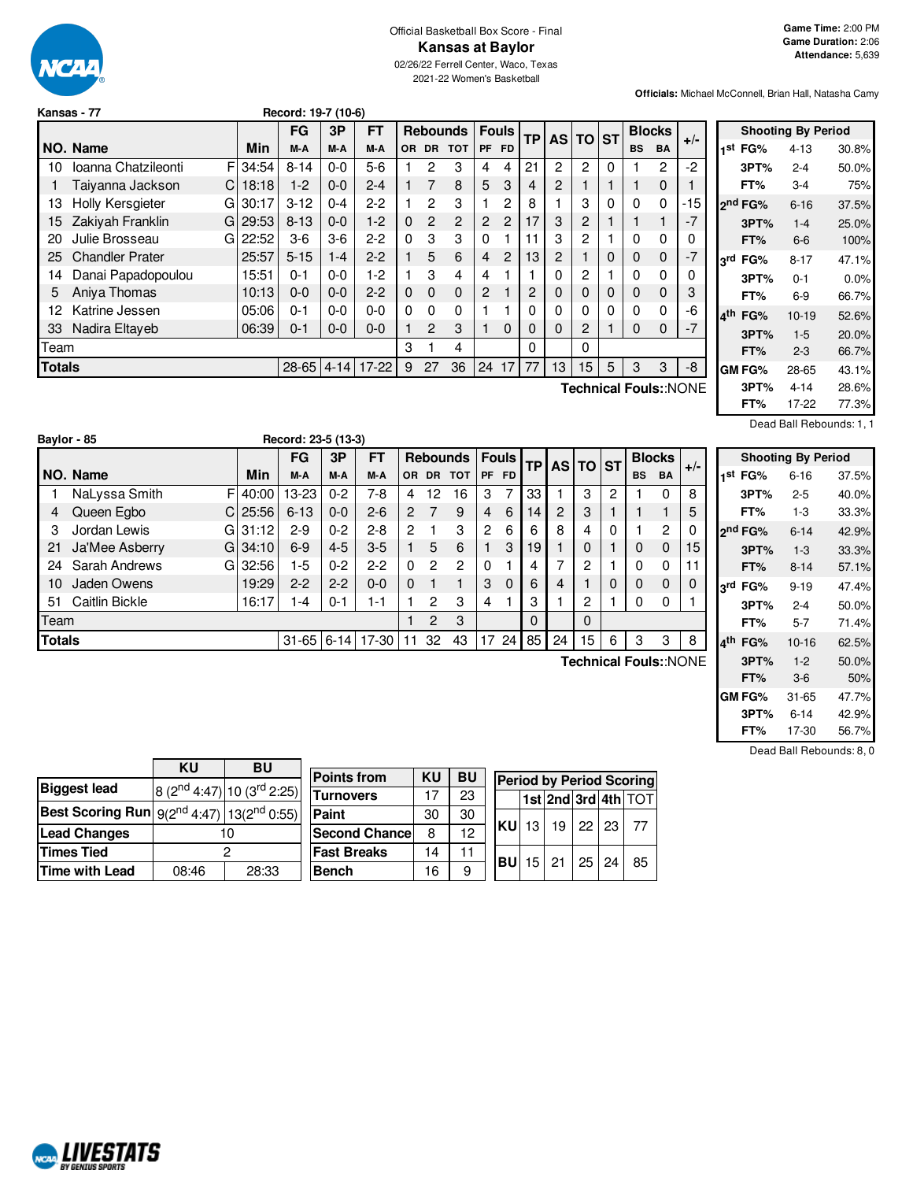

# Official Basketball Box Score - Final **Kansas at Baylor**

02/26/22 Ferrell Center, Waco, Texas 2021-22 Women's Basketball

**Officials:** Michael McConnell, Brian Hall, Natasha Camy

| Record: 19-7 (10-6)<br>Kansas - 77           |                           |       |          |         |         |          |          |                 |           |              |           |          |                |   |           |               |                       |
|----------------------------------------------|---------------------------|-------|----------|---------|---------|----------|----------|-----------------|-----------|--------------|-----------|----------|----------------|---|-----------|---------------|-----------------------|
|                                              |                           |       | FG       | 3P      | FT      |          |          | <b>Rebounds</b> |           | <b>Fouls</b> |           |          | AS TO ST       |   |           | <b>Blocks</b> |                       |
|                                              | NO. Name                  | Min   | M-A      | M-A     | M-A     | OR.      | DR.      | <b>TOT</b>      | <b>PF</b> | <b>FD</b>    | <b>TP</b> |          |                |   | <b>BS</b> | <b>BA</b>     | $+/-$                 |
| 10                                           | Ioanna Chatzileonti<br>FI | 34:54 | $8 - 14$ | $0-0$   | $5-6$   |          | 2        | 3               | 4         | 4            | 21        | 2        | 2              | 0 |           | 2             | $-2$                  |
|                                              | Taiyanna Jackson<br>C.    | 18:18 | $1-2$    | $0 - 0$ | $2 - 4$ | 1.       | 7        | 8               | 5         | 3            | 4         | 2        |                |   |           | $\mathbf 0$   | 1                     |
| 13                                           | Holly Kersgieter<br>GI    | 30:17 | $3 - 12$ | $0 - 4$ | $2 - 2$ |          | 2        | 3               |           | 2            | 8         |          | 3              | 0 | 0         | 0             | -15                   |
| 15                                           | Zakiyah Franklin<br>GI    | 29:53 | $8 - 13$ | $0 - 0$ | $1-2$   | $\Omega$ | 2        | $\overline{2}$  | 2         | 2            | 17        | 3        | $\overline{c}$ |   |           |               | $-7$                  |
| 20                                           | Julie Brosseau<br>GI      | 22:52 | $3-6$    | $3-6$   | $2 - 2$ | $\Omega$ | 3        | 3               | $\Omega$  |              | 11        | 3        | $\overline{2}$ |   | 0         | 0             | 0                     |
| 25                                           | <b>Chandler Prater</b>    | 25:57 | $5 - 15$ | $1 - 4$ | $2 - 2$ |          | 5        | 6               | 4         | 2            | 13        | 2        |                | 0 | 0         | 0             | $-7$                  |
| 14                                           | Danai Papadopoulou        | 15:51 | $0 - 1$  | $0 - 0$ | 1-2     |          | 3        | 4               | 4         |              |           | 0        | 2              |   | 0         | 0             | 0                     |
| 5                                            | Aniva Thomas              | 10:13 | $0 - 0$  | $0 - 0$ | $2 - 2$ | $\Omega$ | $\Omega$ | $\mathbf{0}$    | 2         |              | 2         | 0        | 0              | 0 | 0         | 0             | 3                     |
| 12                                           | Katrine Jessen            | 05:06 | $0 - 1$  | $0 - 0$ | $0 - 0$ | $\Omega$ | $\Omega$ | 0               |           |              | 0         | 0        | 0              | 0 | 0         | 0             | -6                    |
| 33                                           | Nadira Eltaveb            | 06:39 | $0 - 1$  | $0 - 0$ | $0 - 0$ |          | 2        | 3               |           | $\Omega$     | 0         | $\Omega$ | 2              |   | 0         | 0             | $-7$                  |
| Team                                         |                           |       |          |         |         | 3        |          | 4               |           |              | 0         |          | 0              |   |           |               |                       |
| $28 - 65$<br>$17 - 22$<br>Totals<br>$4 - 14$ |                           |       |          |         |         |          | 27       | 36              | 24        | 17           | 77        | 13       | 15             | 5 | 3         | 3             | -8                    |
|                                              |                           |       |          |         |         |          |          |                 |           |              |           |          |                |   |           |               | Technical Fouls::NONE |

| <b>Shooting By Period</b> |  |          |       |  |  |  |  |  |  |  |  |  |  |
|---------------------------|--|----------|-------|--|--|--|--|--|--|--|--|--|--|
| 1 <sup>st</sup> FG%       |  | $4 - 13$ | 30.8% |  |  |  |  |  |  |  |  |  |  |
| 3PT%                      |  | $2 - 4$  | 50.0% |  |  |  |  |  |  |  |  |  |  |
| FT%                       |  | 3-4      | 75%   |  |  |  |  |  |  |  |  |  |  |
| ond FG%                   |  | $6 - 16$ | 37.5% |  |  |  |  |  |  |  |  |  |  |
| 3PT%                      |  | $1 - 4$  | 25.0% |  |  |  |  |  |  |  |  |  |  |
| FT%                       |  | 6-6      | 100%  |  |  |  |  |  |  |  |  |  |  |
| 3rd FG%                   |  | $8 - 17$ | 47.1% |  |  |  |  |  |  |  |  |  |  |
| 3PT%                      |  | $0 - 1$  | 0.0%  |  |  |  |  |  |  |  |  |  |  |
| FT%                       |  | 6-9      | 66.7% |  |  |  |  |  |  |  |  |  |  |
| ⊿th<br>FG%                |  | $10-19$  | 52.6% |  |  |  |  |  |  |  |  |  |  |
| 3PT%                      |  | $1 - 5$  | 20.0% |  |  |  |  |  |  |  |  |  |  |
| FT%                       |  | $2 - 3$  | 66.7% |  |  |  |  |  |  |  |  |  |  |
| GM FG%                    |  | 28-65    | 43.1% |  |  |  |  |  |  |  |  |  |  |
| 3PT%                      |  | $4 - 14$ | 28.6% |  |  |  |  |  |  |  |  |  |  |
| FT%                       |  | 17-22    | 77.3% |  |  |  |  |  |  |  |  |  |  |

Dead Ball Rebounds: 1, 1

|               | Baylor - 85           |            | Record: 23-5 (13-3) |         |         |                |           |                 |                |              |           |                |          |   |           |                |                       |
|---------------|-----------------------|------------|---------------------|---------|---------|----------------|-----------|-----------------|----------------|--------------|-----------|----------------|----------|---|-----------|----------------|-----------------------|
|               |                       |            | FG                  | 3Р      | FT      |                |           | <b>Rebounds</b> |                | <b>Fouls</b> |           |                | AS TO ST |   |           | <b>Blocks</b>  |                       |
|               | NO. Name              | Min        | M-A                 | M-A     | M-A     | OR.            | <b>DR</b> | <b>TOT</b>      | PF             | <b>FD</b>    | <b>TP</b> |                |          |   | <b>BS</b> | <b>BA</b>      | $+/-$                 |
|               | NaLyssa Smith         | F<br>40:00 | 13-23               | $0 - 2$ | 7-8     | 4              | 12        | 16              | 3              | 7            | 33        |                | 3        | 2 |           | 0              | 8                     |
| 4             | Queen Egbo<br>C       | 25:56      | $6 - 13$            | $0 - 0$ | $2 - 6$ | 2              |           | 9               | 4              | 6            | 14        | $\overline{2}$ | 3        |   |           |                | 5                     |
| 3             | Jordan Lewis<br>G     | 31:12      | $2 - 9$             | $0 - 2$ | $2 - 8$ | $\overline{2}$ |           | 3               | $\overline{2}$ | 6            | 6         | 8              | 4        | 0 |           | $\overline{c}$ | 0                     |
| 21            | Ja'Mee Asberry<br>G   | 34:10      | $6-9$               | $4 - 5$ | $3-5$   |                | 5         | 6               |                | 3            | 19        |                | 0        |   | 0         | 0              | 15                    |
| 24            | Sarah Andrews<br>G    | 32:56      | 1-5                 | $0 - 2$ | $2-2$   | $\Omega$       | 2         | 2               | $\Omega$       |              | 4         | 7              | 2        |   | $\Omega$  | 0              | 11                    |
| 10            | Jaden Owens           | 19:29      | $2 - 2$             | $2 - 2$ | $0 - 0$ | 0              |           |                 | 3              | $\Omega$     | 6         | 4              |          |   | $\Omega$  | 0              | 0                     |
| 51            | <b>Caitlin Bickle</b> | 16:17      | $-4$                | $0 - 1$ | 1-1     |                | 2         | 3               | 4              |              | 3         |                | 2        |   | 0         | 0              |                       |
| Team          |                       |            |                     |         |         |                | 2         | 3               |                |              | 0         |                | 0        |   |           |                |                       |
| <b>Totals</b> |                       |            | $31 - 65$ 6-14      |         | 17-30   | 11             | 32        | 43              | 17             | 24           | 85        | 24             | 15       | 6 | 3         | 3              | 8                     |
|               |                       |            |                     |         |         |                |           |                 |                |              |           |                |          |   |           |                | Technical Fouls::NONE |

|     |                     | <b>Shooting By Period</b> |       |
|-----|---------------------|---------------------------|-------|
| 1st | FG%                 | 6-16                      | 37.5% |
|     | 3PT%                | 2-5                       | 40.0% |
|     | FT%                 | 1-3                       | 33.3% |
|     | o <sup>nd</sup> FG% | $6 - 14$                  | 42.9% |
|     | 3PT%                | $1 - 3$                   | 33.3% |
|     | FT%                 | 8-14                      | 57.1% |
| 3ra | FG%                 | $9 - 19$                  | 47.4% |
|     | 3PT%                | $2 - 4$                   | 50.0% |
|     | FT%                 | 5-7                       | 71.4% |
| ⊿th | FG%                 | $10 - 16$                 | 62.5% |
|     | 3PT%                | $1 - 2$                   | 50.0% |
|     | FT%                 | $3-6$                     | 50%   |
|     | GM FG%              | 31-65                     | 47.7% |
|     | 3PT%                | 6-14                      | 42.9% |
|     | FT%                 | 17-30                     | 56.7% |

|                                                      | ΚU    | <b>BU</b>                             |                      |    |           |              |                          |  |                                 |
|------------------------------------------------------|-------|---------------------------------------|----------------------|----|-----------|--------------|--------------------------|--|---------------------------------|
|                                                      |       |                                       | <b>Points from</b>   | KU | <b>BU</b> |              |                          |  | <b>Period by Period Scoring</b> |
| <b>Biggest lead</b>                                  |       | $ 8 (2^{nd} 4:47)  10 (3^{rd} 2:25) $ | <b>Turnovers</b>     |    | 23        |              |                          |  | $ 1st 2nd 3rd 4th $ TOT         |
| Best Scoring Run $g(2^{nd}4:47)$   13 $(2^{nd}0:55)$ |       |                                       | Paint                | 30 | 30        |              |                          |  |                                 |
| <b>Lead Changes</b>                                  |       | 10                                    | <b>Second Chance</b> | 8  | 12        | <b>KU</b> 13 | 19 22 23                 |  | - 77                            |
| Times Tied                                           |       |                                       | <b>Fast Breaks</b>   | 14 | 11        |              | $ BU $ 15   21   25   24 |  | 85                              |
| Time with Lead                                       | 08:46 | 28:33                                 | <b>Bench</b>         | 16 | 9         |              |                          |  |                                 |

Dead Ball Rebounds: 8, 0

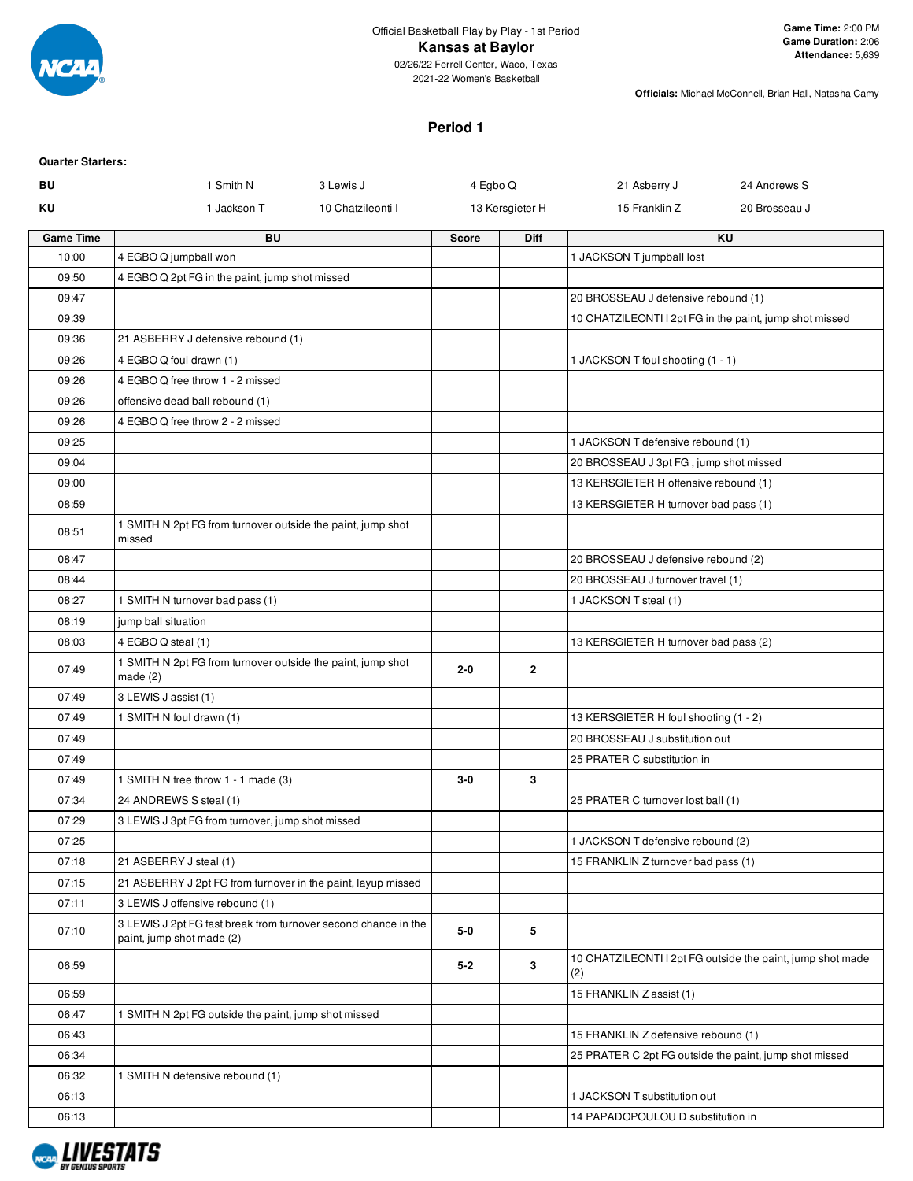

#### **Kansas at Baylor**

02/26/22 Ferrell Center, Waco, Texas 2021-22 Women's Basketball

**Officials:** Michael McConnell, Brian Hall, Natasha Camy

### **Period 1**

| <b>Quarter Starters:</b> |                                                                                             |                   |              |                 |                                        |                                                            |
|--------------------------|---------------------------------------------------------------------------------------------|-------------------|--------------|-----------------|----------------------------------------|------------------------------------------------------------|
| BU                       | 1 Smith N                                                                                   | 3 Lewis J         | 4 Egbo Q     |                 | 21 Asberry J                           | 24 Andrews S                                               |
| ΚU                       | 1 Jackson T                                                                                 | 10 Chatzileonti I |              | 13 Kersgieter H | 15 Franklin Z                          | 20 Brosseau J                                              |
| <b>Game Time</b>         | <b>BU</b>                                                                                   |                   | <b>Score</b> | Diff            |                                        | <b>KU</b>                                                  |
| 10:00                    | 4 EGBO Q jumpball won                                                                       |                   |              |                 | 1 JACKSON T jumpball lost              |                                                            |
| 09:50                    | 4 EGBO Q 2pt FG in the paint, jump shot missed                                              |                   |              |                 |                                        |                                                            |
| 09:47                    |                                                                                             |                   |              |                 | 20 BROSSEAU J defensive rebound (1)    |                                                            |
| 09:39                    |                                                                                             |                   |              |                 |                                        | 10 CHATZILEONTI I 2pt FG in the paint, jump shot missed    |
| 09:36                    | 21 ASBERRY J defensive rebound (1)                                                          |                   |              |                 |                                        |                                                            |
| 09:26                    | 4 EGBO Q foul drawn (1)                                                                     |                   |              |                 | 1 JACKSON T foul shooting (1 - 1)      |                                                            |
| 09:26                    | 4 EGBO Q free throw 1 - 2 missed                                                            |                   |              |                 |                                        |                                                            |
| 09:26                    | offensive dead ball rebound (1)                                                             |                   |              |                 |                                        |                                                            |
| 09:26                    | 4 EGBO Q free throw 2 - 2 missed                                                            |                   |              |                 |                                        |                                                            |
| 09:25                    |                                                                                             |                   |              |                 | 1 JACKSON T defensive rebound (1)      |                                                            |
| 09:04                    |                                                                                             |                   |              |                 | 20 BROSSEAU J 3pt FG, jump shot missed |                                                            |
| 09:00                    |                                                                                             |                   |              |                 | 13 KERSGIETER H offensive rebound (1)  |                                                            |
| 08:59                    |                                                                                             |                   |              |                 | 13 KERSGIETER H turnover bad pass (1)  |                                                            |
| 08:51                    | 1 SMITH N 2pt FG from turnover outside the paint, jump shot<br>missed                       |                   |              |                 |                                        |                                                            |
| 08:47                    |                                                                                             |                   |              |                 | 20 BROSSEAU J defensive rebound (2)    |                                                            |
| 08:44                    |                                                                                             |                   |              |                 | 20 BROSSEAU J turnover travel (1)      |                                                            |
| 08:27                    | 1 SMITH N turnover bad pass (1)                                                             |                   |              |                 | 1 JACKSON T steal (1)                  |                                                            |
| 08:19                    | jump ball situation                                                                         |                   |              |                 |                                        |                                                            |
| 08:03                    | 4 EGBO Q steal (1)                                                                          |                   |              |                 | 13 KERSGIETER H turnover bad pass (2)  |                                                            |
| 07:49                    | 1 SMITH N 2pt FG from turnover outside the paint, jump shot<br>made(2)                      |                   | $2 - 0$      | $\mathbf{2}$    |                                        |                                                            |
| 07:49                    | 3 LEWIS J assist (1)                                                                        |                   |              |                 |                                        |                                                            |
| 07:49                    | 1 SMITH N foul drawn (1)                                                                    |                   |              |                 | 13 KERSGIETER H foul shooting (1 - 2)  |                                                            |
| 07:49                    |                                                                                             |                   |              |                 | 20 BROSSEAU J substitution out         |                                                            |
| 07:49                    |                                                                                             |                   |              |                 | 25 PRATER C substitution in            |                                                            |
| 07:49                    | 1 SMITH N free throw 1 - 1 made (3)                                                         |                   | 3-0          | 3               |                                        |                                                            |
| 07:34                    | 24 ANDREWS S steal (1)                                                                      |                   |              |                 | 25 PRATER C turnover lost ball (1)     |                                                            |
| 07:29                    | 3 LEWIS J 3pt FG from turnover, jump shot missed                                            |                   |              |                 |                                        |                                                            |
| 07:25                    |                                                                                             |                   |              |                 | 1 JACKSON T defensive rebound (2)      |                                                            |
| 07:18                    | 21 ASBERRY J steal (1)                                                                      |                   |              |                 | 15 FRANKLIN Z turnover bad pass (1)    |                                                            |
| 07:15                    | 21 ASBERRY J 2pt FG from turnover in the paint, layup missed                                |                   |              |                 |                                        |                                                            |
| 07:11                    | 3 LEWIS J offensive rebound (1)                                                             |                   |              |                 |                                        |                                                            |
| 07:10                    | 3 LEWIS J 2pt FG fast break from turnover second chance in the<br>paint, jump shot made (2) |                   | $5-0$        | 5               |                                        |                                                            |
| 06:59                    |                                                                                             |                   | $5 - 2$      | 3               | (2)                                    | 10 CHATZILEONTI I 2pt FG outside the paint, jump shot made |
| 06:59                    |                                                                                             |                   |              |                 | 15 FRANKLIN Z assist (1)               |                                                            |
| 06:47                    | 1 SMITH N 2pt FG outside the paint, jump shot missed                                        |                   |              |                 |                                        |                                                            |
| 06:43                    |                                                                                             |                   |              |                 | 15 FRANKLIN Z defensive rebound (1)    |                                                            |
| 06:34                    |                                                                                             |                   |              |                 |                                        | 25 PRATER C 2pt FG outside the paint, jump shot missed     |
| 06:32                    | 1 SMITH N defensive rebound (1)                                                             |                   |              |                 |                                        |                                                            |
| 06:13                    |                                                                                             |                   |              |                 | 1 JACKSON T substitution out           |                                                            |
| 06:13                    |                                                                                             |                   |              |                 | 14 PAPADOPOULOU D substitution in      |                                                            |

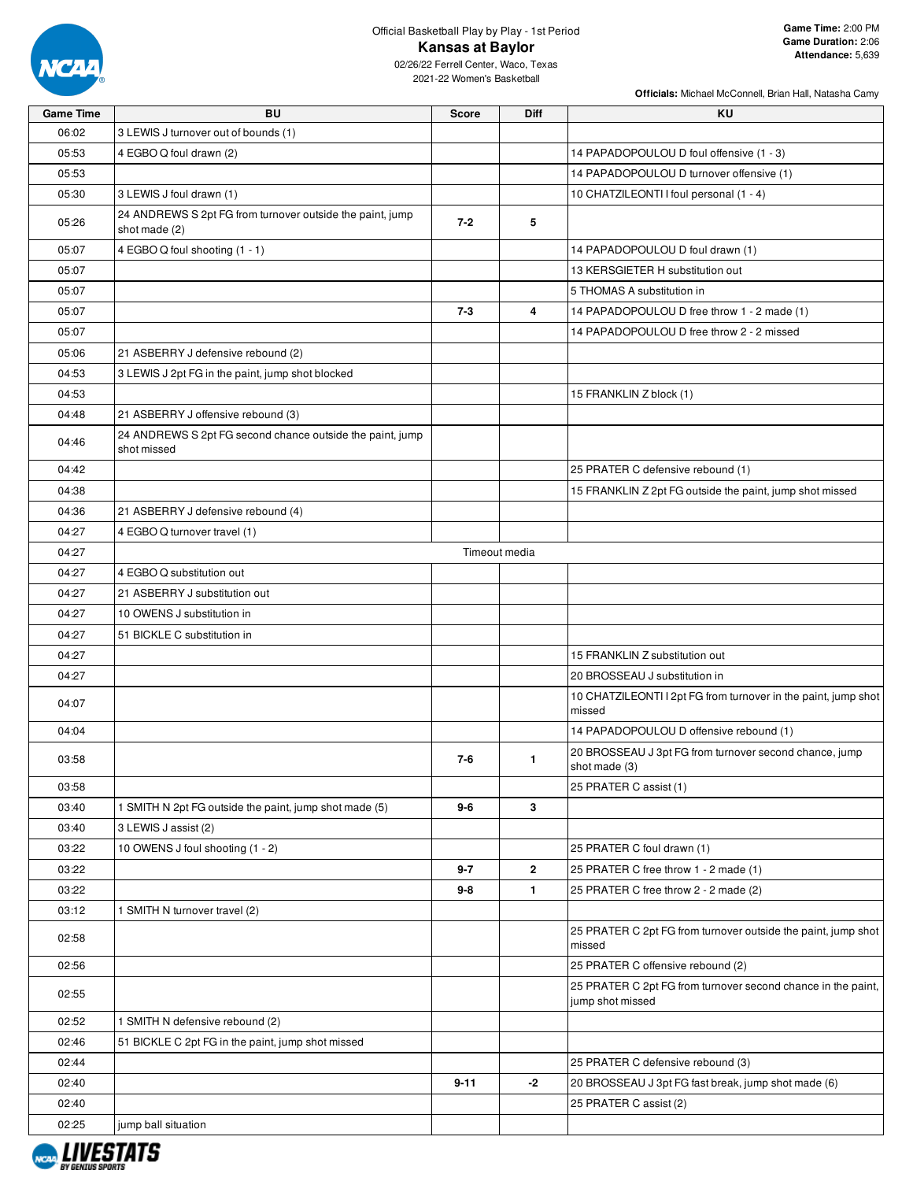

# Official Basketball Play by Play - 1st Period **Kansas at Baylor**

02/26/22 Ferrell Center, Waco, Texas 2021-22 Women's Basketball

| <b>Game Time</b> | <b>BU</b>                                                                  | <b>Score</b> | <b>Diff</b>   | KU                                                                               |
|------------------|----------------------------------------------------------------------------|--------------|---------------|----------------------------------------------------------------------------------|
| 06:02            | 3 LEWIS J turnover out of bounds (1)                                       |              |               |                                                                                  |
| 05:53            | 4 EGBO Q foul drawn (2)                                                    |              |               | 14 PAPADOPOULOU D foul offensive (1 - 3)                                         |
| 05:53            |                                                                            |              |               | 14 PAPADOPOULOU D turnover offensive (1)                                         |
| 05:30            | 3 LEWIS J foul drawn (1)                                                   |              |               | 10 CHATZILEONTI I foul personal (1 - 4)                                          |
| 05:26            | 24 ANDREWS S 2pt FG from turnover outside the paint, jump<br>shot made (2) | $7 - 2$      | 5             |                                                                                  |
| 05:07            | 4 EGBO Q foul shooting (1 - 1)                                             |              |               | 14 PAPADOPOULOU D foul drawn (1)                                                 |
| 05:07            |                                                                            |              |               | 13 KERSGIETER H substitution out                                                 |
| 05:07            |                                                                            |              |               | 5 THOMAS A substitution in                                                       |
| 05:07            |                                                                            | $7 - 3$      | 4             | 14 PAPADOPOULOU D free throw 1 - 2 made (1)                                      |
| 05:07            |                                                                            |              |               | 14 PAPADOPOULOU D free throw 2 - 2 missed                                        |
| 05:06            | 21 ASBERRY J defensive rebound (2)                                         |              |               |                                                                                  |
| 04:53            | 3 LEWIS J 2pt FG in the paint, jump shot blocked                           |              |               |                                                                                  |
| 04:53            |                                                                            |              |               | 15 FRANKLIN Z block (1)                                                          |
| 04:48            | 21 ASBERRY J offensive rebound (3)                                         |              |               |                                                                                  |
| 04:46            | 24 ANDREWS S 2pt FG second chance outside the paint, jump<br>shot missed   |              |               |                                                                                  |
| 04:42            |                                                                            |              |               | 25 PRATER C defensive rebound (1)                                                |
| 04:38            |                                                                            |              |               | 15 FRANKLIN Z 2pt FG outside the paint, jump shot missed                         |
| 04:36            | 21 ASBERRY J defensive rebound (4)                                         |              |               |                                                                                  |
| 04:27            | 4 EGBO Q turnover travel (1)                                               |              |               |                                                                                  |
| 04:27            |                                                                            |              | Timeout media |                                                                                  |
| 04:27            | 4 EGBO Q substitution out                                                  |              |               |                                                                                  |
| 04:27            | 21 ASBERRY J substitution out                                              |              |               |                                                                                  |
| 04:27            | 10 OWENS J substitution in                                                 |              |               |                                                                                  |
| 04:27            | 51 BICKLE C substitution in                                                |              |               |                                                                                  |
| 04:27            |                                                                            |              |               | 15 FRANKLIN Z substitution out                                                   |
| 04:27            |                                                                            |              |               | 20 BROSSEAU J substitution in                                                    |
| 04:07            |                                                                            |              |               | 10 CHATZILEONTI I 2pt FG from turnover in the paint, jump shot<br>missed         |
| 04:04            |                                                                            |              |               | 14 PAPADOPOULOU D offensive rebound (1)                                          |
| 03:58            |                                                                            | 7-6          | 1             | 20 BROSSEAU J 3pt FG from turnover second chance, jump<br>shot made (3)          |
| 03:58            |                                                                            |              |               | 25 PRATER C assist (1)                                                           |
| 03:40            | 1 SMITH N 2pt FG outside the paint, jump shot made (5)                     | 9-6          | 3             |                                                                                  |
| 03:40            | 3 LEWIS J assist (2)                                                       |              |               |                                                                                  |
| 03:22            | 10 OWENS J foul shooting (1 - 2)                                           |              |               | 25 PRATER C foul drawn (1)                                                       |
| 03:22            |                                                                            | 9-7          | $\mathbf{2}$  | 25 PRATER C free throw 1 - 2 made (1)                                            |
| 03:22            |                                                                            | 9-8          | $\mathbf{1}$  | 25 PRATER C free throw 2 - 2 made (2)                                            |
| 03:12            | 1 SMITH N turnover travel (2)                                              |              |               |                                                                                  |
| 02:58            |                                                                            |              |               | 25 PRATER C 2pt FG from turnover outside the paint, jump shot<br>missed          |
| 02:56            |                                                                            |              |               | 25 PRATER C offensive rebound (2)                                                |
| 02:55            |                                                                            |              |               | 25 PRATER C 2pt FG from turnover second chance in the paint,<br>jump shot missed |
| 02:52            | 1 SMITH N defensive rebound (2)                                            |              |               |                                                                                  |
| 02:46            | 51 BICKLE C 2pt FG in the paint, jump shot missed                          |              |               |                                                                                  |
| 02:44            |                                                                            |              |               | 25 PRATER C defensive rebound (3)                                                |
| 02:40            |                                                                            | $9 - 11$     | -2            | 20 BROSSEAU J 3pt FG fast break, jump shot made (6)                              |
| 02:40            |                                                                            |              |               | 25 PRATER C assist (2)                                                           |
| 02:25            | jump ball situation                                                        |              |               |                                                                                  |

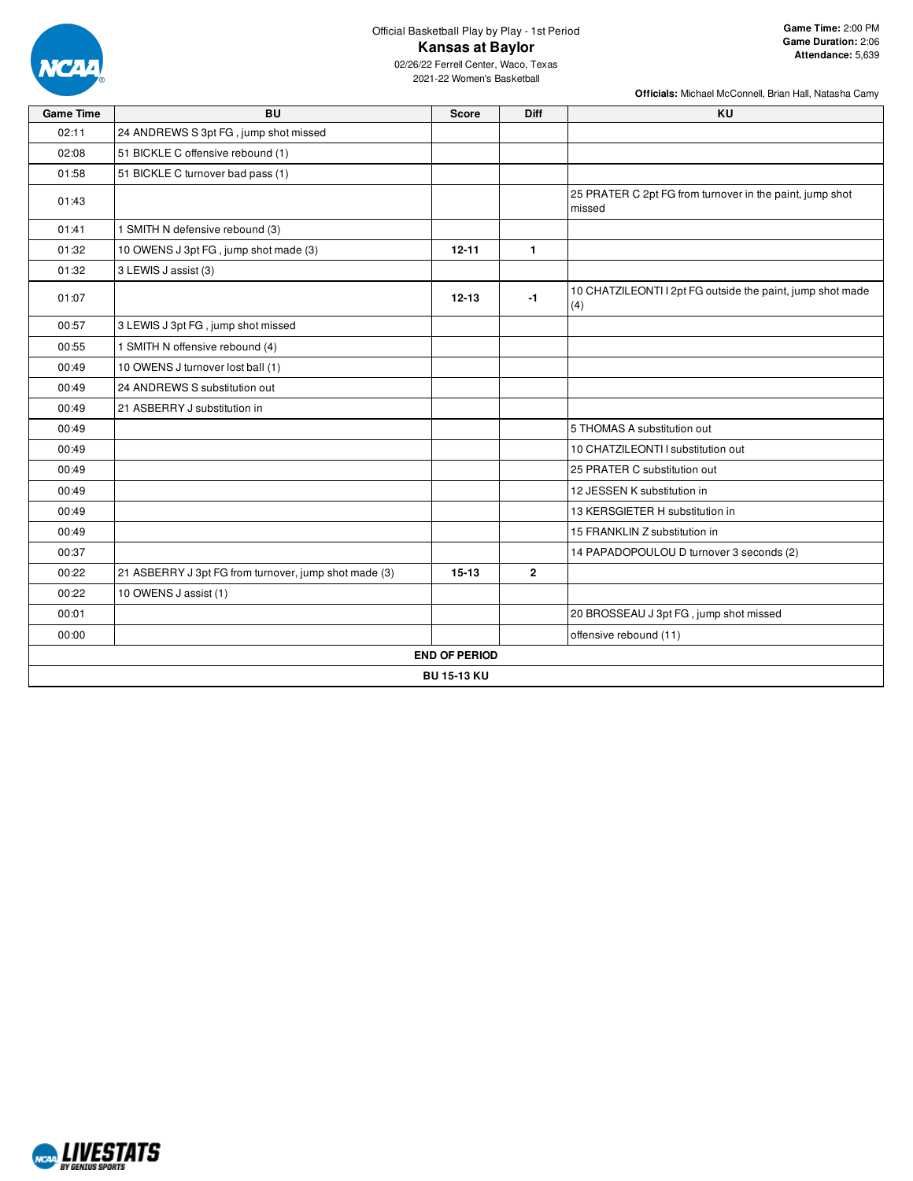

## Official Basketball Play by Play - 1st Period **Kansas at Baylor**

**Officials:** Michael McConnell, Brian Hall, Natasha Camy

02/26/22 Ferrell Center, Waco, Texas 2021-22 Women's Basketball

| <b>Game Time</b> | <b>BU</b>                                             | <b>Score</b>         | <b>Diff</b>  | <b>KU</b>                                                          |  |  |  |  |  |  |  |
|------------------|-------------------------------------------------------|----------------------|--------------|--------------------------------------------------------------------|--|--|--|--|--|--|--|
| 02:11            | 24 ANDREWS S 3pt FG, jump shot missed                 |                      |              |                                                                    |  |  |  |  |  |  |  |
| 02:08            | 51 BICKLE C offensive rebound (1)                     |                      |              |                                                                    |  |  |  |  |  |  |  |
| 01:58            | 51 BICKLE C turnover bad pass (1)                     |                      |              |                                                                    |  |  |  |  |  |  |  |
| 01:43            |                                                       |                      |              | 25 PRATER C 2pt FG from turnover in the paint, jump shot<br>missed |  |  |  |  |  |  |  |
| 01:41            | 1 SMITH N defensive rebound (3)                       |                      |              |                                                                    |  |  |  |  |  |  |  |
| 01:32            | 10 OWENS J 3pt FG, jump shot made (3)                 | $12 - 11$            | $\mathbf{1}$ |                                                                    |  |  |  |  |  |  |  |
| 01:32            | 3 LEWIS J assist (3)                                  |                      |              |                                                                    |  |  |  |  |  |  |  |
| 01:07            |                                                       | $12 - 13$            | $-1$         | 10 CHATZILEONTI I 2pt FG outside the paint, jump shot made<br>(4)  |  |  |  |  |  |  |  |
| 00:57            | 3 LEWIS J 3pt FG, jump shot missed                    |                      |              |                                                                    |  |  |  |  |  |  |  |
| 00:55            | 1 SMITH N offensive rebound (4)                       |                      |              |                                                                    |  |  |  |  |  |  |  |
| 00:49            | 10 OWENS J turnover lost ball (1)                     |                      |              |                                                                    |  |  |  |  |  |  |  |
| 00:49            | 24 ANDREWS S substitution out                         |                      |              |                                                                    |  |  |  |  |  |  |  |
| 00:49            | 21 ASBERRY J substitution in                          |                      |              |                                                                    |  |  |  |  |  |  |  |
| 00:49            |                                                       |                      |              | 5 THOMAS A substitution out                                        |  |  |  |  |  |  |  |
| 00:49            |                                                       |                      |              | 10 CHATZILEONTI I substitution out                                 |  |  |  |  |  |  |  |
| 00:49            |                                                       |                      |              | 25 PRATER C substitution out                                       |  |  |  |  |  |  |  |
| 00:49            |                                                       |                      |              | 12 JESSEN K substitution in                                        |  |  |  |  |  |  |  |
| 00:49            |                                                       |                      |              | 13 KERSGIETER H substitution in                                    |  |  |  |  |  |  |  |
| 00:49            |                                                       |                      |              | 15 FRANKLIN Z substitution in                                      |  |  |  |  |  |  |  |
| 00:37            |                                                       |                      |              | 14 PAPADOPOULOU D turnover 3 seconds (2)                           |  |  |  |  |  |  |  |
| 00:22            | 21 ASBERRY J 3pt FG from turnover, jump shot made (3) | $15-13$              | $\mathbf{2}$ |                                                                    |  |  |  |  |  |  |  |
| 00:22            | 10 OWENS J assist (1)                                 |                      |              |                                                                    |  |  |  |  |  |  |  |
| 00:01            |                                                       |                      |              | 20 BROSSEAU J 3pt FG, jump shot missed                             |  |  |  |  |  |  |  |
| 00:00            |                                                       |                      |              | offensive rebound (11)                                             |  |  |  |  |  |  |  |
|                  |                                                       | <b>END OF PERIOD</b> |              |                                                                    |  |  |  |  |  |  |  |
|                  | <b>BU 15-13 KU</b>                                    |                      |              |                                                                    |  |  |  |  |  |  |  |

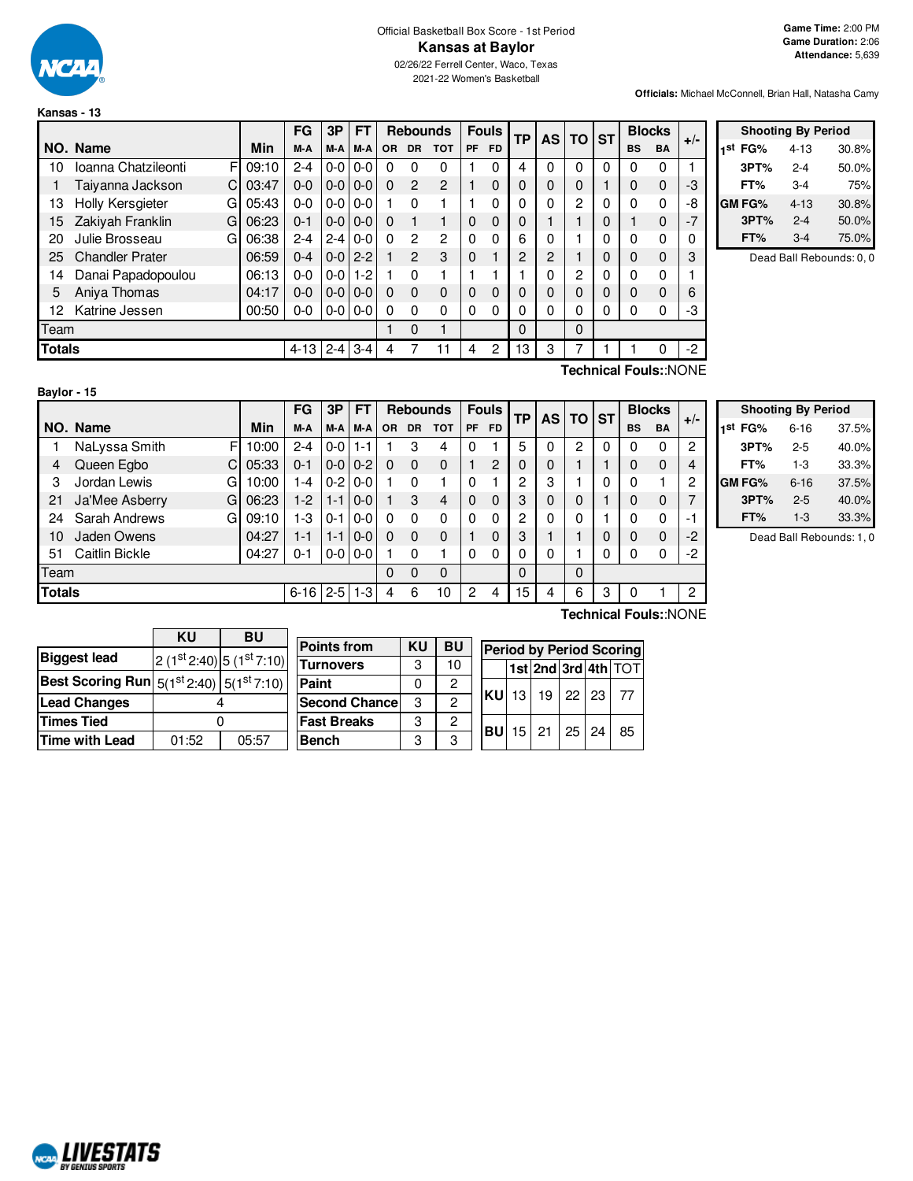

**Kansas - 13**

### Official Basketball Box Score - 1st Period **Kansas at Baylor** 02/26/22 Ferrell Center, Waco, Texas

2021-22 Women's Basketball

**Officials:** Michael McConnell, Brian Hall, Natasha Camy

|               |                          |       | FG      | 3P            | <b>FT</b> |     | <b>Rebounds</b> |                |    | <b>Fouls</b> |          | <b>TP</b> |   |   | <b>AS</b> | <b>TO</b> | <b>ST</b> |  | <b>Blocks</b> | $+/-$ |
|---------------|--------------------------|-------|---------|---------------|-----------|-----|-----------------|----------------|----|--------------|----------|-----------|---|---|-----------|-----------|-----------|--|---------------|-------|
|               | NO. Name                 | Min   | M-A     | M-A           | M-A       | OR. | <b>DR</b>       | <b>TOT</b>     | PF | <b>FD</b>    |          |           |   |   | <b>BS</b> | <b>BA</b> |           |  |               |       |
| 10            | Ioanna Chatzileonti<br>F | 09:10 | $2 - 4$ | $0 - 0$       | $0 - 0$   | 0   | 0               | 0              |    | 0            | 4        |           | 0 | 0 | 0         | 0         |           |  |               |       |
|               | C<br>Taiyanna Jackson    | 03:47 | $0 - 0$ | $0-0$         | $0-0$     | 0   | $\overline{2}$  | $\overline{2}$ |    | $\Omega$     | 0        |           | 0 |   | 0         | 0         | -3        |  |               |       |
| 13            | Holly Kersgieter<br>G    | 05:43 | $0 - 0$ | $0-0$         | $0 - 0$   |     | $\Omega$        |                |    | 0            | 0        |           | 2 | 0 | 0         | 0         | -8        |  |               |       |
| 15            | Zakiyah Franklin<br>G    | 06:23 | $0 - 1$ | $0-0$         | $0-0$     | 0   |                 |                | 0  | $\Omega$     | 0        |           |   | 0 |           | $\Omega$  | $-7$      |  |               |       |
| 20            | Julie Brosseau<br>G      | 06:38 | $2 - 4$ | $2 - 4$       | $0-0$     | 0   | $\overline{c}$  | $\mathbf{2}$   | 0  | $\Omega$     | 6        |           |   |   | 0         | 0         | 0         |  |               |       |
| 25            | <b>Chandler Prater</b>   | 06:59 | $0 - 4$ | $0 - 0$   2-2 |           |     | 2               | 3              | 0  |              | 2        | 2         |   | 0 | 0         | 0         | 3         |  |               |       |
| 14            | Danai Papadopoulou       | 06:13 | $0 - 0$ | $0 - 0$       | $1 - 2$   |     | $\Omega$        |                |    |              |          | U         | 2 | 0 | 0         | 0         |           |  |               |       |
| 5             | Aniya Thomas             | 04:17 | $0 - 0$ | $0 - 0$       | $0 - 0$   | 0   | $\Omega$        | $\Omega$       | 0  | $\Omega$     | $\Omega$ |           | 0 | 0 | 0         | $\Omega$  | 6         |  |               |       |
| 12            | Katrine Jessen           | 00:50 | $0-0$   | $0-0$         | $0-0$     | 0   | $\Omega$        | $\Omega$       | 0  | 0            | 0        |           | 0 | 0 | 0         | 0         | -3        |  |               |       |
| Team          |                          |       |         |               |           |     | $\Omega$        |                |    |              | $\Omega$ |           | 0 |   |           |           |           |  |               |       |
| <b>Totals</b> |                          |       | 4-13    | $2 - 4$       | $3 - 4$   | 4   |                 | 11             | 4  | 2            | 13       | 3         | 7 |   |           |           | -2        |  |               |       |
|               |                          |       |         |               |           |     |                 |                |    |              |          |           |   |   |           |           | $\sim$    |  |               |       |

| <b>Shooting By Period</b> |          |       |  |  |  |  |  |  |  |  |  |  |
|---------------------------|----------|-------|--|--|--|--|--|--|--|--|--|--|
| 1st<br>FG%                | $4 - 13$ | 30.8% |  |  |  |  |  |  |  |  |  |  |
| 3PT%                      | $2 - 4$  | 50.0% |  |  |  |  |  |  |  |  |  |  |
| FT%                       | $3 - 4$  | 75%   |  |  |  |  |  |  |  |  |  |  |
| <b>GM FG%</b>             | $4 - 13$ | 30.8% |  |  |  |  |  |  |  |  |  |  |
| 3PT%                      | $2 - 4$  | 50.0% |  |  |  |  |  |  |  |  |  |  |
| FT%                       | 3-4      | 75.0% |  |  |  |  |  |  |  |  |  |  |

Dead Ball Rebounds: 0, 0

**Baylor - 15**

**Technical Fouls:**:NONE

|               |                     |       | FG       | 3P      | <b>FT</b> |           | <b>Rebounds</b> |            |    | <b>Fouls</b> | <b>TP</b> |   | AS TO ST    |   |           | <b>Blocks</b> |                          |
|---------------|---------------------|-------|----------|---------|-----------|-----------|-----------------|------------|----|--------------|-----------|---|-------------|---|-----------|---------------|--------------------------|
|               | NO. Name            | Min   | M-A      | M-A     | M-A       | <b>OR</b> | <b>DR</b>       | <b>TOT</b> | PF | <b>FD</b>    |           |   |             |   | <b>BS</b> | BA            | $+/-$                    |
|               | NaLyssa Smith<br>F  | 10:00 | $2 - 4$  | $0-0$   | 1-1       |           | 3               | 4          | 0  |              | 5         |   | 2           | 0 | 0         | 0             | 2                        |
| 4             | Queen Egbo<br>C     | 05:33 | $0 - 1$  | $0 - 0$ | $0 - 2$   | 0         | 0               | 0          |    | 2            | 0         | 0 |             |   | 0         | $\mathbf 0$   | 4                        |
| 3             | Jordan Lewis<br>G   | 10:00 | 1-4      | $0 - 2$ | $0 - 0$   |           | 0               |            | 0  |              | 2         | 3 |             | 0 | 0         |               | 2                        |
| 21            | Ja'Mee Asberry<br>G | 06:23 | $1-2$    | $1 - 1$ | $0 - 0$   |           | 3               | 4          | 0  | $\Omega$     | 3         | 0 | 0           |   | 0         | 0             |                          |
| 24            | Sarah Andrews<br>G  | 09:10 | 1-3      | $0 - 1$ | $0 - 0$   | 0         | 0               | 0          | 0  | 0            | 2         | 0 | $\mathbf 0$ |   | 0         | 0             | $\overline{\phantom{a}}$ |
| 10            | Jaden Owens         | 04:27 | $1 - 1$  | $1 - 1$ | $0-0$     | 0         | 0               | 0          |    | 0            | 3         |   |             | 0 | 0         | $\mathbf 0$   | -2                       |
| 51            | Caitlin Bickle      | 04:27 | 0-1      | $0-0$   | $0-0$     |           | 0               |            | 0  | 0            | 0         | 0 |             | 0 | 0         | 0             | -2                       |
| Team          |                     |       |          |         |           | 0         | 0               | $\Omega$   |    |              | 0         |   | 0           |   |           |               |                          |
| <b>Totals</b> |                     |       | $6 - 16$ | $2 - 5$ | $1 - 3$   | 4         | 6               | 10         | 2  | 4            | 15        | 4 | 6           | 3 | 0         |               | 2                        |
|               |                     |       |          |         |           |           |                 |            |    |              |           |   |             |   |           |               |                          |

| <b>Shooting By Period</b> |          |       |  |  |  |  |  |  |  |  |  |  |
|---------------------------|----------|-------|--|--|--|--|--|--|--|--|--|--|
| 1 <sup>st</sup> FG%       | $6 - 16$ | 37.5% |  |  |  |  |  |  |  |  |  |  |
| 3PT%                      | $2 - 5$  | 40.0% |  |  |  |  |  |  |  |  |  |  |
| FT%                       | $1-3$    | 33.3% |  |  |  |  |  |  |  |  |  |  |
| <b>GMFG%</b>              | $6 - 16$ | 37.5% |  |  |  |  |  |  |  |  |  |  |
| 3PT%                      | $2 - 5$  | 40.0% |  |  |  |  |  |  |  |  |  |  |
| FT%                       | $1 - 3$  | 33.3% |  |  |  |  |  |  |  |  |  |  |

Dead Ball Rebounds: 1, 0

|                       | KU                                                      | BU                            |  |  |  |  |  |
|-----------------------|---------------------------------------------------------|-------------------------------|--|--|--|--|--|
| <b>Biggest lead</b>   |                                                         | 2 $(1st 2:40)$ 5 $(1st 7:10)$ |  |  |  |  |  |
|                       | <b>Best Scoring Run</b> $5(1^{st}2:40)$ $5(1^{st}7:10)$ |                               |  |  |  |  |  |
| <b>Lead Changes</b>   |                                                         |                               |  |  |  |  |  |
| <b>Times Tied</b>     |                                                         |                               |  |  |  |  |  |
| <b>Time with Lead</b> | 01:52                                                   | 05:57                         |  |  |  |  |  |

| <b>Points from</b>   | KU | <b>BU</b> | <b>Period</b> |    |
|----------------------|----|-----------|---------------|----|
| <b>Turnovers</b>     | 3  | 10        |               | 1s |
| Paint                | 0  | 2         |               |    |
| <b>Second Chance</b> | 3  | 2         | <b>KU</b>     | 13 |
| <b>Fast Breaks</b>   | 3  | 2         | <b>BU</b>     | 15 |
| <b>Bench</b>         | 3  | 3         |               |    |

| U      | <b>Period by Period Scoring</b> |  |                               |  |  |                     |  |  |  |  |  |  |
|--------|---------------------------------|--|-------------------------------|--|--|---------------------|--|--|--|--|--|--|
| 0      |                                 |  |                               |  |  | 1st 2nd 3rd 4th TOT |  |  |  |  |  |  |
| 2<br>ጋ |                                 |  | KU 13 19 22 23 77             |  |  |                     |  |  |  |  |  |  |
|        |                                 |  | $ BU $ 15   21   25   24   85 |  |  |                     |  |  |  |  |  |  |
| ג      |                                 |  |                               |  |  |                     |  |  |  |  |  |  |

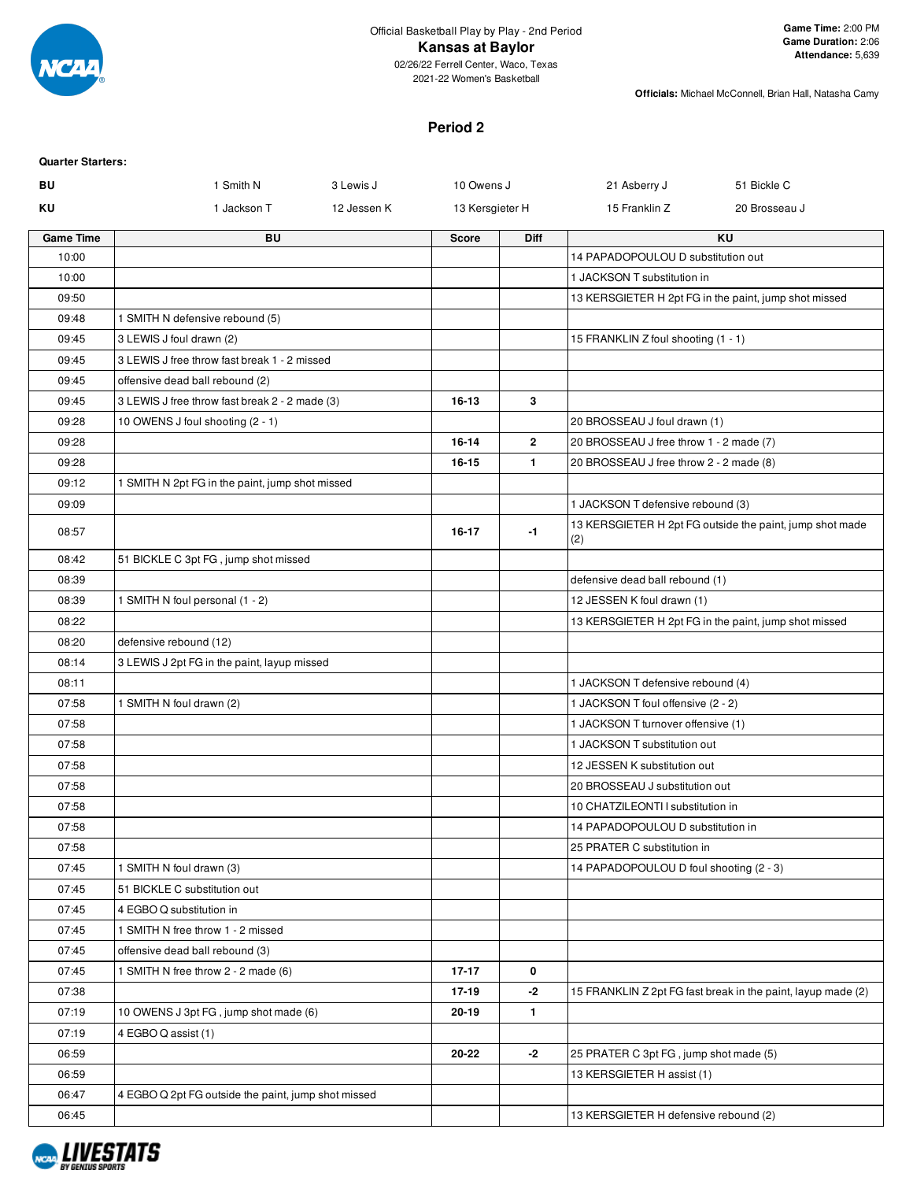

02/26/22 Ferrell Center, Waco, Texas 2021-22 Women's Basketball

**Officials:** Michael McConnell, Brian Hall, Natasha Camy

## **Period 2**

| <b>Quarter Starters:</b> |                                                     |             |                 |                |                                         |                                                              |
|--------------------------|-----------------------------------------------------|-------------|-----------------|----------------|-----------------------------------------|--------------------------------------------------------------|
| BU                       | 1 Smith N                                           | 3 Lewis J   | 10 Owens J      |                | 21 Asberry J                            | 51 Bickle C                                                  |
| ΚU                       | 1 Jackson T                                         | 12 Jessen K | 13 Kersgieter H |                | 15 Franklin Z                           | 20 Brosseau J                                                |
| <b>Game Time</b>         | <b>BU</b>                                           |             | <b>Score</b>    | <b>Diff</b>    |                                         | KU                                                           |
| 10:00                    |                                                     |             |                 |                | 14 PAPADOPOULOU D substitution out      |                                                              |
| 10:00                    |                                                     |             |                 |                | 1 JACKSON T substitution in             |                                                              |
| 09:50                    |                                                     |             |                 |                |                                         | 13 KERSGIETER H 2pt FG in the paint, jump shot missed        |
| 09:48                    | 1 SMITH N defensive rebound (5)                     |             |                 |                |                                         |                                                              |
| 09:45                    | 3 LEWIS J foul drawn (2)                            |             |                 |                | 15 FRANKLIN Z foul shooting (1 - 1)     |                                                              |
| 09:45                    | 3 LEWIS J free throw fast break 1 - 2 missed        |             |                 |                |                                         |                                                              |
| 09:45                    | offensive dead ball rebound (2)                     |             |                 |                |                                         |                                                              |
| 09:45                    | 3 LEWIS J free throw fast break 2 - 2 made (3)      |             | 16-13           | 3              |                                         |                                                              |
| 09:28                    | 10 OWENS J foul shooting (2 - 1)                    |             |                 |                | 20 BROSSEAU J foul drawn (1)            |                                                              |
| 09:28                    |                                                     |             | $16 - 14$       | $\overline{2}$ | 20 BROSSEAU J free throw 1 - 2 made (7) |                                                              |
| 09:28                    |                                                     |             | 16-15           | $\mathbf{1}$   | 20 BROSSEAU J free throw 2 - 2 made (8) |                                                              |
| 09:12                    | 1 SMITH N 2pt FG in the paint, jump shot missed     |             |                 |                |                                         |                                                              |
| 09:09                    |                                                     |             |                 |                | 1 JACKSON T defensive rebound (3)       |                                                              |
| 08:57                    |                                                     |             | $16 - 17$       | $-1$           | (2)                                     | 13 KERSGIETER H 2pt FG outside the paint, jump shot made     |
| 08:42                    | 51 BICKLE C 3pt FG, jump shot missed                |             |                 |                |                                         |                                                              |
| 08:39                    |                                                     |             |                 |                | defensive dead ball rebound (1)         |                                                              |
| 08:39                    | 1 SMITH N foul personal (1 - 2)                     |             |                 |                | 12 JESSEN K foul drawn (1)              |                                                              |
| 08:22                    |                                                     |             |                 |                |                                         | 13 KERSGIETER H 2pt FG in the paint, jump shot missed        |
| 08:20                    | defensive rebound (12)                              |             |                 |                |                                         |                                                              |
| 08:14                    | 3 LEWIS J 2pt FG in the paint, layup missed         |             |                 |                |                                         |                                                              |
| 08:11                    |                                                     |             |                 |                | 1 JACKSON T defensive rebound (4)       |                                                              |
| 07:58                    | 1 SMITH N foul drawn (2)                            |             |                 |                | 1 JACKSON T foul offensive (2 - 2)      |                                                              |
| 07:58                    |                                                     |             |                 |                | 1 JACKSON T turnover offensive (1)      |                                                              |
| 07:58                    |                                                     |             |                 |                | 1 JACKSON T substitution out            |                                                              |
| 07:58                    |                                                     |             |                 |                | 12 JESSEN K substitution out            |                                                              |
| 07:58                    |                                                     |             |                 |                | 20 BROSSEAU J substitution out          |                                                              |
| 07:58                    |                                                     |             |                 |                | 10 CHATZILEONTI I substitution in       |                                                              |
| 07:58                    |                                                     |             |                 |                | 14 PAPADOPOULOU D substitution in       |                                                              |
| 07:58                    |                                                     |             |                 |                | 25 PRATER C substitution in             |                                                              |
| 07:45                    | 1 SMITH N foul drawn (3)                            |             |                 |                | 14 PAPADOPOULOU D foul shooting (2 - 3) |                                                              |
| 07:45                    | 51 BICKLE C substitution out                        |             |                 |                |                                         |                                                              |
| 07:45                    | 4 EGBO Q substitution in                            |             |                 |                |                                         |                                                              |
| 07:45                    | 1 SMITH N free throw 1 - 2 missed                   |             |                 |                |                                         |                                                              |
| 07:45                    | offensive dead ball rebound (3)                     |             |                 |                |                                         |                                                              |
| 07:45                    | 1 SMITH N free throw 2 - 2 made (6)                 |             | $17 - 17$       | 0              |                                         |                                                              |
| 07:38                    |                                                     |             | 17-19           | $-2$           |                                         | 15 FRANKLIN Z 2pt FG fast break in the paint, layup made (2) |
| 07:19                    | 10 OWENS J 3pt FG, jump shot made (6)               |             | 20-19           | $\mathbf{1}$   |                                         |                                                              |
| 07:19                    | 4 EGBO Q assist (1)                                 |             |                 |                |                                         |                                                              |
| 06:59                    |                                                     |             | 20-22           | $-2$           | 25 PRATER C 3pt FG, jump shot made (5)  |                                                              |
| 06:59                    |                                                     |             |                 |                | 13 KERSGIETER H assist (1)              |                                                              |
| 06:47                    | 4 EGBO Q 2pt FG outside the paint, jump shot missed |             |                 |                |                                         |                                                              |
| 06:45                    |                                                     |             |                 |                | 13 KERSGIETER H defensive rebound (2)   |                                                              |
|                          |                                                     |             |                 |                |                                         |                                                              |

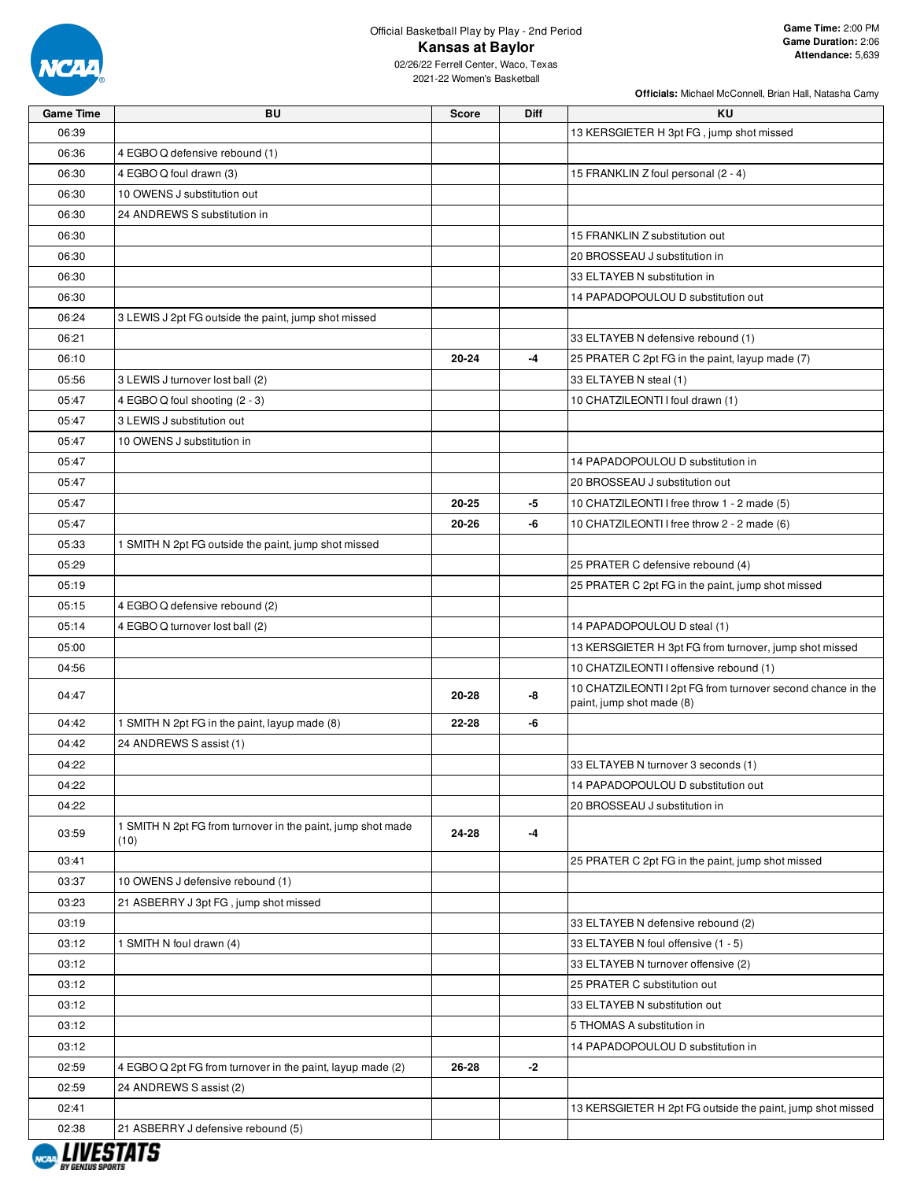

# Official Basketball Play by Play - 2nd Period **Kansas at Baylor**

02/26/22 Ferrell Center, Waco, Texas 2021-22 Women's Basketball

| <b>Game Time</b> | BU                                                          | <b>Score</b> | <b>Diff</b> | KU                                                          |
|------------------|-------------------------------------------------------------|--------------|-------------|-------------------------------------------------------------|
| 06:39            |                                                             |              |             | 13 KERSGIETER H 3pt FG, jump shot missed                    |
| 06:36            | 4 EGBO Q defensive rebound (1)                              |              |             |                                                             |
| 06:30            | 4 EGBO Q foul drawn (3)                                     |              |             | 15 FRANKLIN Z foul personal (2 - 4)                         |
| 06:30            | 10 OWENS J substitution out                                 |              |             |                                                             |
| 06:30            | 24 ANDREWS S substitution in                                |              |             |                                                             |
| 06:30            |                                                             |              |             | 15 FRANKLIN Z substitution out                              |
| 06:30            |                                                             |              |             | 20 BROSSEAU J substitution in                               |
| 06:30            |                                                             |              |             | 33 ELTAYEB N substitution in                                |
| 06:30            |                                                             |              |             | 14 PAPADOPOULOU D substitution out                          |
| 06:24            | 3 LEWIS J 2pt FG outside the paint, jump shot missed        |              |             |                                                             |
| 06:21            |                                                             |              |             | 33 ELTAYEB N defensive rebound (1)                          |
| 06:10            |                                                             | 20-24        | -4          | 25 PRATER C 2pt FG in the paint, layup made (7)             |
| 05:56            | 3 LEWIS J turnover lost ball (2)                            |              |             | 33 ELTAYEB N steal (1)                                      |
| 05:47            | 4 EGBO Q foul shooting (2 - 3)                              |              |             | 10 CHATZILEONTI I foul drawn (1)                            |
| 05:47            | 3 LEWIS J substitution out                                  |              |             |                                                             |
| 05:47            | 10 OWENS J substitution in                                  |              |             |                                                             |
| 05:47            |                                                             |              |             | 14 PAPADOPOULOU D substitution in                           |
| 05:47            |                                                             |              |             | 20 BROSSEAU J substitution out                              |
| 05:47            |                                                             | 20-25        | -5          | 10 CHATZILEONTI I free throw 1 - 2 made (5)                 |
| 05:47            |                                                             | 20-26        | -6          | 10 CHATZILEONTI I free throw 2 - 2 made (6)                 |
| 05:33            | 1 SMITH N 2pt FG outside the paint, jump shot missed        |              |             |                                                             |
| 05:29            |                                                             |              |             | 25 PRATER C defensive rebound (4)                           |
| 05:19            |                                                             |              |             | 25 PRATER C 2pt FG in the paint, jump shot missed           |
| 05:15            | 4 EGBO Q defensive rebound (2)                              |              |             |                                                             |
| 05:14            | 4 EGBO Q turnover lost ball (2)                             |              |             | 14 PAPADOPOULOU D steal (1)                                 |
| 05:00            |                                                             |              |             | 13 KERSGIETER H 3pt FG from turnover, jump shot missed      |
| 04:56            |                                                             |              |             | 10 CHATZILEONTI I offensive rebound (1)                     |
|                  |                                                             |              |             | 10 CHATZILEONTI I 2pt FG from turnover second chance in the |
| 04:47            |                                                             | 20-28        | -8          | paint, jump shot made (8)                                   |
| 04:42            | 1 SMITH N 2pt FG in the paint, layup made (8)               | $22 - 28$    | -6          |                                                             |
| 04:42            | 24 ANDREWS S assist (1)                                     |              |             |                                                             |
| 04:22            |                                                             |              |             | 33 ELTAYEB N turnover 3 seconds (1)                         |
| 04:22            |                                                             |              |             | 14 PAPADOPOULOU D substitution out                          |
| 04:22            |                                                             |              |             | 20 BROSSEAU J substitution in                               |
| 03:59            | 1 SMITH N 2pt FG from turnover in the paint, jump shot made | 24-28        | -4          |                                                             |
|                  | (10)                                                        |              |             |                                                             |
| 03:41            |                                                             |              |             | 25 PRATER C 2pt FG in the paint, jump shot missed           |
| 03:37            | 10 OWENS J defensive rebound (1)                            |              |             |                                                             |
| 03:23            | 21 ASBERRY J 3pt FG, jump shot missed                       |              |             |                                                             |
| 03:19            |                                                             |              |             | 33 ELTAYEB N defensive rebound (2)                          |
| 03:12            | 1 SMITH N foul drawn (4)                                    |              |             | 33 ELTAYEB N foul offensive (1 - 5)                         |
| 03:12            |                                                             |              |             | 33 ELTAYEB N turnover offensive (2)                         |
| 03:12            |                                                             |              |             | 25 PRATER C substitution out                                |
| 03:12            |                                                             |              |             | 33 ELTAYEB N substitution out                               |
| 03:12            |                                                             |              |             | 5 THOMAS A substitution in                                  |
| 03:12            |                                                             |              |             | 14 PAPADOPOULOU D substitution in                           |
| 02:59            | 4 EGBO Q 2pt FG from turnover in the paint, layup made (2)  | 26-28        | -2          |                                                             |
| 02:59            | 24 ANDREWS S assist (2)                                     |              |             |                                                             |
| 02:41            |                                                             |              |             | 13 KERSGIETER H 2pt FG outside the paint, jump shot missed  |
| 02:38            | 21 ASBERRY J defensive rebound (5)                          |              |             |                                                             |
|                  |                                                             |              |             |                                                             |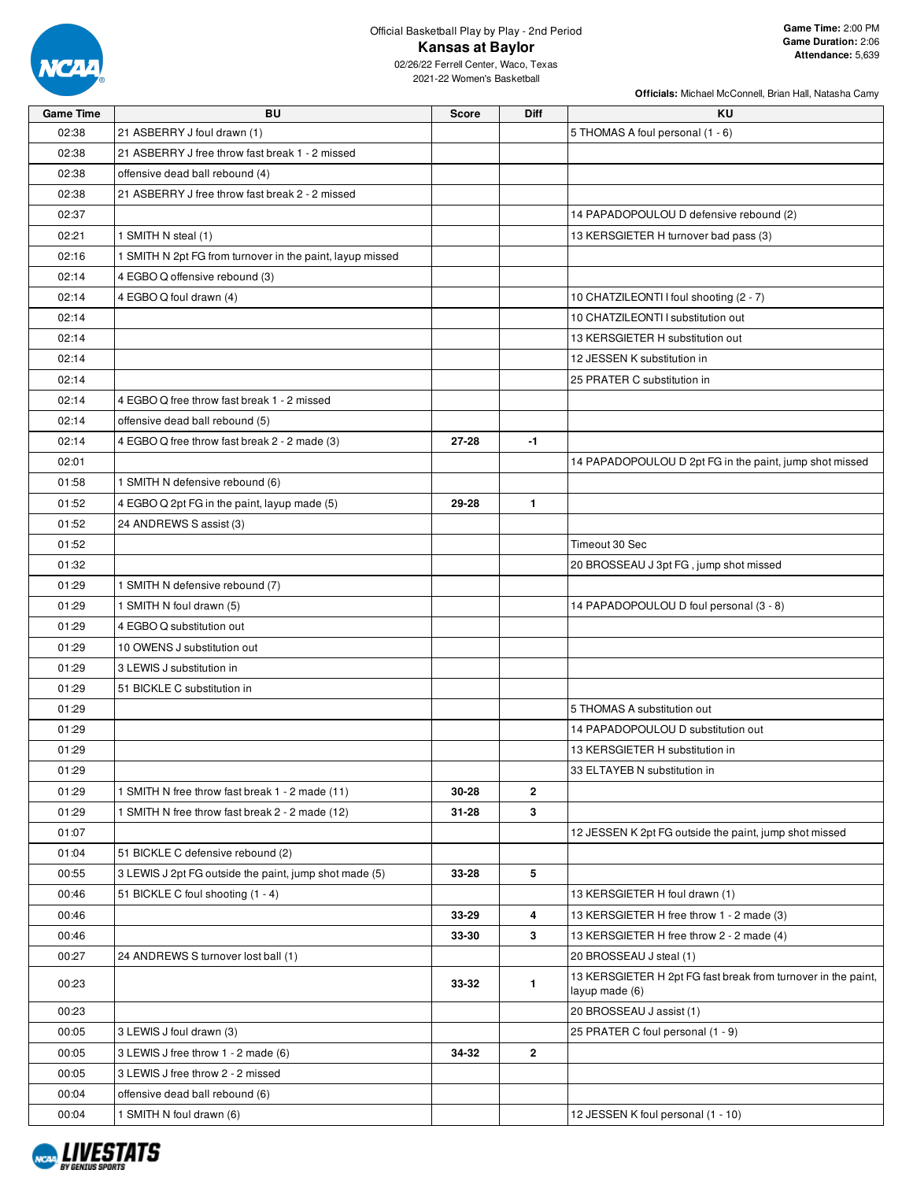

### Official Basketball Play by Play - 2nd Period **Kansas at Baylor** 02/26/22 Ferrell Center, Waco, Texas

**Officials:** Michael McConnell, Brian Hall, Natasha Camy

2021-22 Women's Basketball

| <b>Game Time</b> | <b>BU</b>                                                 | <b>Score</b> | Diff         | <b>KU</b>                                                                                |
|------------------|-----------------------------------------------------------|--------------|--------------|------------------------------------------------------------------------------------------|
| 02:38            | 21 ASBERRY J foul drawn (1)                               |              |              | 5 THOMAS A foul personal (1 - 6)                                                         |
| 02:38            | 21 ASBERRY J free throw fast break 1 - 2 missed           |              |              |                                                                                          |
| 02:38            | offensive dead ball rebound (4)                           |              |              |                                                                                          |
| 02:38            | 21 ASBERRY J free throw fast break 2 - 2 missed           |              |              |                                                                                          |
| 02:37            |                                                           |              |              | 14 PAPADOPOULOU D defensive rebound (2)                                                  |
| 02:21            | 1 SMITH N steal (1)                                       |              |              | 13 KERSGIETER H turnover bad pass (3)                                                    |
| 02:16            | 1 SMITH N 2pt FG from turnover in the paint, layup missed |              |              |                                                                                          |
| 02:14            | 4 EGBO Q offensive rebound (3)                            |              |              |                                                                                          |
| 02:14            | 4 EGBO Q foul drawn (4)                                   |              |              | 10 CHATZILEONTI I foul shooting (2 - 7)                                                  |
| 02:14            |                                                           |              |              | 10 CHATZILEONTI I substitution out                                                       |
| 02:14            |                                                           |              |              | 13 KERSGIETER H substitution out                                                         |
| 02:14            |                                                           |              |              | 12 JESSEN K substitution in                                                              |
| 02:14            |                                                           |              |              | 25 PRATER C substitution in                                                              |
| 02:14            | 4 EGBO Q free throw fast break 1 - 2 missed               |              |              |                                                                                          |
| 02:14            | offensive dead ball rebound (5)                           |              |              |                                                                                          |
| 02:14            | 4 EGBO Q free throw fast break 2 - 2 made (3)             | 27-28        | $-1$         |                                                                                          |
| 02:01            |                                                           |              |              | 14 PAPADOPOULOU D 2pt FG in the paint, jump shot missed                                  |
| 01:58            | 1 SMITH N defensive rebound (6)                           |              |              |                                                                                          |
| 01:52            | 4 EGBO Q 2pt FG in the paint, layup made (5)              | 29-28        | $\mathbf{1}$ |                                                                                          |
| 01:52            | 24 ANDREWS S assist (3)                                   |              |              |                                                                                          |
| 01:52            |                                                           |              |              | Timeout 30 Sec                                                                           |
| 01:32            |                                                           |              |              | 20 BROSSEAU J 3pt FG, jump shot missed                                                   |
| 01:29            | 1 SMITH N defensive rebound (7)                           |              |              |                                                                                          |
| 01:29            | 1 SMITH N foul drawn (5)                                  |              |              | 14 PAPADOPOULOU D foul personal (3 - 8)                                                  |
| 01:29            | 4 EGBO Q substitution out                                 |              |              |                                                                                          |
| 01:29            | 10 OWENS J substitution out                               |              |              |                                                                                          |
| 01:29            | 3 LEWIS J substitution in                                 |              |              |                                                                                          |
| 01:29            | 51 BICKLE C substitution in                               |              |              |                                                                                          |
| 01:29            |                                                           |              |              | 5 THOMAS A substitution out                                                              |
| 01:29            |                                                           |              |              | 14 PAPADOPOULOU D substitution out                                                       |
| 01:29            |                                                           |              |              | 13 KERSGIETER H substitution in                                                          |
| 01:29            |                                                           |              |              | 33 ELTAYEB N substitution in                                                             |
| 01:29            | 1 SMITH N free throw fast break 1 - 2 made (11)           | 30-28        | $\mathbf{2}$ |                                                                                          |
| 01:29            | 1 SMITH N free throw fast break 2 - 2 made (12)           | 31-28        | 3            |                                                                                          |
| 01:07            |                                                           |              |              | 12 JESSEN K 2pt FG outside the paint, jump shot missed                                   |
| 01:04            | 51 BICKLE C defensive rebound (2)                         |              |              |                                                                                          |
| 00:55            | 3 LEWIS J 2pt FG outside the paint, jump shot made (5)    | 33-28        | 5            |                                                                                          |
| 00:46            | 51 BICKLE C foul shooting (1 - 4)                         |              |              | 13 KERSGIETER H foul drawn (1)                                                           |
| 00:46            |                                                           | 33-29        | 4            | 13 KERSGIETER H free throw 1 - 2 made (3)                                                |
| 00:46            |                                                           | 33-30        | 3            | 13 KERSGIETER H free throw 2 - 2 made (4)                                                |
|                  | 24 ANDREWS S turnover lost ball (1)                       |              |              |                                                                                          |
| 00:27            |                                                           |              |              | 20 BROSSEAU J steal (1)<br>13 KERSGIETER H 2pt FG fast break from turnover in the paint, |
| 00:23            |                                                           | 33-32        | $\mathbf{1}$ | layup made (6)                                                                           |
| 00:23            |                                                           |              |              | 20 BROSSEAU J assist (1)                                                                 |
| 00:05            | 3 LEWIS J foul drawn (3)                                  |              |              | 25 PRATER C foul personal (1 - 9)                                                        |
| 00:05            | 3 LEWIS J free throw 1 - 2 made (6)                       | 34-32        | $\mathbf{2}$ |                                                                                          |
| 00:05            | 3 LEWIS J free throw 2 - 2 missed                         |              |              |                                                                                          |
| 00:04            | offensive dead ball rebound (6)                           |              |              |                                                                                          |
| 00:04            | 1 SMITH N foul drawn (6)                                  |              |              | 12 JESSEN K foul personal (1 - 10)                                                       |

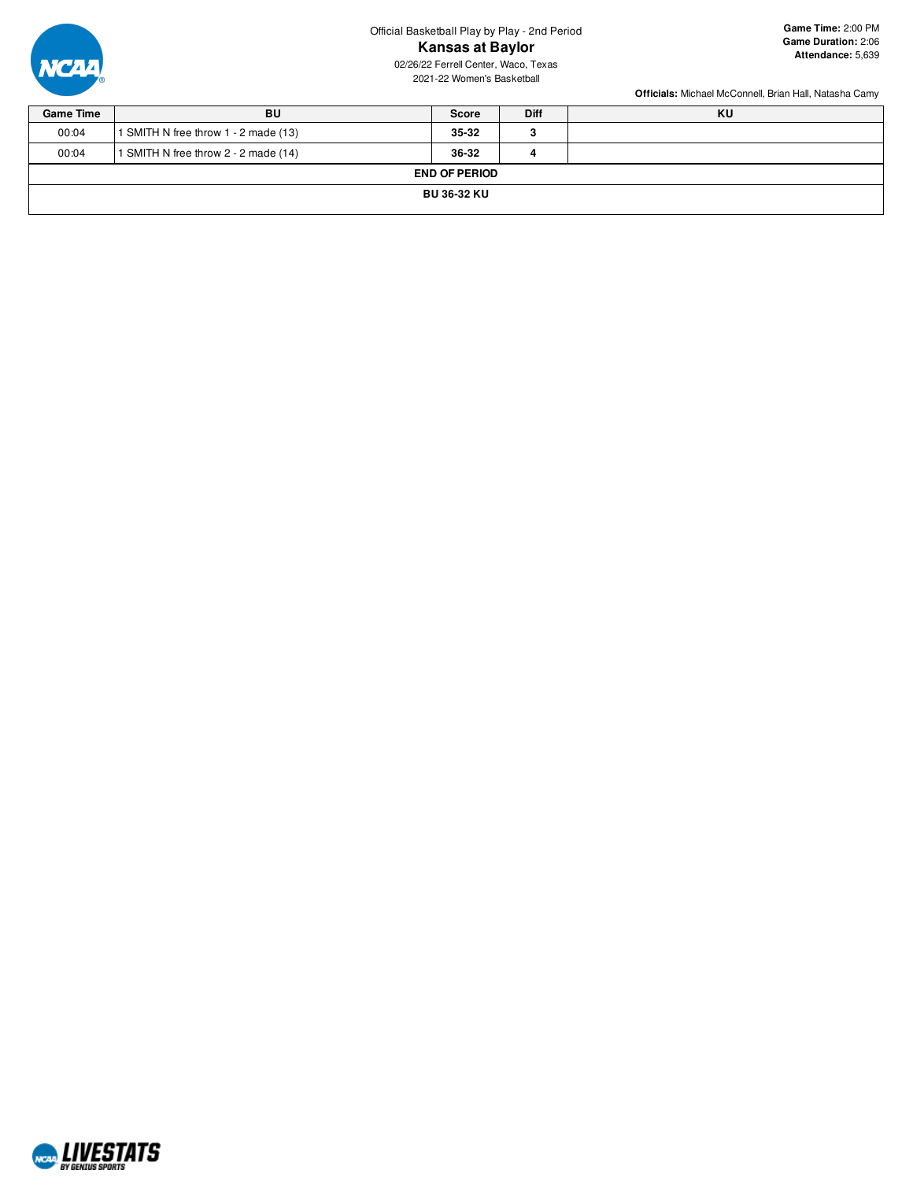Official Basketball Play by Play - 2nd Period **Kansas at Baylor** 02/26/22 Ferrell Center, Waco, Texas

2021-22 Women's Basketball

**Game Time:** 2:00 PM **Game Duration:** 2:06 **Attendance:** 5,639



| BU                                   | Score | <b>Diff</b> | KU |  |  |  |  |  |  |
|--------------------------------------|-------|-------------|----|--|--|--|--|--|--|
| 1 SMITH N free throw 1 - 2 made (13) | 35-32 | з           |    |  |  |  |  |  |  |
| 1 SMITH N free throw 2 - 2 made (14) | 36-32 | 4           |    |  |  |  |  |  |  |
| <b>END OF PERIOD</b>                 |       |             |    |  |  |  |  |  |  |
| <b>BU 36-32 KU</b>                   |       |             |    |  |  |  |  |  |  |
|                                      |       |             |    |  |  |  |  |  |  |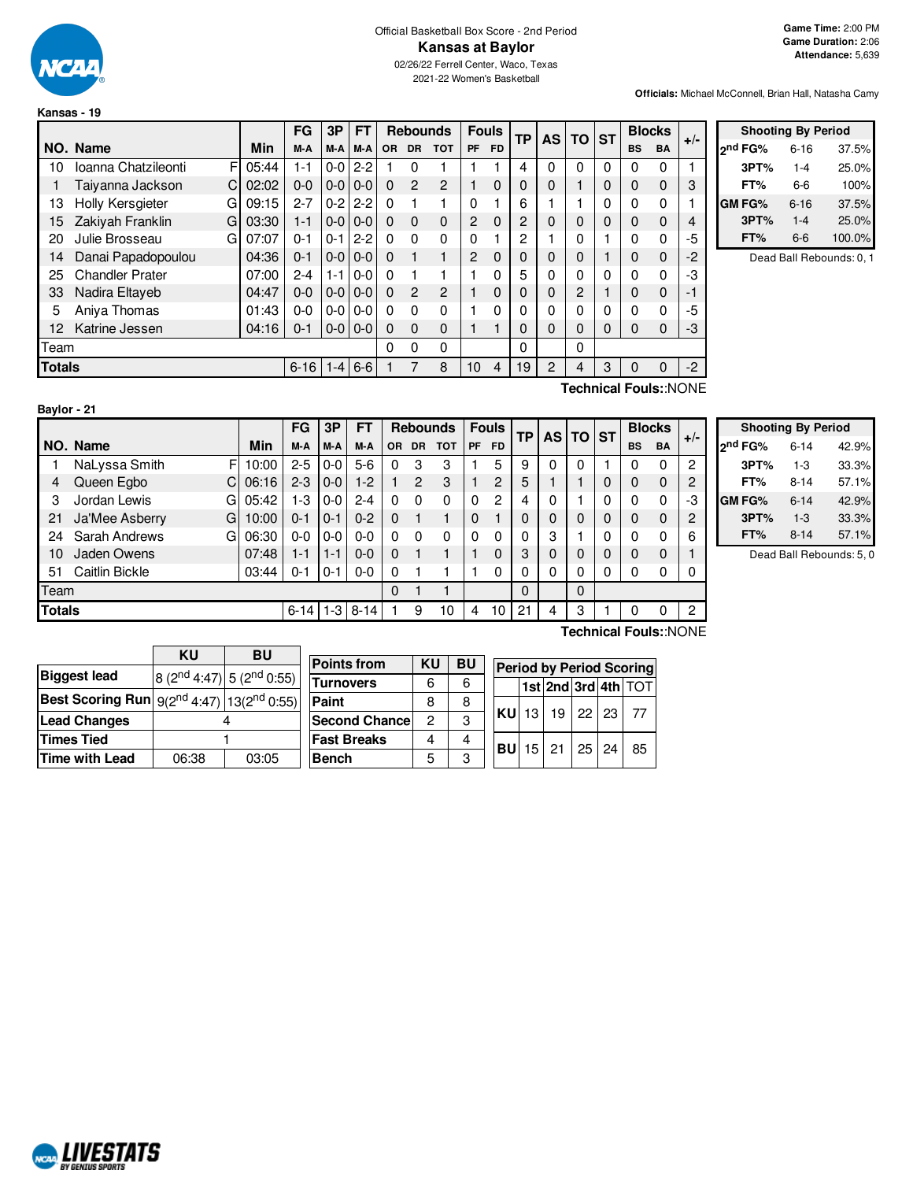

**Kansas - 19**

### Official Basketball Box Score - 2nd Period **Kansas at Baylor** 02/26/22 Ferrell Center, Waco, Texas

2021-22 Women's Basketball

**Officials:** Michael McConnell, Brian Hall, Natasha Camy

|               |                          |       | FG       | 3P      | FT            | <b>Rebounds</b> |           |                |              |           |          |          |          | <b>Fouls</b> |           | <b>TP</b> | <b>AS</b> | TO. | <b>ST</b> | <b>Blocks</b> |  | $+/-$ |
|---------------|--------------------------|-------|----------|---------|---------------|-----------------|-----------|----------------|--------------|-----------|----------|----------|----------|--------------|-----------|-----------|-----------|-----|-----------|---------------|--|-------|
|               | NO. Name                 | Min   | M-A      | M-A     | M-A           | <b>OR</b>       | <b>DR</b> | <b>TOT</b>     | <b>PF</b>    | <b>FD</b> |          |          |          |              | <b>BS</b> | <b>BA</b> |           |     |           |               |  |       |
| 10            | Ioanna Chatzileonti<br>F | 05:44 | $1 - 1$  | $0-0$   | $2 - 2$       |                 | 0         |                |              |           | 4        | 0        | $\Omega$ | 0            | 0         | 0         |           |     |           |               |  |       |
|               | C<br>Taiyanna Jackson    | 02:02 | $0 - 0$  | $0-0$   | $0-0$         | 0               | 2         | $\overline{2}$ |              | $\Omega$  | 0        | 0        |          | 0            | 0         | 0         | 3         |     |           |               |  |       |
| 13            | Holly Kersgieter<br>G    | 09:15 | $2 - 7$  | $0 - 2$ | $2 - 2$       | 0               |           |                | 0            |           | 6        |          |          | 0            | 0         | 0         |           |     |           |               |  |       |
| 15            | Zakiyah Franklin<br>G    | 03:30 | $1 - 1$  | $0-0$   | $0-0$         | $\Omega$        | $\Omega$  | $\mathbf 0$    | 2            | $\Omega$  | 2        | $\Omega$ | 0        | 0            | 0         | $\Omega$  | 4         |     |           |               |  |       |
| 20            | Julie Brosseau<br>G      | 07:07 | $0 - 1$  | $0 - 1$ | $2 - 2$       | 0               | 0         | $\Omega$       | 0            |           | 2        |          | 0        |              | 0         | 0         | -5        |     |           |               |  |       |
| 14            | Danai Papadopoulou       | 04:36 | $0 - 1$  | $0-0$   | $0-0$         | $\Omega$        |           |                | 2            | $\Omega$  | 0        | 0        | 0        |              | 0         | $\Omega$  | -2        |     |           |               |  |       |
| 25            | <b>Chandler Prater</b>   | 07:00 | $2 - 4$  | $1 - 1$ | $0 - 0$       | $\Omega$        |           |                |              | 0         | 5        | 0        | 0        | 0            | 0         | 0         | -3        |     |           |               |  |       |
| 33            | Nadira Eltaveb           | 04:47 | $0 - 0$  | $0-0$   | $0-0$         | $\Omega$        | 2         | $\overline{2}$ | 1            | $\Omega$  | 0        | $\Omega$ | 2        |              | 0         | $\Omega$  | $-1$      |     |           |               |  |       |
| 5             | Aniya Thomas             | 01:43 | $0 - 0$  |         | $0 - 0 0 - 0$ | $\Omega$        | 0         | 0              |              | 0         | 0        | 0        | 0        | 0            | 0         | 0         | -5        |     |           |               |  |       |
| 12            | Katrine Jessen           | 04:16 | $0 - 1$  |         | $0 - 0 0 - 0$ | 0               | 0         | 0              | $\mathbf{1}$ |           | 0        | 0        | 0        | 0            | 0         | 0         | -3        |     |           |               |  |       |
| Team          |                          |       |          |         |               | 0               | 0         | $\Omega$       |              |           | $\Omega$ |          | 0        |              |           |           |           |     |           |               |  |       |
| <b>Totals</b> |                          |       | $6 - 16$ | $-4$    | $6-6$         |                 |           | 8              | 10           | 4         | 19       | 2        | 4        | 3            | 0         | 0         | $-2$      |     |           |               |  |       |
|               | Technical Fouls::NONE    |       |          |         |               |                 |           |                |              |           |          |          |          |              |           |           |           |     |           |               |  |       |

|                     | <b>Shooting By Period</b> |        |  |  |  |  |  |  |  |  |  |
|---------------------|---------------------------|--------|--|--|--|--|--|--|--|--|--|
| <sub>2</sub> nd FG% | $6 - 16$                  | 37.5%  |  |  |  |  |  |  |  |  |  |
| 3PT%                | 1-4                       | 25.0%  |  |  |  |  |  |  |  |  |  |
| FT%                 | 6-6                       | 100%   |  |  |  |  |  |  |  |  |  |
| GM FG%              | $6 - 16$                  | 37.5%  |  |  |  |  |  |  |  |  |  |
| 3PT%                | $1 - 4$                   | 25.0%  |  |  |  |  |  |  |  |  |  |
| FT%                 | 6-6                       | 100.0% |  |  |  |  |  |  |  |  |  |

Dead Ball Rebounds: 0, 1

| Baylor - 21   |                     |       |          |         |              |           |           |                 |           |              |    |           |              |   |           |               |                |
|---------------|---------------------|-------|----------|---------|--------------|-----------|-----------|-----------------|-----------|--------------|----|-----------|--------------|---|-----------|---------------|----------------|
|               |                     |       | FG       | 3P      | FT           |           |           | <b>Rebounds</b> |           | <b>Fouls</b> |    | <b>AS</b> | <b>TO ST</b> |   |           | <b>Blocks</b> | $+/-$          |
|               | NO. Name            | Min   | M-A      | M-A     | M-A          | <b>OR</b> | <b>DR</b> | <b>TOT</b>      | <b>PF</b> | <b>FD</b>    | ТP |           |              |   | <b>BS</b> | BA            |                |
|               | FI<br>NaLyssa Smith | 10:00 | $2 - 5$  | $0 - 0$ | $5-6$        | 0         | 3         | 3               |           | 5            | 9  | 0         | 0            |   | 0         | $\Omega$      | 2              |
| 4             | Queen Egbo<br>C.    | 06:16 | $2 - 3$  | $0-0$   | $1-2$        |           | 2         | 3               |           | 2            | 5  |           |              | 0 | 0         | $\mathbf 0$   | 2              |
| 3             | Jordan Lewis<br>GI  | 05:42 | 1-3      | $0-0$   | $2 - 4$      | $\Omega$  | $\Omega$  | $\Omega$        | $\Omega$  | 2            | 4  | 0         |              | 0 | 0         | 0             | -3             |
| 21            | Ja'Mee Asberry<br>G | 10:00 | $0 - 1$  | $0 - 1$ | $0 - 2$      | $\Omega$  |           | 1               | 0         |              |    | 0         | 0            | 0 | 0         | $\mathbf 0$   | 2              |
| 24            | Sarah Andrews<br>G. | 06:30 | $0 - 0$  | 0-0     | $0-0$        | 0         | $\Omega$  | 0               | $\Omega$  | $\Omega$     |    | 3         |              | 0 | 0         | 0             | 6              |
| 10            | Jaden Owens         | 07:48 | 1-1      | 1-1     | $0-0$        | $\Omega$  |           |                 |           | $\Omega$     | 3  | 0         | 0            | 0 | 0         | $\mathbf 0$   |                |
| 51            | Caitlin Bickle      | 03:44 | $0 - 1$  | 0-1     | $0-0$        | 0         |           |                 |           | 0            |    | 0         | 0            | 0 | 0         | 0             | 0              |
| Team          |                     |       |          |         |              | $\Omega$  |           |                 |           |              | 0  |           | 0            |   |           |               |                |
| <b>Totals</b> |                     |       | $6 - 14$ |         | $1-3$   8-14 |           | 9         | 10              | 4         | 10           | 21 | 4         | 3            |   | 0         | 0             | $\overline{c}$ |

|                     | <b>Shooting By Period</b> |       |  |  |  |  |  |  |  |  |  |
|---------------------|---------------------------|-------|--|--|--|--|--|--|--|--|--|
| 2 <sup>nd</sup> FG% | $6 - 14$                  | 42.9% |  |  |  |  |  |  |  |  |  |
| 3PT%                | $1-3$                     | 33.3% |  |  |  |  |  |  |  |  |  |
| FT%                 | $8 - 14$                  | 57.1% |  |  |  |  |  |  |  |  |  |
| <b>GM FG%</b>       | 6-14                      | 42.9% |  |  |  |  |  |  |  |  |  |
| 3PT%                | $1 - 3$                   | 33.3% |  |  |  |  |  |  |  |  |  |
| FT%                 | 8-14                      | 57.1% |  |  |  |  |  |  |  |  |  |

Dead Ball Rebounds: 5, 0

|                                                          | KU    | <b>BU</b>                      |                      |    |           |           |                                 |                 |                   |  |                            |  |  |  |  |
|----------------------------------------------------------|-------|--------------------------------|----------------------|----|-----------|-----------|---------------------------------|-----------------|-------------------|--|----------------------------|--|--|--|--|
|                                                          |       |                                | <b>Points from</b>   | KU | <b>BU</b> |           | <b>Period by Period Scoring</b> |                 |                   |  |                            |  |  |  |  |
| <b>Biggest lead</b>                                      |       | $ 8 (2nd 4:47)  5 (2nd 0:55) $ | <b>Turnovers</b>     | 6  | 6         |           |                                 |                 |                   |  | <b>1st 2nd 3rd 4th TOT</b> |  |  |  |  |
| <b>Best Scoring Run</b> $ 9(2^{nd}4:47) 13(2^{nd}0:55) $ |       |                                | Paint                | 8  | 8         |           |                                 |                 |                   |  |                            |  |  |  |  |
| <b>Lead Changes</b>                                      |       |                                | <b>Second Chance</b> | 2  | 3         | <b>KU</b> | 13 <sup>1</sup>                 | 19 <sub>1</sub> | $22 \mid 23 \mid$ |  | - 77                       |  |  |  |  |
| <b>Times Tied</b>                                        |       |                                | <b>Fast Breaks</b>   | 4  | 4         | <b>BU</b> |                                 | $15$ 21         | $25 \mid 24$      |  | 85                         |  |  |  |  |
| Time with Lead                                           | 06:38 | 03:05                          | <b>Bench</b>         |    | 3         |           |                                 |                 |                   |  |                            |  |  |  |  |

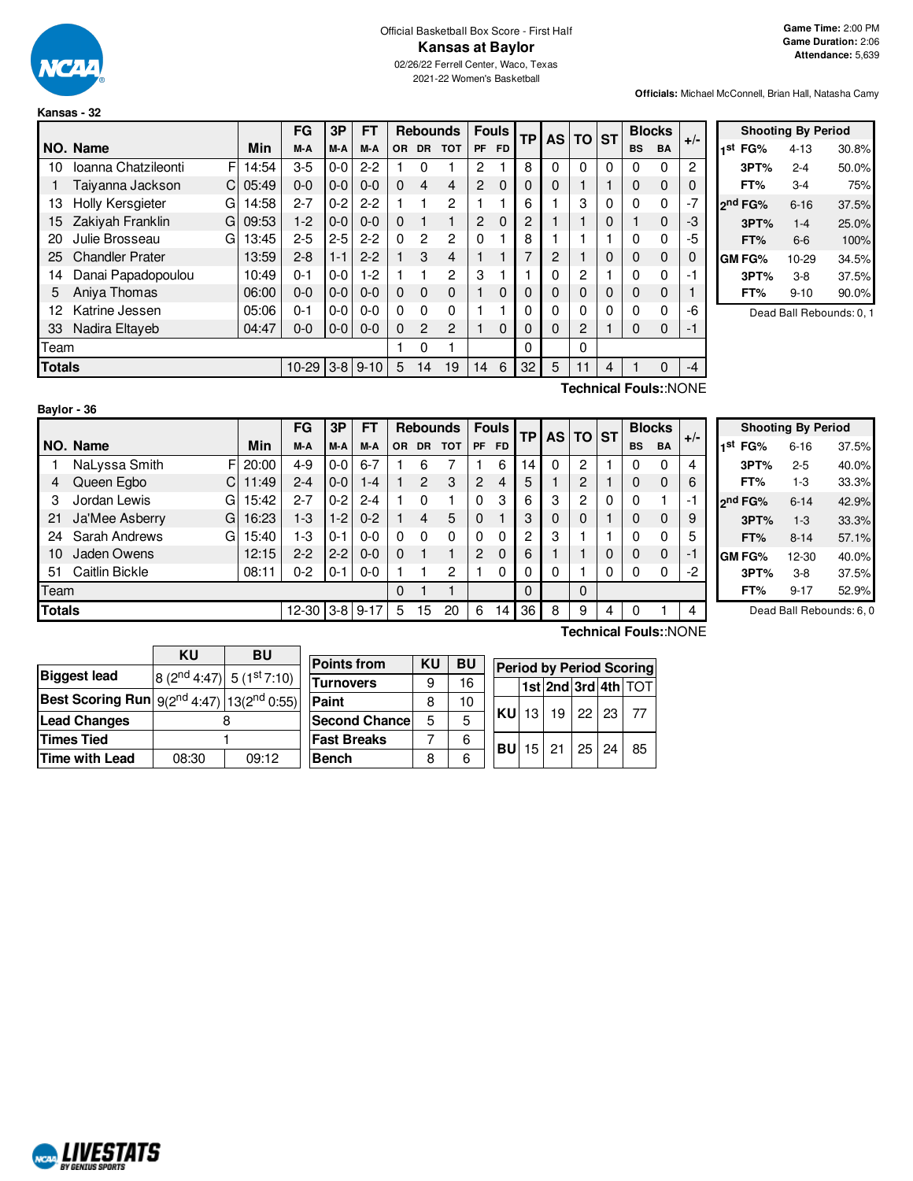

### Official Basketball Box Score - First Half **Kansas at Baylor** 02/26/22 Ferrell Center, Waco, Texas

2021-22 Women's Basketball

**Game Time:** 2:00 PM **Game Duration:** 2:06 **Attendance:** 5,639

**Officials:** Michael McConnell, Brian Hall, Natasha Camy

|        |                              |       | FG      | 3Р      | FТ           |           |                | <b>Rebounds</b> | <b>Fouls</b>   |           | <b>TP</b> | <b>AS</b> | <b>TO</b>      | <b>ST</b> | <b>Blocks</b> |                              | $+/-$ |
|--------|------------------------------|-------|---------|---------|--------------|-----------|----------------|-----------------|----------------|-----------|-----------|-----------|----------------|-----------|---------------|------------------------------|-------|
|        | NO. Name                     | Min   | M-A     | M-A     | M-A          | <b>OR</b> | <b>DR</b>      | <b>TOT</b>      | <b>PF</b>      | <b>FD</b> |           |           |                |           | <b>BS</b>     | <b>BA</b>                    |       |
| 10     | F<br>Ioanna Chatzileonti     | 14:54 | $3-5$   | $0-0$   | $2 - 2$      |           | 0              | 1               | 2              |           | 8         | $\Omega$  | 0              | $\Omega$  | 0             | $\Omega$                     | 2     |
|        | Taiyanna Jackson<br>C        | 05:49 | $0 - 0$ | $0-0$   | $0 - 0$      | $\Omega$  | 4              | 4               | $\overline{2}$ | $\Omega$  | 0         | 0         |                |           | $\Omega$      | $\mathbf 0$                  | 0     |
| 13     | <b>Holly Kersgieter</b><br>G | 14:58 | $2 - 7$ | $0 - 2$ | $2 - 2$      | 1         |                | 2               |                |           | 6         |           | 3              | 0         | 0             | 0                            | $-7$  |
| 15     | Zakiyah Franklin<br>G        | 09:53 | $1-2$   | $0-0$   | $0 - 0$      | $\Omega$  |                | 1               | $\overline{2}$ | $\Omega$  | 2         |           |                | 0         |               | $\mathbf 0$                  | -3    |
| 20     | Julie Brosseau<br>G          | 13:45 | $2 - 5$ | $2 - 5$ | $2 - 2$      | $\Omega$  | 2              | 2               | 0              |           | 8         |           |                |           | 0             | $\Omega$                     | -5    |
| 25     | <b>Chandler Prater</b>       | 13:59 | $2 - 8$ | $1 - 1$ | $2 - 2$      |           | 3              | 4               |                |           | 7         | 2         |                | 0         | 0             | $\mathbf 0$                  | 0     |
| 14     | Danai Papadopoulou           | 10:49 | $0 - 1$ | $0-0$   | $1-2$        |           |                | 2               | 3              |           |           | 0         | 2              |           | $\Omega$      | $\Omega$                     | -1    |
| 5      | Aniva Thomas                 | 06:00 | $0 - 0$ | $0-0$   | $0 - 0$      | $\Omega$  | $\Omega$       | 0               |                | $\Omega$  | 0         | 0         | $\Omega$       | 0         | $\Omega$      | $\mathbf 0$                  |       |
| 12     | Katrine Jessen               | 05:06 | $0 - 1$ | $0 - 0$ | $0 - 0$      | $\Omega$  | 0              | 0               |                |           | 0         | 0         | 0              | 0         | 0             | 0                            | -6    |
| 33     | Nadira Eltaveb               | 04:47 | $0 - 0$ | $0-0$   | $0 - 0$      | $\Omega$  | $\overline{c}$ | 2               |                | $\Omega$  | 0         | 0         | $\overline{2}$ |           | $\Omega$      | $\mathbf 0$                  | -1    |
| Team   |                              |       |         |         |              |           | 0              | 1               |                |           | 0         |           | 0              |           |               |                              |       |
| Totals |                              |       | $10-29$ |         | $3-8$   9-10 | 5         | 14             | 19              | 14             | 6         | 32        | 5         | 11             | 4         |               | $\Omega$                     | $-4$  |
|        |                              |       |         |         |              |           |                |                 |                |           |           |           |                |           |               | <b>Technical Fouls::NONE</b> |       |

|                     |      | <b>Shooting By Period</b> |       |
|---------------------|------|---------------------------|-------|
| 1 <sup>st</sup> FG% |      | $4 - 13$                  | 30.8% |
|                     | 3PT% | $2 - 4$                   | 50.0% |
| FT%                 |      | $3-4$                     | 75%   |
| 2 <sup>nd</sup> FG% |      | $6 - 16$                  | 37.5% |
|                     | 3PT% | $1 - 4$                   | 25.0% |
| FT%                 |      | 6-6                       | 100%  |
| GM FG%              |      | $10-29$                   | 34.5% |
|                     | 3PT% | 3-8                       | 37.5% |
| FT%                 |      | 9-10                      | 90.0% |

Dead Ball Rebounds: 0, 1

| Baylor - 36   |                      |       |         |         |           |          |                |                 |          |              |    |   |          |              |           |               |       |
|---------------|----------------------|-------|---------|---------|-----------|----------|----------------|-----------------|----------|--------------|----|---|----------|--------------|-----------|---------------|-------|
|               |                      |       | FG      | 3P      | <b>FT</b> |          |                | <b>Rebounds</b> |          | <b>Fouls</b> | ТP |   | AS TO ST |              |           | <b>Blocks</b> | $+/-$ |
|               | NO. Name             | Min   | M-A     | M-A     | M-A       | OR.      | <b>DR</b>      | <b>TOT</b>      | PF.      | <b>FD</b>    |    |   |          |              | <b>BS</b> | <b>BA</b>     |       |
|               | NaLyssa Smith<br>F   | 20:00 | $4 - 9$ | $0-0$   | $6 - 7$   |          | 6              |                 |          | 6            | 14 | 0 | 2        |              | 0         | $\Omega$      | 4     |
| 4             | Queen Egbo           | 11:49 | $2 - 4$ | $0 - 0$ | 1-4       |          | $\overline{2}$ | 3               | 2        | 4            | 5  |   | 2        |              | 0         | 0             | 6     |
| 3             | Jordan Lewis<br>Gl   | 15:42 | $2 - 7$ | $0 - 2$ | $2 - 4$   |          | $\mathbf{0}$   |                 | $\Omega$ | 3            | 6  | 3 | 2        | $\mathbf{0}$ | 0         |               | -1    |
| 21            | Ja'Mee Asberry<br>G. | 16:23 | $1-3$   | $1 - 2$ | $0 - 2$   |          | $\overline{4}$ | 5               | $\Omega$ |              | 3  | 0 | $\Omega$ |              | 0         | 0             | 9     |
| 24            | Sarah Andrews<br>GI  | 15:40 | 1-3     | $0 - 1$ | $0 - 0$   | $\Omega$ | 0              | $\Omega$        | $\Omega$ | 0            | 2  | 3 |          |              |           | 0             | 5     |
| 10            | Jaden Owens          | 12:15 | $2 - 2$ | $2 - 2$ | $0 - 0$   | $\Omega$ |                |                 | 2        | 0            | 6  |   |          | 0            | 0         | 0             | -1    |
| -51           | Caitlin Bickle       | 08:11 | $0 - 2$ | $0 - 1$ | $0 - 0$   |          |                | 2               |          | 0            | 0  | 0 |          | 0            | 0         | 0             | $-2$  |
| Team          |                      |       |         |         |           | $\Omega$ |                | ۰               |          |              | 0  |   | $\Omega$ |              |           |               |       |
| <b>Totals</b> |                      |       | 12-30   | $3-8$   | $9 - 17$  | 5        | 15             | 20              | 6        | 14           | 36 | 8 | 9        | 4            | 0         |               | 4     |

|                     |      | <b>Shooting By Period</b> |       |
|---------------------|------|---------------------------|-------|
| 1 <sup>st</sup> FG% |      | $6 - 16$                  | 37.5% |
|                     | 3PT% | $2 - 5$                   | 40.0% |
|                     | FT%  | $1 - 3$                   | 33.3% |
| 2 <sup>nd</sup> FG% |      | $6 - 14$                  | 42.9% |
|                     | 3PT% | $1 - 3$                   | 33.3% |
|                     | FT%  | $8 - 14$                  | 57.1% |
| GM FG%              |      | $12 - 30$                 | 40.0% |
|                     | 3PT% | $3-8$                     | 37.5% |
|                     | FT%  | $9 - 17$                  | 52.9% |

Dead Ball Rebounds: 6, 0

|                                                     | ΚU    | <b>BU</b>                                |                       |    |           |              |                          |                 |         |  |                                                             |  |  |  |  |
|-----------------------------------------------------|-------|------------------------------------------|-----------------------|----|-----------|--------------|--------------------------|-----------------|---------|--|-------------------------------------------------------------|--|--|--|--|
|                                                     |       |                                          | <b>Points from</b>    | KU | <b>BU</b> |              | Period by Period Scoring |                 |         |  |                                                             |  |  |  |  |
| <b>Biggest lead</b>                                 |       | $8(2^{nd}4:47)$ 5 (1 <sup>st</sup> 7:10) |                       |    |           |              |                          |                 |         |  |                                                             |  |  |  |  |
|                                                     |       |                                          | <b>Turnovers</b>      | 9  | 16        |              |                          |                 |         |  | $\vert$ 1st $\vert$ 2nd $\vert$ 3rd $\vert$ 4th $\vert$ TOT |  |  |  |  |
| Best Scoring Run $g(2^{nd}4:47)$ 13( $2^{nd}0:55$ ) |       |                                          | Paint                 | 8  | 10        |              |                          |                 |         |  |                                                             |  |  |  |  |
| <b>Lead Changes</b>                                 |       |                                          | <b>Second Chancel</b> |    | 5         | <b>KU</b> 13 |                          | 19 <sub>1</sub> | 22   23 |  | -77                                                         |  |  |  |  |
| <b>Times Tied</b>                                   |       |                                          | <b>Fast Breaks</b>    |    | 6         | <b>BUI</b>   |                          | $15$ 21         | 25 24   |  | 85                                                          |  |  |  |  |
| <b>Time with Lead</b>                               | 08:30 | 09:12                                    | <b>Bench</b>          | 8  | 6         |              |                          |                 |         |  |                                                             |  |  |  |  |
|                                                     |       |                                          |                       |    |           |              |                          |                 |         |  |                                                             |  |  |  |  |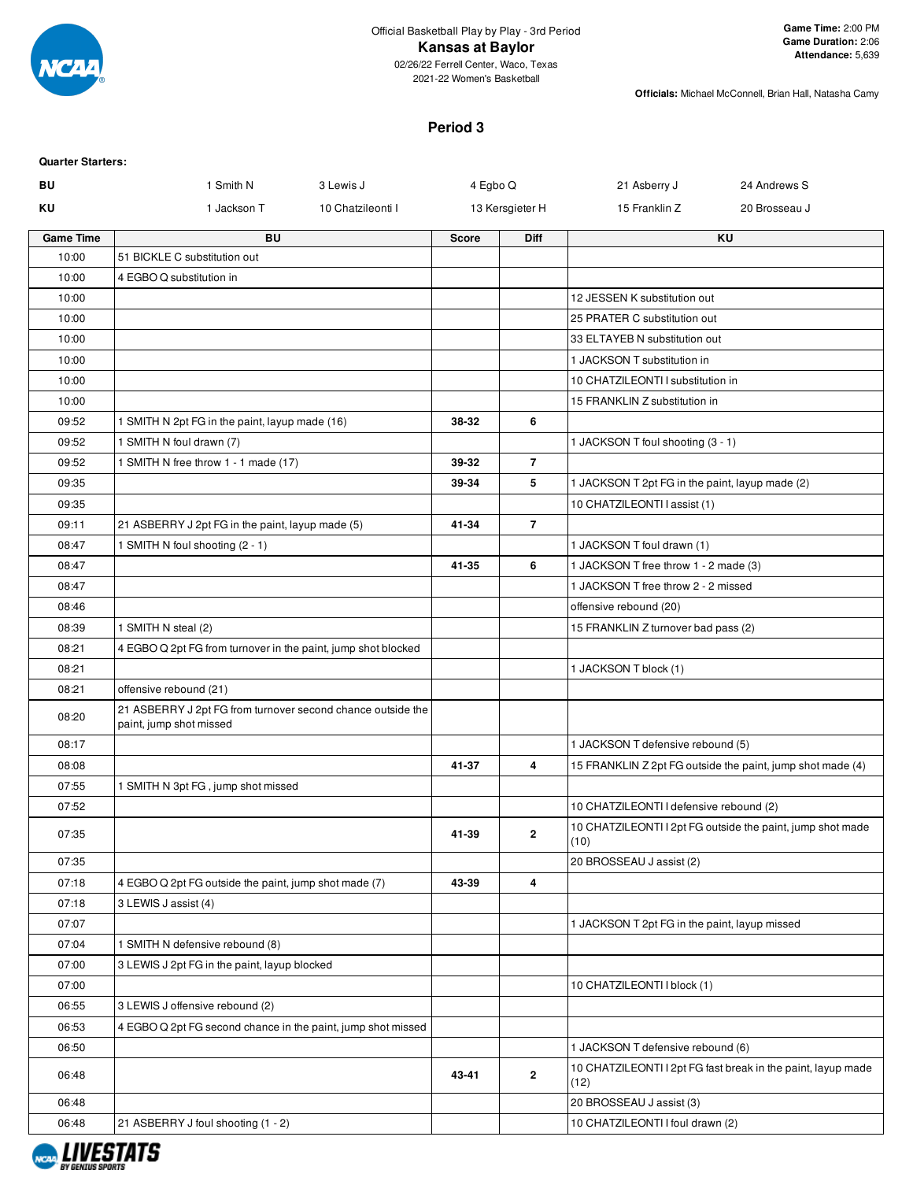

2021-22 Women's Basketball

**Officials:** Michael McConnell, Brian Hall, Natasha Camy

### **Period 3**

| <b>Quarter Starters:</b> |                                                                                        |                   |              |                 |                                                 |                                                              |
|--------------------------|----------------------------------------------------------------------------------------|-------------------|--------------|-----------------|-------------------------------------------------|--------------------------------------------------------------|
| BU                       | 1 Smith N                                                                              | 3 Lewis J         | 4 Egbo Q     |                 | 21 Asberry J                                    | 24 Andrews S                                                 |
| ΚU                       | 1 Jackson T                                                                            | 10 Chatzileonti I |              | 13 Kersgieter H | 15 Franklin Z                                   | 20 Brosseau J                                                |
| <b>Game Time</b>         | <b>BU</b>                                                                              |                   | <b>Score</b> | <b>Diff</b>     |                                                 | <b>KU</b>                                                    |
| 10:00                    | 51 BICKLE C substitution out                                                           |                   |              |                 |                                                 |                                                              |
| 10:00                    | 4 EGBO Q substitution in                                                               |                   |              |                 |                                                 |                                                              |
| 10:00                    |                                                                                        |                   |              |                 | 12 JESSEN K substitution out                    |                                                              |
| 10:00                    |                                                                                        |                   |              |                 | 25 PRATER C substitution out                    |                                                              |
| 10:00                    |                                                                                        |                   |              |                 | 33 ELTAYEB N substitution out                   |                                                              |
| 10:00                    |                                                                                        |                   |              |                 | 1 JACKSON T substitution in                     |                                                              |
| 10:00                    |                                                                                        |                   |              |                 | 10 CHATZILEONTI I substitution in               |                                                              |
| 10:00                    |                                                                                        |                   |              |                 | 15 FRANKLIN Z substitution in                   |                                                              |
| 09:52                    | 1 SMITH N 2pt FG in the paint, layup made (16)                                         |                   | 38-32        | 6               |                                                 |                                                              |
| 09:52                    | 1 SMITH N foul drawn (7)                                                               |                   |              |                 | 1 JACKSON T foul shooting (3 - 1)               |                                                              |
| 09:52                    | 1 SMITH N free throw 1 - 1 made (17)                                                   |                   | 39-32        | $\overline{7}$  |                                                 |                                                              |
| 09:35                    |                                                                                        |                   | 39-34        | 5               | 1 JACKSON T 2pt FG in the paint, layup made (2) |                                                              |
| 09:35                    |                                                                                        |                   |              |                 | 10 CHATZILEONTI I assist (1)                    |                                                              |
| 09:11                    | 21 ASBERRY J 2pt FG in the paint, layup made (5)                                       |                   | 41-34        | $\overline{7}$  |                                                 |                                                              |
| 08:47                    | 1 SMITH N foul shooting (2 - 1)                                                        |                   |              |                 | 1 JACKSON T foul drawn (1)                      |                                                              |
| 08:47                    |                                                                                        |                   | 41-35        | 6               | 1 JACKSON T free throw 1 - 2 made (3)           |                                                              |
| 08:47                    |                                                                                        |                   |              |                 | 1 JACKSON T free throw 2 - 2 missed             |                                                              |
| 08:46                    |                                                                                        |                   |              |                 | offensive rebound (20)                          |                                                              |
| 08:39                    | 1 SMITH N steal (2)                                                                    |                   |              |                 | 15 FRANKLIN Z turnover bad pass (2)             |                                                              |
| 08:21                    | 4 EGBO Q 2pt FG from turnover in the paint, jump shot blocked                          |                   |              |                 |                                                 |                                                              |
| 08:21                    |                                                                                        |                   |              |                 | 1 JACKSON T block (1)                           |                                                              |
| 08:21                    | offensive rebound (21)                                                                 |                   |              |                 |                                                 |                                                              |
| 08:20                    | 21 ASBERRY J 2pt FG from turnover second chance outside the<br>paint, jump shot missed |                   |              |                 |                                                 |                                                              |
| 08:17                    |                                                                                        |                   |              |                 | 1 JACKSON T defensive rebound (5)               |                                                              |
| 08:08                    |                                                                                        |                   | 41-37        | 4               |                                                 | 15 FRANKLIN Z 2pt FG outside the paint, jump shot made (4)   |
| 07:55                    | 1 SMITH N 3pt FG, jump shot missed                                                     |                   |              |                 |                                                 |                                                              |
| 07:52                    |                                                                                        |                   |              |                 | 10 CHATZILEONTI I defensive rebound (2)         |                                                              |
| 07:35                    |                                                                                        |                   | 41-39        | $\mathbf{2}$    | (10)                                            | 10 CHATZILEONTI I 2pt FG outside the paint, jump shot made   |
| 07:35                    |                                                                                        |                   |              |                 | 20 BROSSEAU J assist (2)                        |                                                              |
| 07:18                    | 4 EGBO Q 2pt FG outside the paint, jump shot made (7)                                  |                   | 43-39        | 4               |                                                 |                                                              |
| 07:18                    | 3 LEWIS J assist (4)                                                                   |                   |              |                 |                                                 |                                                              |
| 07:07                    |                                                                                        |                   |              |                 | 1 JACKSON T 2pt FG in the paint, layup missed   |                                                              |
| 07:04                    | 1 SMITH N defensive rebound (8)                                                        |                   |              |                 |                                                 |                                                              |
| 07:00                    | 3 LEWIS J 2pt FG in the paint, layup blocked                                           |                   |              |                 |                                                 |                                                              |
| 07:00                    |                                                                                        |                   |              |                 | 10 CHATZILEONTI I block (1)                     |                                                              |
| 06:55                    | 3 LEWIS J offensive rebound (2)                                                        |                   |              |                 |                                                 |                                                              |
| 06:53                    | 4 EGBO Q 2pt FG second chance in the paint, jump shot missed                           |                   |              |                 |                                                 |                                                              |
| 06:50                    |                                                                                        |                   |              |                 | 1 JACKSON T defensive rebound (6)               |                                                              |
| 06:48                    |                                                                                        |                   | 43-41        | $\mathbf{2}$    | (12)                                            | 10 CHATZILEONTI I 2pt FG fast break in the paint, layup made |
| 06:48                    |                                                                                        |                   |              |                 | 20 BROSSEAU J assist (3)                        |                                                              |
| 06:48                    | 21 ASBERRY J foul shooting (1 - 2)                                                     |                   |              |                 | 10 CHATZILEONTI I foul drawn (2)                |                                                              |
|                          |                                                                                        |                   |              |                 |                                                 |                                                              |

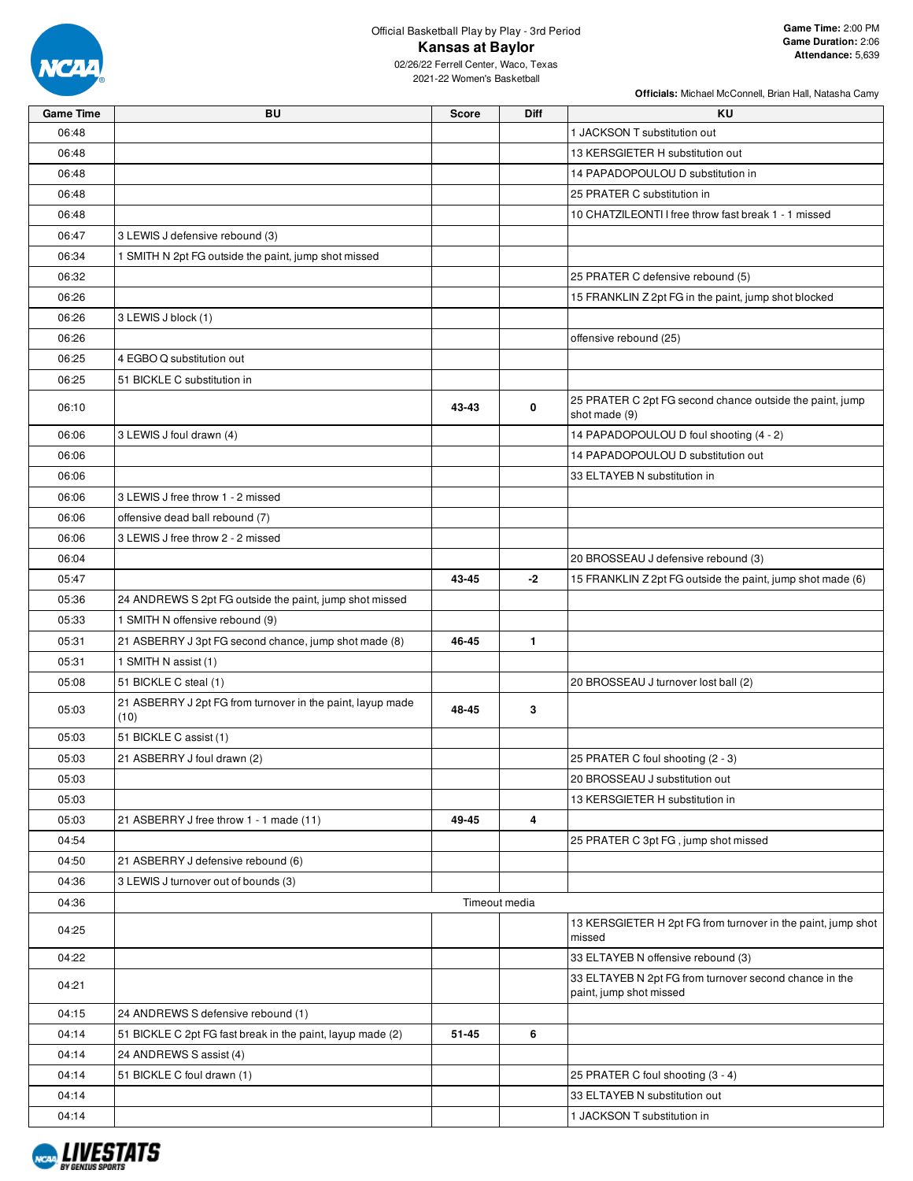

# Official Basketball Play by Play - 3rd Period **Kansas at Baylor**

| <b>Game Time</b> | BU                                                                 | <b>Score</b> | Diff          | ΚU                                                                                |
|------------------|--------------------------------------------------------------------|--------------|---------------|-----------------------------------------------------------------------------------|
| 06:48            |                                                                    |              |               | 1 JACKSON T substitution out                                                      |
| 06:48            |                                                                    |              |               | 13 KERSGIETER H substitution out                                                  |
| 06:48            |                                                                    |              |               | 14 PAPADOPOULOU D substitution in                                                 |
| 06:48            |                                                                    |              |               | 25 PRATER C substitution in                                                       |
| 06:48            |                                                                    |              |               | 10 CHATZILEONTI I free throw fast break 1 - 1 missed                              |
| 06:47            | 3 LEWIS J defensive rebound (3)                                    |              |               |                                                                                   |
| 06:34            | 1 SMITH N 2pt FG outside the paint, jump shot missed               |              |               |                                                                                   |
| 06:32            |                                                                    |              |               | 25 PRATER C defensive rebound (5)                                                 |
| 06:26            |                                                                    |              |               | 15 FRANKLIN Z 2pt FG in the paint, jump shot blocked                              |
| 06:26            | 3 LEWIS J block (1)                                                |              |               |                                                                                   |
| 06:26            |                                                                    |              |               | offensive rebound (25)                                                            |
| 06:25            | 4 EGBO Q substitution out                                          |              |               |                                                                                   |
| 06:25            | 51 BICKLE C substitution in                                        |              |               |                                                                                   |
|                  |                                                                    |              |               | 25 PRATER C 2pt FG second chance outside the paint, jump                          |
| 06:10            |                                                                    | 43-43        | 0             | shot made (9)                                                                     |
| 06:06            | 3 LEWIS J foul drawn (4)                                           |              |               | 14 PAPADOPOULOU D foul shooting (4 - 2)                                           |
| 06:06            |                                                                    |              |               | 14 PAPADOPOULOU D substitution out                                                |
| 06:06            |                                                                    |              |               | 33 ELTAYEB N substitution in                                                      |
| 06:06            | 3 LEWIS J free throw 1 - 2 missed                                  |              |               |                                                                                   |
| 06:06            | offensive dead ball rebound (7)                                    |              |               |                                                                                   |
| 06:06            | 3 LEWIS J free throw 2 - 2 missed                                  |              |               |                                                                                   |
| 06:04            |                                                                    |              |               | 20 BROSSEAU J defensive rebound (3)                                               |
| 05:47            |                                                                    | 43-45        | $-2$          | 15 FRANKLIN Z 2pt FG outside the paint, jump shot made (6)                        |
| 05:36            | 24 ANDREWS S 2pt FG outside the paint, jump shot missed            |              |               |                                                                                   |
| 05:33            | 1 SMITH N offensive rebound (9)                                    |              |               |                                                                                   |
| 05:31            | 21 ASBERRY J 3pt FG second chance, jump shot made (8)              | 46-45        | 1             |                                                                                   |
| 05:31            | 1 SMITH N assist (1)                                               |              |               |                                                                                   |
| 05:08            | 51 BICKLE C steal (1)                                              |              |               | 20 BROSSEAU J turnover lost ball (2)                                              |
| 05:03            | 21 ASBERRY J 2pt FG from turnover in the paint, layup made<br>(10) | 48-45        | 3             |                                                                                   |
| 05:03            | 51 BICKLE C assist (1)                                             |              |               |                                                                                   |
| 05:03            | 21 ASBERRY J foul drawn (2)                                        |              |               | 25 PRATER C foul shooting (2 - 3)                                                 |
| 05:03            |                                                                    |              |               | 20 BROSSEAU J substitution out                                                    |
| 05:03            |                                                                    |              |               | 13 KERSGIETER H substitution in                                                   |
| 05:03            | 21 ASBERRY J free throw 1 - 1 made (11)                            | 49-45        | 4             |                                                                                   |
| 04:54            |                                                                    |              |               | 25 PRATER C 3pt FG, jump shot missed                                              |
| 04:50            | 21 ASBERRY J defensive rebound (6)                                 |              |               |                                                                                   |
| 04:36            | 3 LEWIS J turnover out of bounds (3)                               |              |               |                                                                                   |
| 04:36            |                                                                    |              | Timeout media |                                                                                   |
| 04:25            |                                                                    |              |               | 13 KERSGIETER H 2pt FG from turnover in the paint, jump shot<br>missed            |
| 04:22            |                                                                    |              |               | 33 ELTAYEB N offensive rebound (3)                                                |
| 04:21            |                                                                    |              |               | 33 ELTAYEB N 2pt FG from turnover second chance in the<br>paint, jump shot missed |
| 04:15            | 24 ANDREWS S defensive rebound (1)                                 |              |               |                                                                                   |
| 04:14            | 51 BICKLE C 2pt FG fast break in the paint, layup made (2)         | 51-45        | 6             |                                                                                   |
| 04:14            | 24 ANDREWS S assist (4)                                            |              |               |                                                                                   |
| 04:14            | 51 BICKLE C foul drawn (1)                                         |              |               | 25 PRATER C foul shooting (3 - 4)                                                 |
| 04:14            |                                                                    |              |               | 33 ELTAYEB N substitution out                                                     |
| 04:14            |                                                                    |              |               | 1 JACKSON T substitution in                                                       |

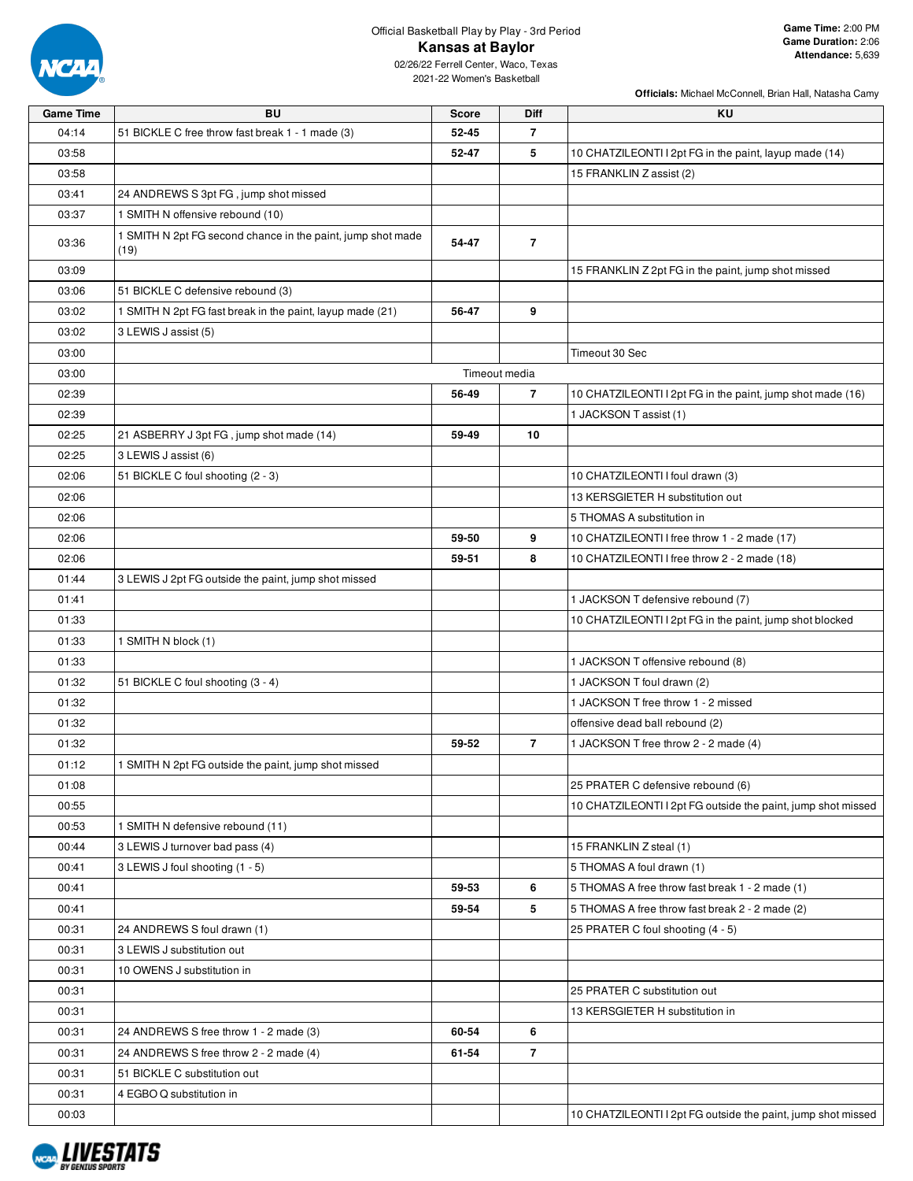

## Official Basketball Play by Play - 3rd Period **Kansas at Baylor**

| <b>Game Time</b> | BU                                                                  | <b>Score</b> | Diff           | KU                                                           |
|------------------|---------------------------------------------------------------------|--------------|----------------|--------------------------------------------------------------|
| 04:14            | 51 BICKLE C free throw fast break 1 - 1 made (3)                    | 52-45        | $\overline{7}$ |                                                              |
| 03:58            |                                                                     | 52-47        | 5              | 10 CHATZILEONTI I 2pt FG in the paint, layup made (14)       |
| 03:58            |                                                                     |              |                | 15 FRANKLIN Z assist (2)                                     |
| 03:41            | 24 ANDREWS S 3pt FG, jump shot missed                               |              |                |                                                              |
| 03:37            | 1 SMITH N offensive rebound (10)                                    |              |                |                                                              |
| 03:36            | 1 SMITH N 2pt FG second chance in the paint, jump shot made<br>(19) | 54-47        | $\overline{7}$ |                                                              |
| 03:09            |                                                                     |              |                | 15 FRANKLIN Z 2pt FG in the paint, jump shot missed          |
| 03:06            | 51 BICKLE C defensive rebound (3)                                   |              |                |                                                              |
| 03:02            | 1 SMITH N 2pt FG fast break in the paint, layup made (21)           | 56-47        | 9              |                                                              |
| 03:02            | 3 LEWIS J assist (5)                                                |              |                |                                                              |
| 03:00            |                                                                     |              |                | Timeout 30 Sec                                               |
| 03:00            |                                                                     |              | Timeout media  |                                                              |
| 02:39            |                                                                     | 56-49        | $\overline{7}$ | 10 CHATZILEONTI I 2pt FG in the paint, jump shot made (16)   |
| 02:39            |                                                                     |              |                | 1 JACKSON T assist (1)                                       |
| 02:25            | 21 ASBERRY J 3pt FG, jump shot made (14)                            | 59-49        | 10             |                                                              |
|                  | 3 LEWIS J assist (6)                                                |              |                |                                                              |
| 02:25            |                                                                     |              |                |                                                              |
| 02:06            | 51 BICKLE C foul shooting (2 - 3)                                   |              |                | 10 CHATZILEONTI I foul drawn (3)                             |
| 02:06            |                                                                     |              |                | 13 KERSGIETER H substitution out                             |
| 02:06            |                                                                     |              |                | 5 THOMAS A substitution in                                   |
| 02:06            |                                                                     | 59-50        | 9              | 10 CHATZILEONTI I free throw 1 - 2 made (17)                 |
| 02:06            |                                                                     | 59-51        | 8              | 10 CHATZILEONTI I free throw 2 - 2 made (18)                 |
| 01:44            | 3 LEWIS J 2pt FG outside the paint, jump shot missed                |              |                |                                                              |
| 01:41            |                                                                     |              |                | 1 JACKSON T defensive rebound (7)                            |
| 01:33            |                                                                     |              |                | 10 CHATZILEONTI I 2pt FG in the paint, jump shot blocked     |
| 01:33            | 1 SMITH N block (1)                                                 |              |                |                                                              |
| 01:33            |                                                                     |              |                | 1 JACKSON T offensive rebound (8)                            |
| 01:32            | 51 BICKLE C foul shooting (3 - 4)                                   |              |                | 1 JACKSON T foul drawn (2)                                   |
| 01:32            |                                                                     |              |                | 1 JACKSON T free throw 1 - 2 missed                          |
| 01:32            |                                                                     |              |                | offensive dead ball rebound (2)                              |
| 01:32            |                                                                     | 59-52        | $\overline{7}$ | 1 JACKSON T free throw 2 - 2 made (4)                        |
| 01:12            | 1 SMITH N 2pt FG outside the paint, jump shot missed                |              |                |                                                              |
| 01:08            |                                                                     |              |                | 25 PRATER C defensive rebound (6)                            |
| 00:55            |                                                                     |              |                | 10 CHATZILEONTI I 2pt FG outside the paint, jump shot missed |
| 00:53            | 1 SMITH N defensive rebound (11)                                    |              |                |                                                              |
| 00:44            | 3 LEWIS J turnover bad pass (4)                                     |              |                | 15 FRANKLIN Z steal (1)                                      |
| 00:41            | 3 LEWIS J foul shooting (1 - 5)                                     |              |                | 5 THOMAS A foul drawn (1)                                    |
| 00:41            |                                                                     | 59-53        | 6              | 5 THOMAS A free throw fast break 1 - 2 made (1)              |
| 00:41            |                                                                     | 59-54        | 5              | 5 THOMAS A free throw fast break 2 - 2 made (2)              |
|                  |                                                                     |              |                | 25 PRATER C foul shooting (4 - 5)                            |
| 00:31            | 24 ANDREWS S foul drawn (1)                                         |              |                |                                                              |
| 00:31            | 3 LEWIS J substitution out                                          |              |                |                                                              |
| 00:31            | 10 OWENS J substitution in                                          |              |                |                                                              |
| 00:31            |                                                                     |              |                | 25 PRATER C substitution out                                 |
| 00:31            |                                                                     |              |                | 13 KERSGIETER H substitution in                              |
| 00:31            | 24 ANDREWS S free throw 1 - 2 made (3)                              | 60-54        | 6              |                                                              |
| 00:31            | 24 ANDREWS S free throw 2 - 2 made (4)                              | 61-54        | $\overline{7}$ |                                                              |
| 00:31            | 51 BICKLE C substitution out                                        |              |                |                                                              |
| 00:31            | 4 EGBO Q substitution in                                            |              |                |                                                              |
| 00:03            |                                                                     |              |                | 10 CHATZILEONTI I 2pt FG outside the paint, jump shot missed |

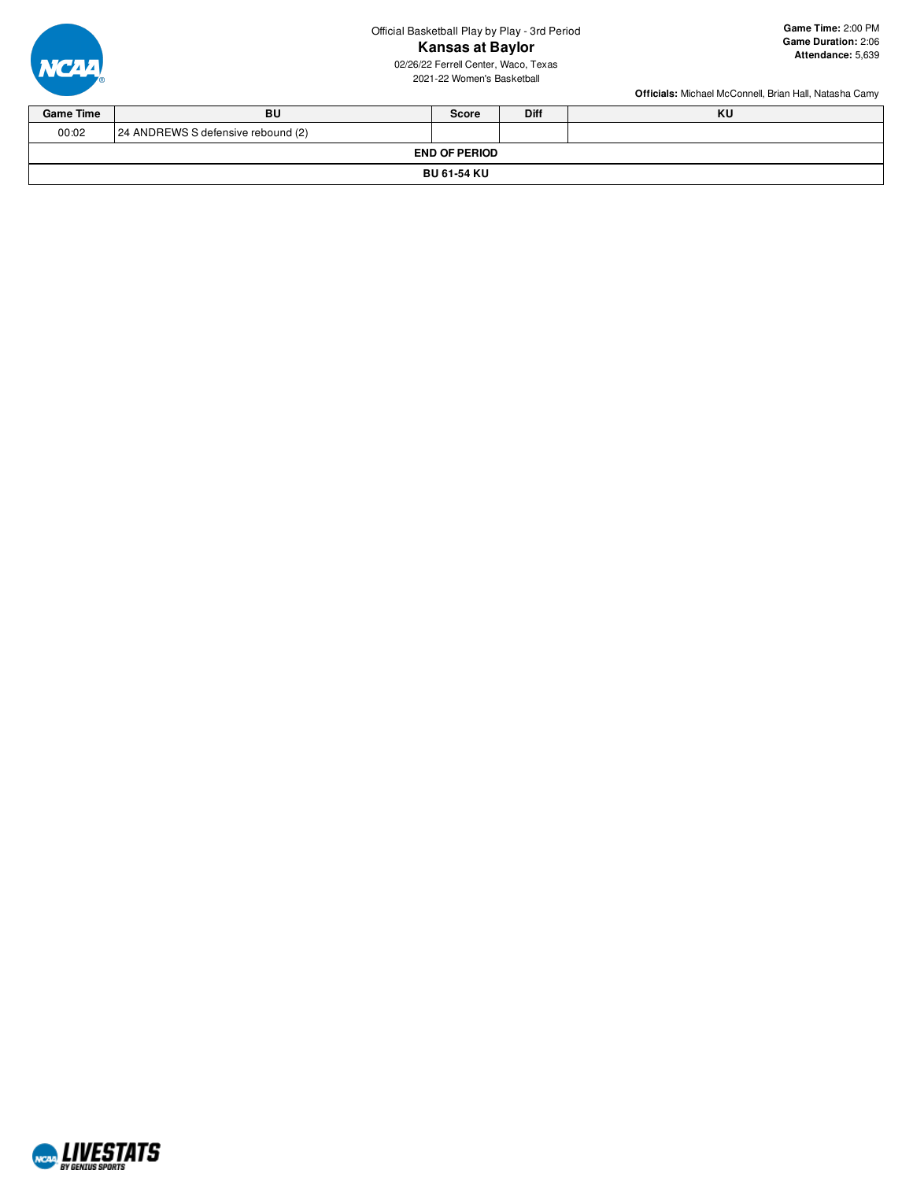Official Basketball Play by Play - 3rd Period **Kansas at Baylor**



**Game Time:** 2:00 PM **Game Duration:** 2:06 **Attendance:** 5,639

02/26/22 Ferrell Center, Waco, Texas 2021-22 Women's Basketball

| <b>Game Time</b> | BU                                 | <b>Score</b>         | <b>Diff</b> | KU |  |  |  |  |  |  |  |  |
|------------------|------------------------------------|----------------------|-------------|----|--|--|--|--|--|--|--|--|
| 00:02            | 24 ANDREWS S defensive rebound (2) |                      |             |    |  |  |  |  |  |  |  |  |
|                  |                                    | <b>END OF PERIOD</b> |             |    |  |  |  |  |  |  |  |  |
|                  | <b>BU 61-54 KU</b>                 |                      |             |    |  |  |  |  |  |  |  |  |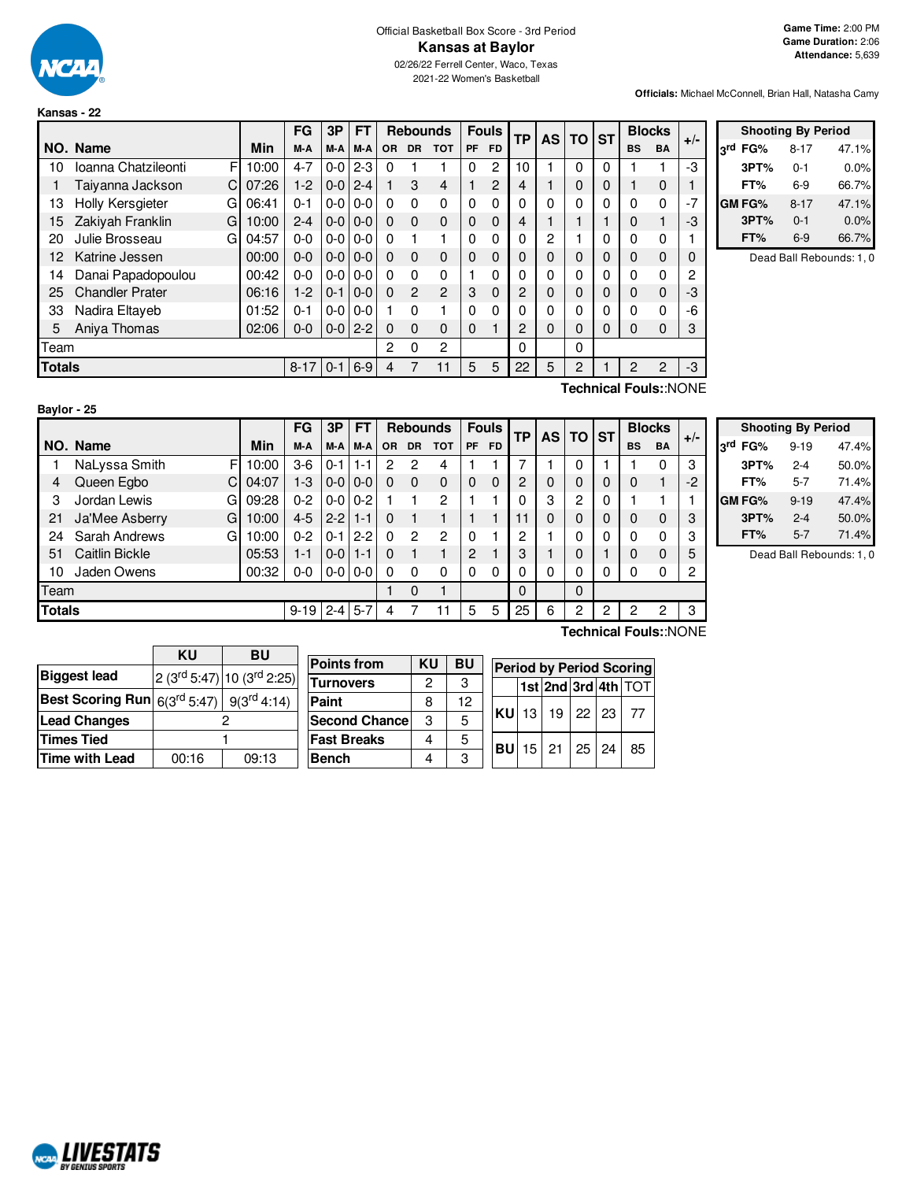

**Kansas - 22**

### Official Basketball Box Score - 3rd Period **Kansas at Baylor** 02/26/22 Ferrell Center, Waco, Texas

2021-22 Women's Basketball

**Officials:** Michael McConnell, Brian Hall, Natasha Camy

|                                               |                          |       | FG      | 3P            | FT            |           | <b>Rebounds</b> |                |           | <b>Fouls</b>   | <b>TP</b> | <b>AS</b> | TO ST    |   |           | <b>Blocks</b> | $+/-$ |
|-----------------------------------------------|--------------------------|-------|---------|---------------|---------------|-----------|-----------------|----------------|-----------|----------------|-----------|-----------|----------|---|-----------|---------------|-------|
|                                               | NO. Name                 | Min   | M-A     | M-A           | M-A           | <b>OR</b> | <b>DR</b>       | <b>TOT</b>     | <b>PF</b> | <b>FD</b>      |           |           |          |   | <b>BS</b> | <b>BA</b>     |       |
| 10                                            | Ioanna Chatzileonti<br>F | 10:00 | $4 - 7$ | $0-0$         | $2 - 3$       | 0         |                 |                | 0         | 2              | 10        |           | 0        |   |           |               | -3    |
|                                               | Taiyanna Jackson<br>C    | 07:26 | $1 - 2$ | $0-0$         | $2 - 4$       |           | 3               | $\overline{4}$ |           | $\overline{2}$ | 4         |           | 0        | 0 |           | 0             |       |
| 13                                            | Holly Kersgieter<br>G    | 06:41 | $0 - 1$ | $0-0$         | $0 - 0$       | 0         | 0               | $\Omega$       | $\Omega$  | 0              | $\Omega$  | 0         | 0        |   | $\Omega$  | 0             | $-7$  |
| 15                                            | Zakiyah Franklin<br>G    | 10:00 | $2 - 4$ | $0-0$         | $0-0$         | 0         | $\Omega$        | $\Omega$       | $\Omega$  | $\Omega$       | 4         |           |          |   | 0         |               | -3    |
| 20                                            | Julie Brosseau<br>G      | 04:57 | $0 - 0$ |               | $0 - 0 0 - 0$ | $\Omega$  |                 |                | 0         | 0              | 0         | 2         |          |   | 0         | 0             |       |
| 12                                            | Katrine Jessen           | 00:00 | $0 - 0$ | $0-0$         | $0 - 0$       | 0         | $\Omega$        | $\Omega$       | 0         | $\Omega$       | $\Omega$  | 0         | $\Omega$ | 0 | $\Omega$  | 0             | 0     |
| 14                                            | Danai Papadopoulou       | 00:42 | $0 - 0$ |               | $0 - 0 0 - 0$ | $\Omega$  | $\Omega$        | $\Omega$       |           | 0              | 0         | 0         | 0        |   | $\Omega$  | 0             | 2     |
| 25                                            | <b>Chandler Prater</b>   | 06:16 | $1-2$   | $0 - 1$       | $0-0$         | $\Omega$  | 2               | $\mathcal{P}$  | 3         | $\Omega$       | 2         | 0         | 0        | 0 | 0         | 0             | -3    |
| 33                                            | Nadira Eltayeb           | 01:52 | $0 - 1$ | $0 - 0 0 - 0$ |               |           | 0               |                | 0         | 0              | 0         | 0         | 0        | 0 | $\Omega$  | 0             | -6    |
| 5                                             | Aniya Thomas             | 02:06 | $0 - 0$ | $0-0$         | $2 - 2$       | $\Omega$  | 0               | $\Omega$       | 0         |                | 2         | $\Omega$  | $\Omega$ | 0 | 0         | 0             | 3     |
| Team                                          |                          |       |         |               |               |           | 0               | $\overline{2}$ |           |                | 0         |           | 0        |   |           |               |       |
| <b>Totals</b><br>$6-9$<br>$8 - 17$<br>$0 - 1$ |                          |       |         |               |               |           |                 | 11             | 5         | 5              | 22        | 5         | 2        |   | 2         | 2             | -3    |

|         | <b>Shooting By Period</b> |       |
|---------|---------------------------|-------|
| 3rd FG% | $8 - 17$                  | 47.1% |
| 3PT%    | 0-1                       | 0.0%  |
| FT%     | $6-9$                     | 66.7% |
| GM FG%  | $8 - 17$                  | 47.1% |
| 3PT%    | $0 - 1$                   | 0.0%  |
| FT%     | 6-9                       | 66.7% |

Dead Ball Rebounds: 1, 0

|               | Baylor - 25    |             |          |         |           |          |                |                 |                |              |                |          |          |   |           |               |       |
|---------------|----------------|-------------|----------|---------|-----------|----------|----------------|-----------------|----------------|--------------|----------------|----------|----------|---|-----------|---------------|-------|
|               |                |             | FG       | 3P      | <b>FT</b> |          |                | <b>Rebounds</b> |                | <b>Fouls</b> | ТP             |          | AS TO ST |   |           | <b>Blocks</b> | $+/-$ |
|               | NO. Name       | Min         | M-A      | M-A     | M-A       | OR.      | <b>DR</b>      | <b>TOT</b>      | <b>PF</b>      | <b>FD</b>    |                |          |          |   | <b>BS</b> | BA            |       |
|               | NaLyssa Smith  | F<br>10:00  | 3-6      | $0 - 1$ | $1 - 1$   | 2        | 2              | 4               |                |              |                |          | 0        |   |           | 0             | 3     |
| 4             | Queen Egbo     | C.<br>04:07 | $1-3$    | $0-0$   | $0 - 0$   | $\Omega$ | $\Omega$       | $\Omega$        | $\Omega$       | $\Omega$     | $\overline{2}$ | 0        | 0        | 0 | 0         | 1             | $-2$  |
| 3             | Jordan Lewis   | Gl<br>09:28 | $0 - 2$  | $0-0$   | $0 - 2$   |          |                | $\overline{c}$  |                |              | $\Omega$       | 3        | 2        | 0 |           |               |       |
| 21            | Ja'Mee Asberry | G<br>10:00  | $4 - 5$  | $2 - 2$ | $1 - 1$   | $\Omega$ |                |                 |                |              | 11             | $\Omega$ | 0        | 0 | 0         | $\mathbf 0$   | 3     |
| 24            | Sarah Andrews  | G<br>10:00  | $0 - 2$  | $0 - 1$ | $2 - 2$   | $\Omega$ | $\overline{2}$ | $\overline{c}$  | 0              |              | 2              |          | 0        | 0 | 0         | 0             | 3     |
| 51            | Caitlin Bickle | 05:53       | 1-1      | $0-0$   | $1 - 1$   | $\Omega$ |                |                 | $\overline{c}$ |              | 3              |          | 0        |   | 0         | $\mathbf 0$   | 5     |
| 10            | Jaden Owens    | 00:32       | $0 - 0$  | $0-0$   | $0 - 0$   | 0        | $\Omega$       | 0               | 0              | 0            | 0              | 0        | 0        | 0 | 0         | 0             | 2     |
| Team          |                |             |          |         |           |          | $\Omega$       |                 |                |              | $\Omega$       |          | $\Omega$ |   |           |               |       |
| <b>Totals</b> |                |             | $9 - 19$ | $2 - 4$ | $5 - 7$   | 4        |                | 11              | 5              | 5            | 25             | 6        | 2        | 2 | っ         | 2             | 3     |

|     | <b>Shooting By Period</b> |          |       |  |  |  |  |  |  |  |  |
|-----|---------------------------|----------|-------|--|--|--|--|--|--|--|--|
| لاء | FG%                       | $9 - 19$ | 47.4% |  |  |  |  |  |  |  |  |
|     | 3PT%                      | $2 - 4$  | 50.0% |  |  |  |  |  |  |  |  |
|     | FT%                       | 5-7      | 71.4% |  |  |  |  |  |  |  |  |
|     | GM FG%                    | $9 - 19$ | 47.4% |  |  |  |  |  |  |  |  |
|     | 3PT%                      | $2 - 4$  | 50.0% |  |  |  |  |  |  |  |  |
|     | FT%                       | $5 - 7$  | 71.4% |  |  |  |  |  |  |  |  |

Dead Ball Rebounds: 1, 0

|                                                                 | KU    | <b>BU</b>                        |                      |    |           |                 |    |    |              |                                         |
|-----------------------------------------------------------------|-------|----------------------------------|----------------------|----|-----------|-----------------|----|----|--------------|-----------------------------------------|
|                                                                 |       |                                  | <b>Points from</b>   | KU | <b>BU</b> |                 |    |    |              | <b>Period by Period Scoring</b>         |
| <b>Biggest lead</b>                                             |       | $2(3^{rd} 5:47) 10(3^{rd} 2:25)$ | <b>Turnovers</b>     | 2  | 3         |                 |    |    |              | $ 1$ st $ 2$ nd $ 3$ rd $ 4$ th $ $ TOT |
| Best Scoring Run $ 6(3^{\text{rd}} 5:47) 9(3^{\text{rd}} 4:14)$ |       |                                  | Paint                |    | 12        |                 |    |    |              |                                         |
| <b>Lead Changes</b>                                             |       |                                  | <b>Second Chance</b> | ാ  | 5         | <b>IKUL</b>     | 13 | 19 | $22 \mid 23$ | -77                                     |
| Times Tied                                                      |       |                                  | <b>Fast Breaks</b>   | 4  | 5         |                 |    |    | $25 \mid 24$ |                                         |
| Time with Lead                                                  | 00:16 | 09:13                            | <b>Bench</b>         |    | ্         | <b>BU</b> 15 21 |    |    |              | 85                                      |
|                                                                 |       |                                  |                      |    |           |                 |    |    |              |                                         |

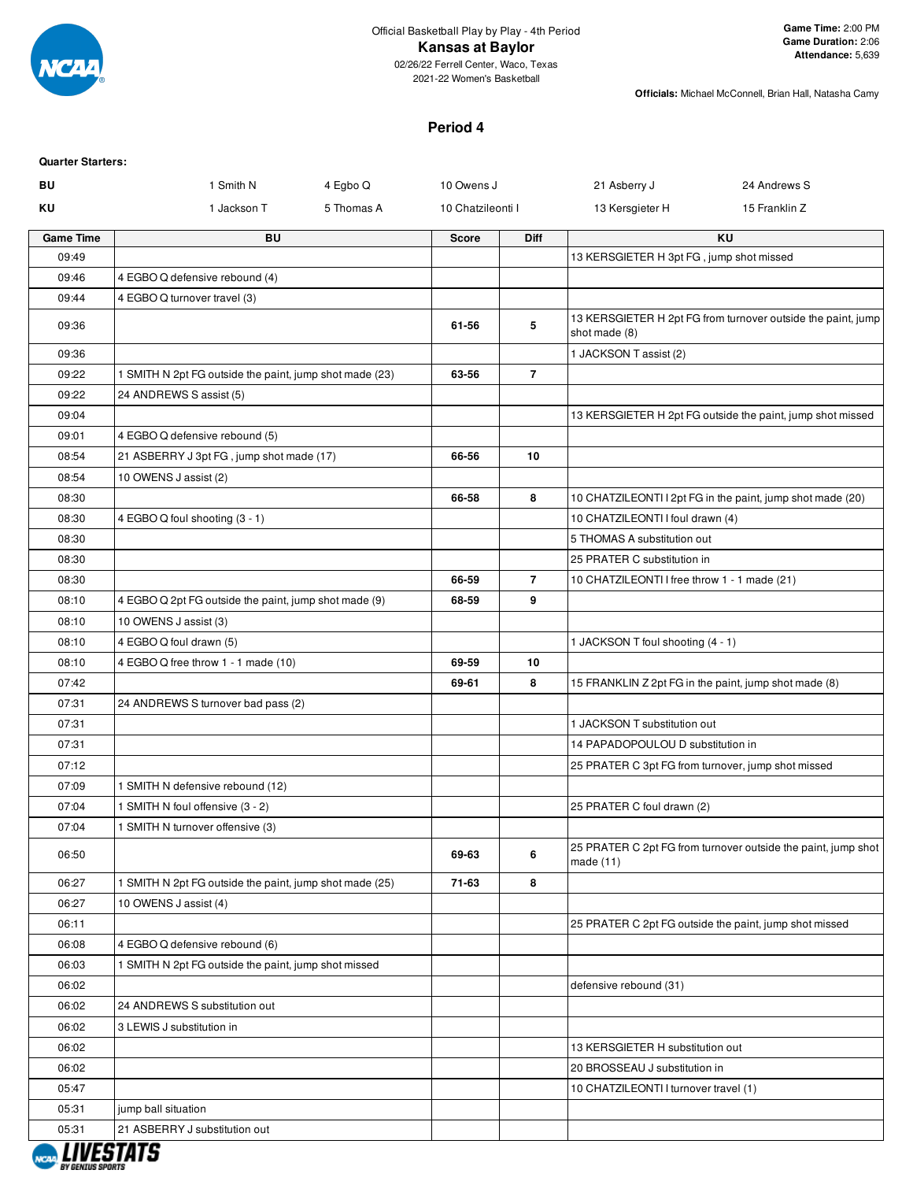

02/26/22 Ferrell Center, Waco, Texas 2021-22 Women's Basketball

**Officials:** Michael McConnell, Brian Hall, Natasha Camy

## **Period 4**

| Quarter Starters: |
|-------------------|
|                   |

| BU               | 1 Smith N                                               | 4 Egbo Q   | 10 Owens J        |                | 21 Asberry J                                 | 24 Andrews S                                                  |
|------------------|---------------------------------------------------------|------------|-------------------|----------------|----------------------------------------------|---------------------------------------------------------------|
| ΚU               | 1 Jackson T                                             | 5 Thomas A | 10 Chatzileonti I |                | 13 Kersgieter H                              | 15 Franklin Z                                                 |
| <b>Game Time</b> | <b>BU</b>                                               |            | Score             | <b>Diff</b>    |                                              | <b>KU</b>                                                     |
| 09:49            |                                                         |            |                   |                | 13 KERSGIETER H 3pt FG, jump shot missed     |                                                               |
| 09:46            | 4 EGBO Q defensive rebound (4)                          |            |                   |                |                                              |                                                               |
| 09:44            | 4 EGBO Q turnover travel (3)                            |            |                   |                |                                              |                                                               |
| 09:36            |                                                         |            | 61-56             | 5              | shot made (8)                                | 13 KERSGIETER H 2pt FG from turnover outside the paint, jump  |
| 09:36            |                                                         |            |                   |                | 1 JACKSON T assist (2)                       |                                                               |
| 09:22            | 1 SMITH N 2pt FG outside the paint, jump shot made (23) |            | 63-56             | $\overline{7}$ |                                              |                                                               |
| 09:22            | 24 ANDREWS S assist (5)                                 |            |                   |                |                                              |                                                               |
| 09:04            |                                                         |            |                   |                |                                              | 13 KERSGIETER H 2pt FG outside the paint, jump shot missed    |
| 09:01            | 4 EGBO Q defensive rebound (5)                          |            |                   |                |                                              |                                                               |
| 08:54            | 21 ASBERRY J 3pt FG, jump shot made (17)                |            | 66-56             | 10             |                                              |                                                               |
| 08:54            | 10 OWENS J assist (2)                                   |            |                   |                |                                              |                                                               |
| 08:30            |                                                         |            | 66-58             | 8              |                                              | 10 CHATZILEONTI I 2pt FG in the paint, jump shot made (20)    |
| 08:30            | 4 EGBO Q foul shooting (3 - 1)                          |            |                   |                | 10 CHATZILEONTI I foul drawn (4)             |                                                               |
| 08:30            |                                                         |            |                   |                | 5 THOMAS A substitution out                  |                                                               |
| 08:30            |                                                         |            |                   |                | 25 PRATER C substitution in                  |                                                               |
| 08:30            |                                                         |            | 66-59             | $\overline{7}$ | 10 CHATZILEONTI I free throw 1 - 1 made (21) |                                                               |
| 08:10            | 4 EGBO Q 2pt FG outside the paint, jump shot made (9)   |            | 68-59             | 9              |                                              |                                                               |
| 08:10            | 10 OWENS J assist (3)                                   |            |                   |                |                                              |                                                               |
| 08:10            | 4 EGBO Q foul drawn (5)                                 |            |                   |                | 1 JACKSON T foul shooting (4 - 1)            |                                                               |
| 08:10            | 4 EGBO Q free throw 1 - 1 made (10)                     |            | 69-59             | 10             |                                              |                                                               |
| 07:42            |                                                         |            | 69-61             | 8              |                                              | 15 FRANKLIN Z 2pt FG in the paint, jump shot made (8)         |
| 07:31            | 24 ANDREWS S turnover bad pass (2)                      |            |                   |                |                                              |                                                               |
| 07:31            |                                                         |            |                   |                | 1 JACKSON T substitution out                 |                                                               |
| 07:31            |                                                         |            |                   |                | 14 PAPADOPOULOU D substitution in            |                                                               |
| 07:12            |                                                         |            |                   |                |                                              | 25 PRATER C 3pt FG from turnover, jump shot missed            |
| 07:09            | 1 SMITH N defensive rebound (12)                        |            |                   |                |                                              |                                                               |
| 07:04            | 1 SMITH N foul offensive (3 - 2)                        |            |                   |                | 25 PRATER C foul drawn (2)                   |                                                               |
| 07:04            | 1 SMITH N turnover offensive (3)                        |            |                   |                |                                              |                                                               |
| 06:50            |                                                         |            | 69-63             | 6              | made $(11)$                                  | 25 PRATER C 2pt FG from turnover outside the paint, jump shot |
| 06:27            | 1 SMITH N 2pt FG outside the paint, jump shot made (25) |            | 71-63             | 8              |                                              |                                                               |
| 06:27            | 10 OWENS J assist (4)                                   |            |                   |                |                                              |                                                               |
| 06:11            |                                                         |            |                   |                |                                              | 25 PRATER C 2pt FG outside the paint, jump shot missed        |
| 06:08            | 4 EGBO Q defensive rebound (6)                          |            |                   |                |                                              |                                                               |
| 06:03            | 1 SMITH N 2pt FG outside the paint, jump shot missed    |            |                   |                |                                              |                                                               |
| 06:02            |                                                         |            |                   |                | defensive rebound (31)                       |                                                               |
| 06:02            | 24 ANDREWS S substitution out                           |            |                   |                |                                              |                                                               |
| 06:02            | 3 LEWIS J substitution in                               |            |                   |                |                                              |                                                               |
| 06:02            |                                                         |            |                   |                | 13 KERSGIETER H substitution out             |                                                               |
| 06:02            |                                                         |            |                   |                | 20 BROSSEAU J substitution in                |                                                               |
| 05:47            |                                                         |            |                   |                | 10 CHATZILEONTI I turnover travel (1)        |                                                               |
| 05:31            | jump ball situation                                     |            |                   |                |                                              |                                                               |
| 05:31            | 21 ASBERRY J substitution out                           |            |                   |                |                                              |                                                               |

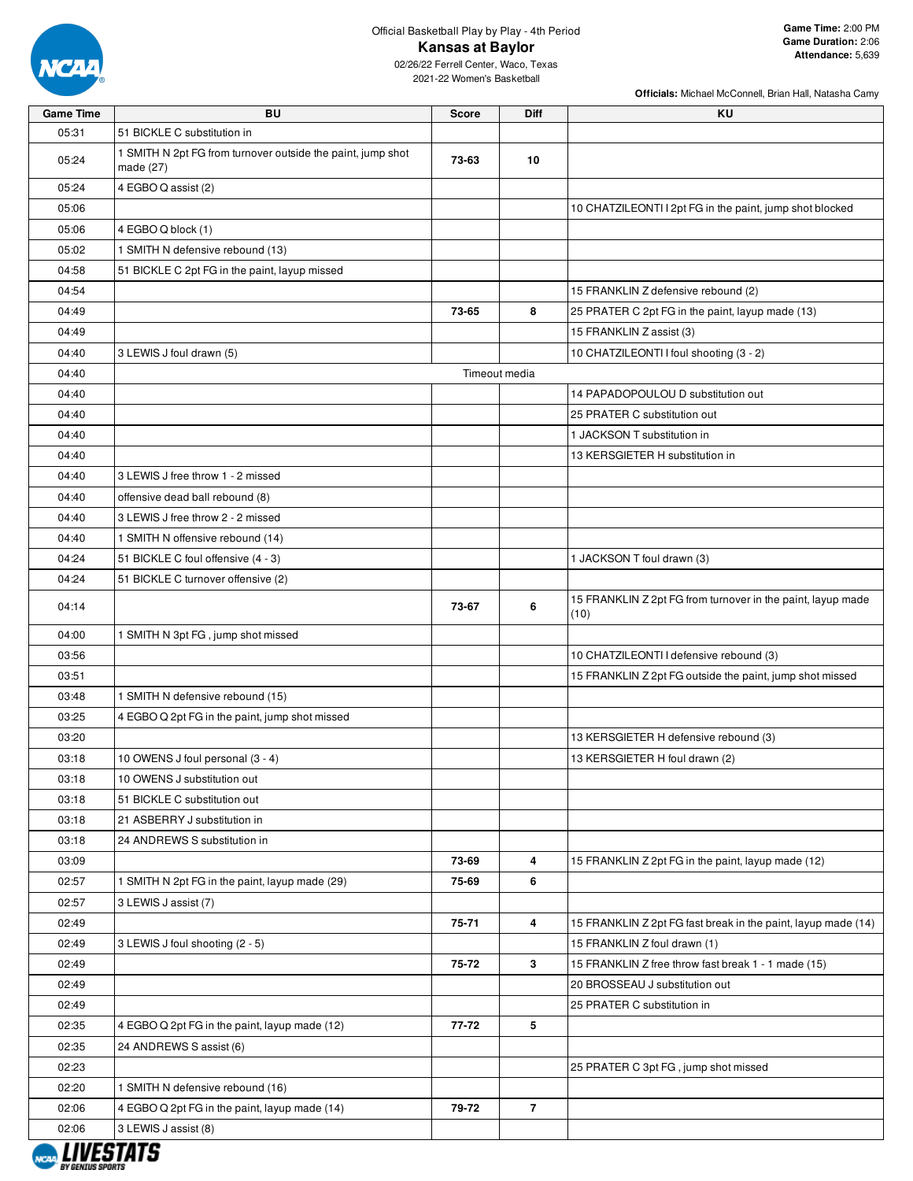

# Official Basketball Play by Play - 4th Period **Kansas at Baylor**

02/26/22 Ferrell Center, Waco, Texas 2021-22 Women's Basketball

| <b>Game Time</b> | <b>BU</b>                                                                | <b>Score</b>  | Diff           | KU                                                                  |
|------------------|--------------------------------------------------------------------------|---------------|----------------|---------------------------------------------------------------------|
| 05:31            | 51 BICKLE C substitution in                                              |               |                |                                                                     |
| 05:24            | 1 SMITH N 2pt FG from turnover outside the paint, jump shot<br>made (27) | 73-63         | 10             |                                                                     |
| 05:24            | 4 EGBO Q assist (2)                                                      |               |                |                                                                     |
| 05:06            |                                                                          |               |                | 10 CHATZILEONTI I 2pt FG in the paint, jump shot blocked            |
| 05:06            | 4 EGBO Q block (1)                                                       |               |                |                                                                     |
| 05:02            | 1 SMITH N defensive rebound (13)                                         |               |                |                                                                     |
| 04:58            | 51 BICKLE C 2pt FG in the paint, layup missed                            |               |                |                                                                     |
| 04:54            |                                                                          |               |                | 15 FRANKLIN Z defensive rebound (2)                                 |
| 04:49            |                                                                          | 73-65         | 8              | 25 PRATER C 2pt FG in the paint, layup made (13)                    |
| 04:49            |                                                                          |               |                | 15 FRANKLIN Z assist (3)                                            |
| 04:40            | 3 LEWIS J foul drawn (5)                                                 |               |                | 10 CHATZILEONTI I foul shooting (3 - 2)                             |
| 04:40            |                                                                          | Timeout media |                |                                                                     |
| 04:40            |                                                                          |               |                | 14 PAPADOPOULOU D substitution out                                  |
| 04:40            |                                                                          |               |                | 25 PRATER C substitution out                                        |
| 04:40            |                                                                          |               |                | 1 JACKSON T substitution in                                         |
| 04:40            |                                                                          |               |                | 13 KERSGIETER H substitution in                                     |
| 04:40            | 3 LEWIS J free throw 1 - 2 missed                                        |               |                |                                                                     |
| 04:40            | offensive dead ball rebound (8)                                          |               |                |                                                                     |
| 04:40            | 3 LEWIS J free throw 2 - 2 missed                                        |               |                |                                                                     |
| 04:40            | 1 SMITH N offensive rebound (14)                                         |               |                |                                                                     |
| 04:24            | 51 BICKLE C foul offensive (4 - 3)                                       |               |                | 1 JACKSON T foul drawn (3)                                          |
| 04:24            | 51 BICKLE C turnover offensive (2)                                       |               |                |                                                                     |
| 04:14            |                                                                          | 73-67         | 6              | 15 FRANKLIN Z 2pt FG from turnover in the paint, layup made<br>(10) |
| 04:00            | 1 SMITH N 3pt FG, jump shot missed                                       |               |                |                                                                     |
| 03:56            |                                                                          |               |                | 10 CHATZILEONTI I defensive rebound (3)                             |
| 03:51            |                                                                          |               |                | 15 FRANKLIN Z 2pt FG outside the paint, jump shot missed            |
| 03:48            | 1 SMITH N defensive rebound (15)                                         |               |                |                                                                     |
| 03:25            | 4 EGBO Q 2pt FG in the paint, jump shot missed                           |               |                |                                                                     |
| 03:20            |                                                                          |               |                | 13 KERSGIETER H defensive rebound (3)                               |
| 03:18            | 10 OWENS J foul personal (3 - 4)                                         |               |                | 13 KERSGIETER H foul drawn (2)                                      |
| 03:18            | 10 OWENS J substitution out                                              |               |                |                                                                     |
| 03:18            | 51 BICKLE C substitution out                                             |               |                |                                                                     |
| 03:18            | 21 ASBERRY J substitution in                                             |               |                |                                                                     |
| 03:18            | 24 ANDREWS S substitution in                                             |               |                |                                                                     |
| 03:09            |                                                                          | 73-69         | 4              | 15 FRANKLIN Z 2pt FG in the paint, layup made (12)                  |
| 02:57            | 1 SMITH N 2pt FG in the paint, layup made (29)                           | 75-69         | 6              |                                                                     |
| 02:57            | 3 LEWIS J assist (7)                                                     |               |                |                                                                     |
| 02:49            |                                                                          | $75 - 71$     | 4              | 15 FRANKLIN Z 2pt FG fast break in the paint, layup made (14)       |
| 02:49            | 3 LEWIS J foul shooting (2 - 5)                                          |               |                | 15 FRANKLIN Z foul drawn (1)                                        |
| 02:49            |                                                                          | 75-72         | 3              | 15 FRANKLIN Z free throw fast break 1 - 1 made (15)                 |
| 02:49            |                                                                          |               |                | 20 BROSSEAU J substitution out                                      |
| 02:49            |                                                                          |               |                | 25 PRATER C substitution in                                         |
| 02:35            | 4 EGBO Q 2pt FG in the paint, layup made (12)                            | 77-72         | 5              |                                                                     |
| 02:35            | 24 ANDREWS S assist (6)                                                  |               |                |                                                                     |
| 02:23            |                                                                          |               |                | 25 PRATER C 3pt FG, jump shot missed                                |
| 02:20            | 1 SMITH N defensive rebound (16)                                         |               |                |                                                                     |
| 02:06            | 4 EGBO Q 2pt FG in the paint, layup made (14)                            | 79-72         | $\overline{7}$ |                                                                     |
| 02:06            | 3 LEWIS J assist (8)                                                     |               |                |                                                                     |

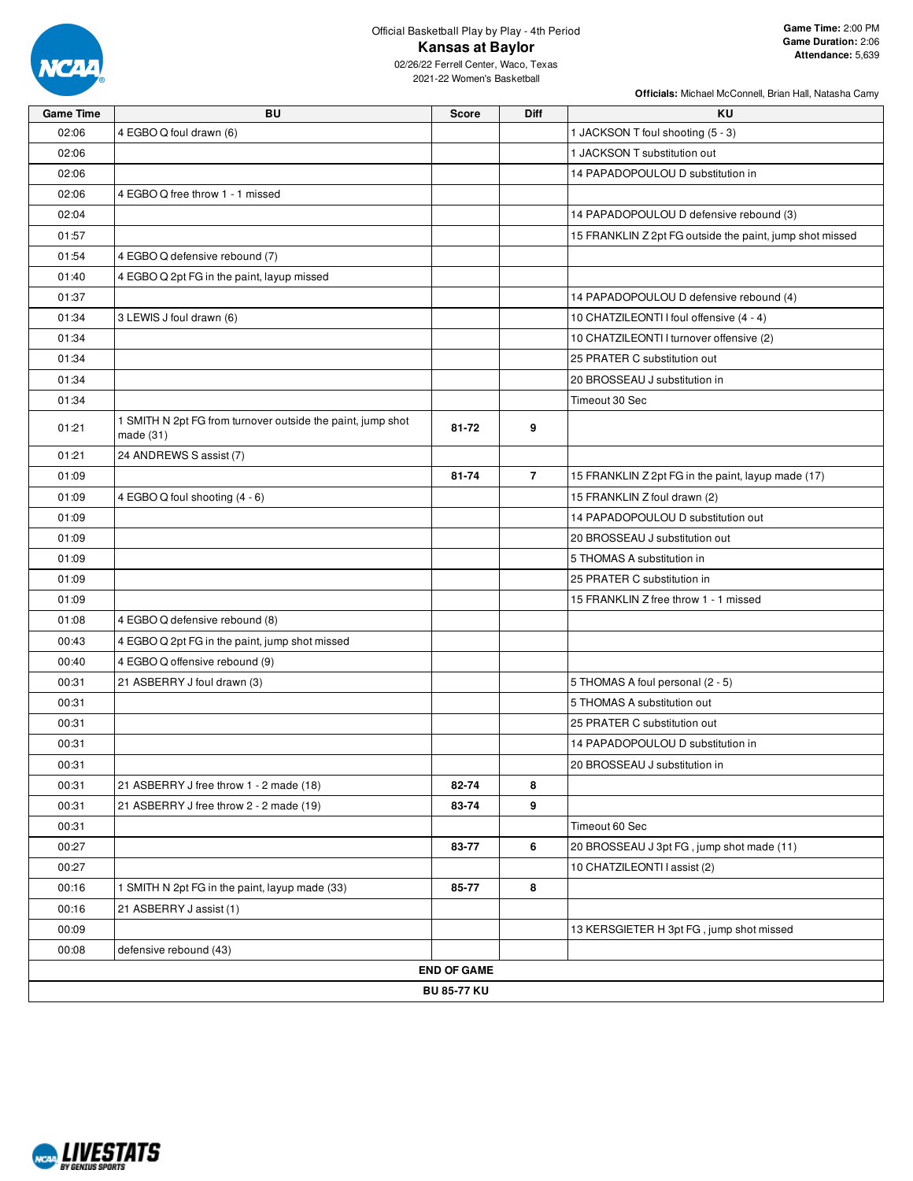

# Official Basketball Play by Play - 4th Period **Kansas at Baylor**

02/26/22 Ferrell Center, Waco, Texas 2021-22 Women's Basketball

| Game Time | <b>BU</b>                                                                  | Score              | Diff           | KU                                                       |
|-----------|----------------------------------------------------------------------------|--------------------|----------------|----------------------------------------------------------|
| 02:06     | 4 EGBO Q foul drawn (6)                                                    |                    |                | 1 JACKSON T foul shooting (5 - 3)                        |
| 02:06     |                                                                            |                    |                | 1 JACKSON T substitution out                             |
| 02:06     |                                                                            |                    |                | 14 PAPADOPOULOU D substitution in                        |
| 02:06     | 4 EGBO Q free throw 1 - 1 missed                                           |                    |                |                                                          |
| 02:04     |                                                                            |                    |                | 14 PAPADOPOULOU D defensive rebound (3)                  |
| 01:57     |                                                                            |                    |                | 15 FRANKLIN Z 2pt FG outside the paint, jump shot missed |
| 01:54     | 4 EGBO Q defensive rebound (7)                                             |                    |                |                                                          |
| 01:40     | 4 EGBO Q 2pt FG in the paint, layup missed                                 |                    |                |                                                          |
| 01:37     |                                                                            |                    |                | 14 PAPADOPOULOU D defensive rebound (4)                  |
| 01:34     | 3 LEWIS J foul drawn (6)                                                   |                    |                | 10 CHATZILEONTI I foul offensive (4 - 4)                 |
| 01:34     |                                                                            |                    |                | 10 CHATZILEONTI I turnover offensive (2)                 |
| 01:34     |                                                                            |                    |                | 25 PRATER C substitution out                             |
| 01:34     |                                                                            |                    |                | 20 BROSSEAU J substitution in                            |
| 01:34     |                                                                            |                    |                | Timeout 30 Sec                                           |
| 01:21     | 1 SMITH N 2pt FG from turnover outside the paint, jump shot<br>made $(31)$ | 81-72              | 9              |                                                          |
| 01:21     | 24 ANDREWS S assist (7)                                                    |                    |                |                                                          |
| 01:09     |                                                                            | 81-74              | $\overline{7}$ | 15 FRANKLIN Z 2pt FG in the paint, layup made (17)       |
| 01:09     | 4 EGBO Q foul shooting (4 - 6)                                             |                    |                | 15 FRANKLIN Z foul drawn (2)                             |
| 01:09     |                                                                            |                    |                | 14 PAPADOPOULOU D substitution out                       |
| 01:09     |                                                                            |                    |                | 20 BROSSEAU J substitution out                           |
| 01:09     |                                                                            |                    |                | 5 THOMAS A substitution in                               |
| 01:09     |                                                                            |                    |                | 25 PRATER C substitution in                              |
| 01:09     |                                                                            |                    |                | 15 FRANKLIN Z free throw 1 - 1 missed                    |
| 01:08     | 4 EGBO Q defensive rebound (8)                                             |                    |                |                                                          |
| 00:43     | 4 EGBO Q 2pt FG in the paint, jump shot missed                             |                    |                |                                                          |
| 00:40     | 4 EGBO Q offensive rebound (9)                                             |                    |                |                                                          |
| 00:31     | 21 ASBERRY J foul drawn (3)                                                |                    |                | 5 THOMAS A foul personal (2 - 5)                         |
| 00:31     |                                                                            |                    |                | 5 THOMAS A substitution out                              |
| 00:31     |                                                                            |                    |                | 25 PRATER C substitution out                             |
| 00:31     |                                                                            |                    |                | 14 PAPADOPOULOU D substitution in                        |
| 00:31     |                                                                            |                    |                | 20 BROSSEAU J substitution in                            |
| 00:31     | 21 ASBERRY J free throw 1 - 2 made (18)                                    | 82-74              | 8              |                                                          |
| 00:31     | 21 ASBERRY J free throw 2 - 2 made (19)                                    | 83-74              | 9              |                                                          |
| 00:31     |                                                                            |                    |                | Timeout 60 Sec                                           |
| 00:27     |                                                                            | 83-77              | 6              | 20 BROSSEAU J 3pt FG, jump shot made (11)                |
| 00:27     |                                                                            |                    |                | 10 CHATZILEONTI I assist (2)                             |
| 00:16     | 1 SMITH N 2pt FG in the paint, layup made (33)                             | 85-77              | 8              |                                                          |
| 00:16     | 21 ASBERRY J assist (1)                                                    |                    |                |                                                          |
| 00:09     |                                                                            |                    |                | 13 KERSGIETER H 3pt FG, jump shot missed                 |
| 00:08     | defensive rebound (43)                                                     |                    |                |                                                          |
|           |                                                                            | <b>END OF GAME</b> |                |                                                          |
|           |                                                                            | <b>BU 85-77 KU</b> |                |                                                          |
|           |                                                                            |                    |                |                                                          |

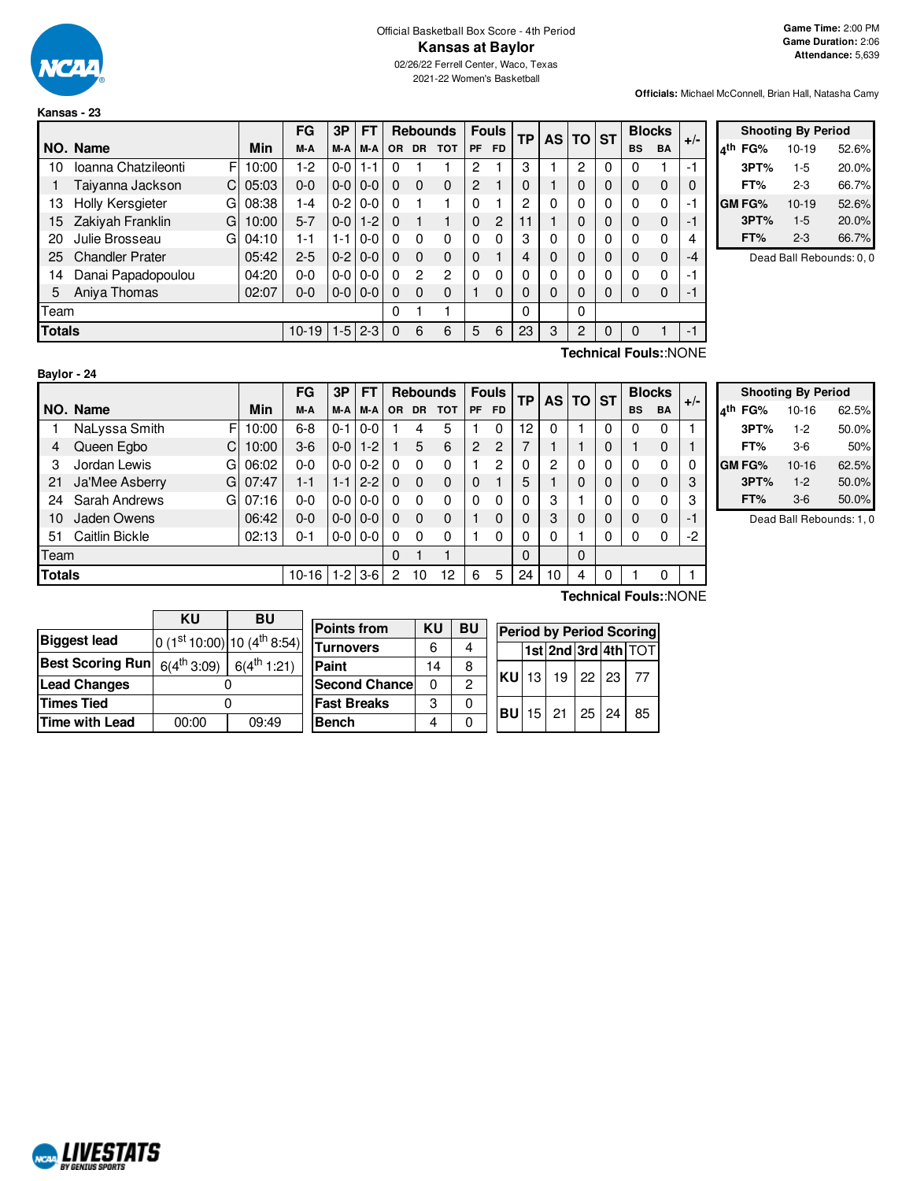

**Kansas - 23**

2021-22 Women's Basketball

**Game Time:** 2:00 PM **Game Duration:** 2:06 **Attendance:** 5,639

**Officials:** Michael McConnell, Brian Hall, Natasha Camy

|               |                          |       | FG        | 3P      | FT.     |          |               | <b>Rebounds</b> |          | <b>Fouls</b> | ТP | <b>AS</b> | <b>TO</b> | <b>ST</b> |           | <b>Blocks</b> | $+/-$    |
|---------------|--------------------------|-------|-----------|---------|---------|----------|---------------|-----------------|----------|--------------|----|-----------|-----------|-----------|-----------|---------------|----------|
|               | NO. Name                 | Min   | M-A       | M-A     | M-A     | OR.      | <b>DR</b>     | <b>TOT</b>      | PF       | <b>FD</b>    |    |           |           |           | <b>BS</b> | <b>BA</b>     |          |
| 10            | Ioanna Chatzileonti<br>F | 10:00 | 1-2       | $0 - 0$ | $1 - 1$ | 0        |               |                 | 2        |              | 3  |           | 2         | 0         | 0         |               | $-1$     |
|               | Taiyanna Jackson<br>C.   | 05:03 | $0 - 0$   | $0-0$   | $0 - 0$ | 0        | $\Omega$      | 0               | 2        |              |    |           | 0         | 0         | 0         | 0             | $\Omega$ |
| 13            | Holly Kersgieter<br>G    | 08:38 | 1-4       | $0-2$   | $0 - 0$ |          |               |                 | 0        |              | 2  | 0         | 0         | 0         | 0         | 0             | -1       |
| 15            | Zakiyah Franklin<br>G    | 10:00 | $5 - 7$   | $0 - 0$ | $1 - 2$ | $\Omega$ |               |                 | $\Omega$ | 2            | 11 |           | 0         | 0         | 0         | 0             | -1       |
| 20            | Julie Brosseau<br>GI     | 04:10 | 1-1       | 1-1     | $0 - 0$ | $\Omega$ | 0             | 0               | 0        | $\Omega$     | 3  | 0         | 0         | 0         | 0         | 0             | 4        |
| 25            | <b>Chandler Prater</b>   | 05:42 | $2 - 5$   | $0-2$   | $0 - 0$ | $\Omega$ | $\Omega$      | 0               | $\Omega$ |              | 4  | 0         | 0         | 0         | 0         | 0             | $-4$     |
| 14            | Danai Papadopoulou       | 04:20 | $0 - 0$   | $0-0$   | $0 - 0$ |          | $\mathcal{P}$ | $\overline{2}$  | $\Omega$ | 0            |    | 0         | 0         | 0         | 0         | $\mathbf 0$   | -1       |
| 5             | Aniya Thomas             | 02:07 | $0 - 0$   | $0-0$   | $0 - 0$ | 0        | $\Omega$      | 0               |          | $\Omega$     |    | 0         | 0         | 0         | 0         | 0             | -1       |
| Team          |                          |       |           |         |         | 0        |               |                 |          |              | 0  |           | 0         |           |           |               |          |
| <b>Totals</b> |                          |       | $10 - 19$ | $1-5$   | $2 - 3$ | $\Omega$ | 6             | 6               | 5        | 6            | 23 | 3         | 2         | 0         | 0         |               | $-1$     |

| <b>Shooting By Period</b> |        |         |       |  |  |  |  |  |  |  |
|---------------------------|--------|---------|-------|--|--|--|--|--|--|--|
| ۸th                       | FG%    | $10-19$ | 52.6% |  |  |  |  |  |  |  |
|                           | 3PT%   | $1-5$   | 20.0% |  |  |  |  |  |  |  |
|                           | FT%    | 2-3     | 66.7% |  |  |  |  |  |  |  |
|                           | GM FG% | $10-19$ | 52.6% |  |  |  |  |  |  |  |
|                           | 3PT%   | $1-5$   | 20.0% |  |  |  |  |  |  |  |
|                           | FT%    | $2 - 3$ | 66.7% |  |  |  |  |  |  |  |

Dead Ball Rebounds: 0, 0

| Baylor - 24 |  |  |
|-------------|--|--|
|             |  |  |

**Technical Fouls:**:NONE

|               |                      |       | FG        | 3P      | FТ            |           |           | <b>Rebounds</b> |                | <b>Fouls</b>   | ТP       | <b>AS</b> | <b>TO</b> | <b>ST</b> |           | <b>Blocks</b> | $+/-$ |
|---------------|----------------------|-------|-----------|---------|---------------|-----------|-----------|-----------------|----------------|----------------|----------|-----------|-----------|-----------|-----------|---------------|-------|
|               | NO. Name             | Min   | M-A       | M-A     | M-A           | <b>OR</b> | <b>DR</b> | <b>TOT</b>      | PF             | <b>FD</b>      |          |           |           |           | <b>BS</b> | <b>BA</b>     |       |
|               | NaLyssa Smith<br>F   | 10:00 | $6 - 8$   | $0 - 1$ | $0 - 0$       |           | 4         | 5               |                | $\Omega$       | 12       | 0         |           | 0         |           | 0             |       |
| 4             | Queen Egbo           | 10:00 | $3-6$     | $0-0$   | $1-2$         |           | 5         | 6               | $\overline{2}$ | $\overline{c}$ |          |           |           | 0         |           | 0             |       |
| 3             | Jordan Lewis<br>G    | 06:02 | $0 - 0$   | $0-0$   | $0 - 2$       | 0         | 0         | 0               |                | 2              |          | 2         | 0         | 0         | 0         | 0             | 0     |
| 21            | GI<br>Ja'Mee Asberry | 07:47 | $1 - 1$   | $1 - 1$ | $2 - 2$       | 0         | $\Omega$  | 0               | 0              |                | 5        |           | 0         | 0         | 0         | 0             | 3     |
| 24            | Sarah Andrews<br>GI  | 07:16 | 0-0       | $0-0$   | $0 - 0$       | 0         | 0         | 0               | 0              | $\Omega$       |          | 3         |           | 0         | 0         | $\mathbf{0}$  | 3     |
| 10            | Jaden Owens          | 06:42 | $0 - 0$   | $0-0$   | $0 - 0$       |           | $\Omega$  | 0               |                | 0              |          | 3         | $\Omega$  | 0         | 0         | 0             | -1    |
| 51            | Caitlin Bickle       | 02:13 | $0 - 1$   |         | $0 - 0 0 - 0$ | $\Omega$  | $\Omega$  | 0               |                | $\Omega$       |          | 0         |           | 0         | 0         | 0             | $-2$  |
| Team          |                      |       |           |         |               | 0         |           |                 |                |                | $\Omega$ |           | $\Omega$  |           |           |               |       |
| <b>Totals</b> |                      |       | $10 - 16$ |         | $1 - 2$ 3-6   | 2         | 10        | 12              | 6              | 5              | 24       | 10        | 4         | 0         |           | 0             |       |

**Shooting By Period 4 th FG%** 10-16 62.5% **3PT%** 1-2 50.0% **FT%** 3-6 50% **GM FG%** 10-16 62.5%

> **FT%** 3-6 50.0% Dead Ball Rebounds: 1, 0

**3PT%** 1-2 50.0%

|                         | ΚU              | BU                                      |  |  |  |  |
|-------------------------|-----------------|-----------------------------------------|--|--|--|--|
| <b>Biggest lead</b>     |                 | 0 (1st 10:00) 10 (4 <sup>th</sup> 8:54) |  |  |  |  |
| <b>Best Scoring Run</b> | $6(4^{th}3:09)$ | $6(4^{th} 1:21)$                        |  |  |  |  |
| <b>Lead Changes</b>     |                 |                                         |  |  |  |  |
| <b>Times Tied</b>       |                 |                                         |  |  |  |  |
| <b>Time with Lead</b>   | 00:00           | 09:49                                   |  |  |  |  |

| <b>Points from</b>   | KU | BU | <b>Period by Period Scoring</b> |                                            |  |                            |  |  |    |  |  |  |  |  |
|----------------------|----|----|---------------------------------|--------------------------------------------|--|----------------------------|--|--|----|--|--|--|--|--|
| Turnovers            | 6  |    |                                 | $\frac{1}{1}$ st 2nd 3rd 4th $\frac{1}{1}$ |  |                            |  |  |    |  |  |  |  |  |
| Paint                | 14 | 8  |                                 |                                            |  |                            |  |  |    |  |  |  |  |  |
| <b>Second Chance</b> | 0  | 2  |                                 |                                            |  | KU  13   19   22   23      |  |  | 77 |  |  |  |  |  |
| <b>Fast Breaks</b>   | 3  |    |                                 |                                            |  | $ BU $ 15 $ 21 $ 25 $ 24 $ |  |  |    |  |  |  |  |  |
| Bench                |    |    |                                 |                                            |  |                            |  |  | 85 |  |  |  |  |  |

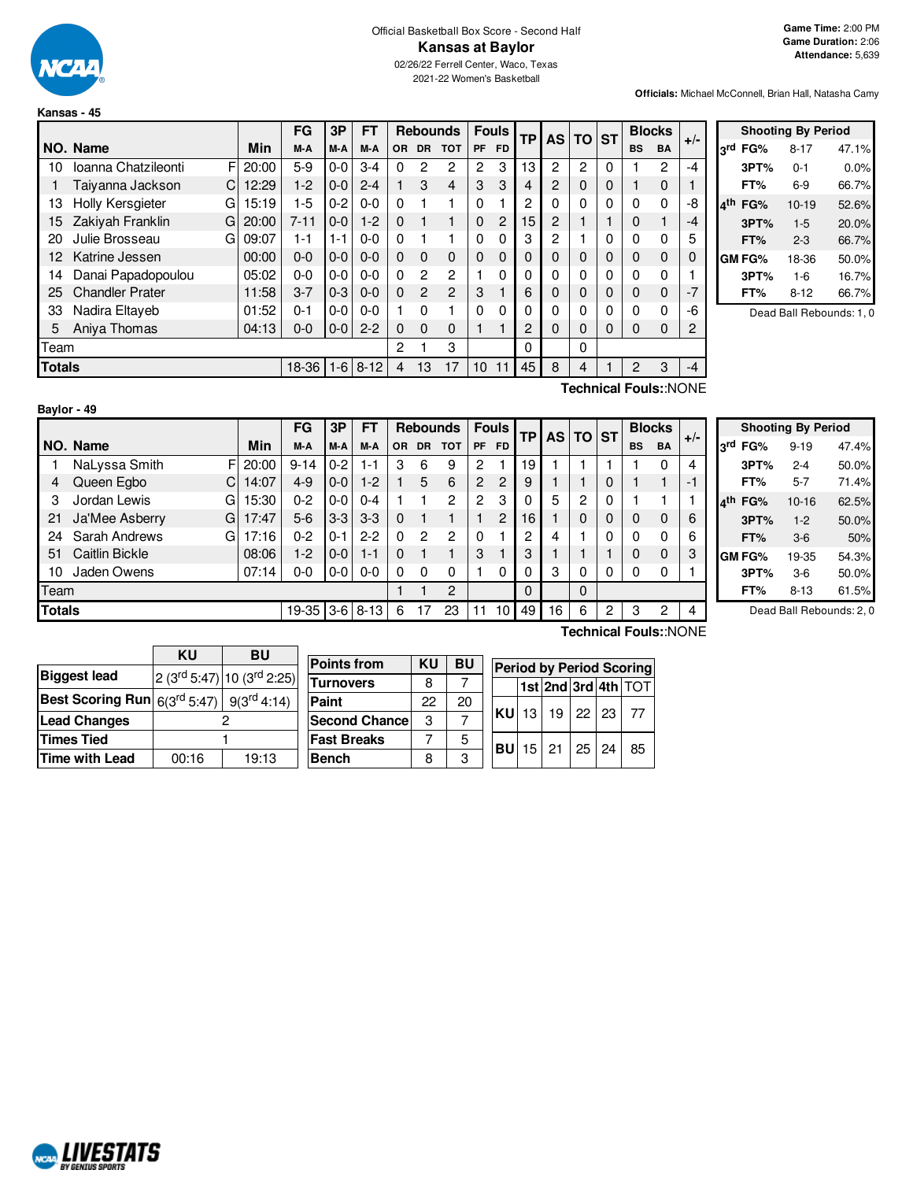

#### Official Basketball Box Score - Second Half **Kansas at Baylor** 02/26/22 Ferrell Center, Waco, Texas

2021-22 Women's Basketball

**Officials:** Michael McConnell, Brian Hall, Natasha Camy

|               |                          |       | FG       | 3P      | FT       |           |                | <b>Rebounds</b> | <b>Fouls</b> |           | ТP | <b>AS</b> | <b>TO</b> | <b>ST</b> | <b>Blocks</b> |                  | $+/-$ |
|---------------|--------------------------|-------|----------|---------|----------|-----------|----------------|-----------------|--------------|-----------|----|-----------|-----------|-----------|---------------|------------------|-------|
|               | NO. Name                 | Min   | M-A      | M-A     | M-A      | <b>OR</b> | DR.            | <b>TOT</b>      | <b>PF</b>    | <b>FD</b> |    |           |           |           | <b>BS</b>     | <b>BA</b>        |       |
| 10            | F<br>Ioanna Chatzileonti | 20:00 | 5-9      | $0-0$   | $3-4$    | $\Omega$  | 2              | 2               | 2            | 3         | 13 | 2         | 2         | 0         |               | 2                | $-4$  |
|               | Taiyanna Jackson<br>C    | 12:29 | $1-2$    | $0 - 0$ | $2 - 4$  |           | 3              | 4               | 3            | 3         | 4  | 2         | $\Omega$  | 0         |               | 0                |       |
| 13            | Holly Kersgieter<br>G    | 15:19 | 1-5      | $0 - 2$ | $0 - 0$  | $\Omega$  |                |                 | 0            |           | 2  | 0         | 0         | 0         | 0             | 0                | -8    |
| 15            | Zakiyah Franklin<br>G    | 20:00 | $7 - 11$ | $0-0$   | $1-2$    | $\Omega$  |                | 1               | $\Omega$     | 2         | 15 | 2         |           |           | 0             | 1                | $-4$  |
| 20            | Julie Brosseau<br>G      | 09:07 | $1 - 1$  | 1-1     | $0 - 0$  | $\Omega$  |                |                 | 0            | 0         | 3  | 2         |           | 0         | 0             | 0                | 5     |
| 12            | Katrine Jessen           | 00:00 | $0 - 0$  | $0 - 0$ | $0 - 0$  | $\Omega$  | $\Omega$       | $\Omega$        | 0            | 0         | 0  | 0         | 0         | 0         | 0             | 0                | 0     |
| 14            | Danai Papadopoulou       | 05:02 | $0 - 0$  | $0-0$   | $0 - 0$  | $\Omega$  | $\overline{2}$ | $\overline{2}$  |              | 0         | 0  | 0         | 0         | 0         | 0             | 0                |       |
| 25            | <b>Chandler Prater</b>   | 11:58 | $3 - 7$  | $0 - 3$ | $0 - 0$  | $\Omega$  | $\mathcal{P}$  | $\mathfrak{p}$  | 3            |           | 6  | 0         | 0         | 0         | 0             | 0                | $-7$  |
| 33            | Nadira Eltaveb           | 01:52 | $0 - 1$  | $0-0$   | $0 - 0$  |           | $\Omega$       |                 | 0            | 0         | 0  | 0         | 0         | 0         | 0             | 0                | -6    |
| 5             | Aniva Thomas             | 04:13 | 0-0      | $0-0$   | $2 - 2$  | $\Omega$  | $\Omega$       | 0               |              |           | 2  | 0         | 0         | 0         | 0             | 0                | 2     |
| Team          |                          |       |          |         |          | 2         |                | 3               |              |           | 0  |           | 0         |           |               |                  |       |
| <b>Totals</b> |                          |       | 18-36    | $1 - 6$ | $8 - 12$ | 4         | 13             | 17              | 10           | 11        | 45 | 8         | 4         |           | 2             | 3                | $-4$  |
|               |                          |       |          |         |          |           |                |                 |              |           |    |           |           |           |               | $T_{\text{sub}}$ |       |

|     |         | <b>Shooting By Period</b> |       |
|-----|---------|---------------------------|-------|
|     | 3rd FG% | 8-17                      | 47.1% |
|     | 3PT%    | 0-1                       | 0.0%  |
|     | FT%     | 6-9                       | 66.7% |
| ⊿th | FG%     | $10-19$                   | 52.6% |
|     | 3PT%    | $1-5$                     | 20.0% |
|     | FT%     | $2 - 3$                   | 66.7% |
|     | GM FG%  | 18-36                     | 50.0% |
|     | 3PT%    | $1-6$                     | 16.7% |
|     | FT%     | $8 - 12$                  | 66.7% |
|     |         |                           |       |

Dead Ball Rebounds: 1, 0

| Baylor - 49   |                       |             |          |         |              |           |           |                 |          |                |          |    |          |          |           |               |       |
|---------------|-----------------------|-------------|----------|---------|--------------|-----------|-----------|-----------------|----------|----------------|----------|----|----------|----------|-----------|---------------|-------|
|               |                       |             | FG       | 3P      | FT           |           |           | <b>Rebounds</b> |          | <b>Fouls</b>   |          |    | AS TO ST |          |           | <b>Blocks</b> | $+/-$ |
|               | NO. Name              | Min         | M-A      | M-A     | M-A          | <b>OR</b> | <b>DR</b> | <b>TOT</b>      | PF       | <b>FD</b>      | ТP       |    |          |          | <b>BS</b> | <b>BA</b>     |       |
|               | NaLyssa Smith         | F<br>20:00  | $9 - 14$ | $0 - 2$ | $1 - 1$      | 3         | 6         | 9               | 2        |                | 19       |    |          |          |           | 0             | 4     |
| 4             | Queen Egbo            | C.<br>14:07 | $4 - 9$  | $0-0$   | $1 - 2$      |           | 5         | 6               | 2        | $\overline{c}$ | 9        |    |          | 0        |           |               | -1    |
| 3             | Jordan Lewis          | GI<br>15:30 | $0 - 2$  | $0-0$   | $0 - 4$      |           |           | $\overline{c}$  | 2        | 3              | $\Omega$ | 5  | 2        | $\Omega$ |           |               |       |
| 21            | Ja'Mee Asberry        | G<br>17:47  | $5-6$    | $3-3$   | $3 - 3$      | $\Omega$  |           |                 |          | $\overline{c}$ | 16       |    | 0        | $\Omega$ | 0         | 0             | 6     |
| 24            | Sarah Andrews         | 17:16<br>G  | $0 - 2$  | $0 - 1$ | $2-2$        | $\Omega$  | 2         | 2               | $\Omega$ |                | 2        | 4  |          | $\Omega$ | 0         | 0             | 6     |
| 51            | <b>Caitlin Bickle</b> | 08:06       | $1-2$    | $0-0$   | $1 - 1$      | $\Omega$  |           |                 | 3        |                | 3        |    |          |          | 0         | 0             | 3     |
| 10            | Jaden Owens           | 07:14       | $0-0$    | $0-0$   | $0 - 0$      | 0         | 0         | 0               |          | $\Omega$       | 0        | 3  | 0        | 0        |           | 0             |       |
| Team          |                       |             |          |         |              |           |           | $\overline{c}$  |          |                | 0        |    | $\Omega$ |          |           |               |       |
| <b>Totals</b> |                       |             | 19-35    |         | $3-6$   8-13 | 6         |           | 23              | 11       | 10             | 49       | 16 | 6        | 2        | 3         | 2             | 4     |

**Technical Fouls:**:NONE

|     |        | <b>Shooting By Period</b> |       |
|-----|--------|---------------------------|-------|
| لrd | FG%    | $9 - 19$                  | 47.4% |
|     | 3PT%   | $2 - 4$                   | 50.0% |
|     | FT%    | $5 - 7$                   | 71.4% |
| ⊿th | FG%    | $10 - 16$                 | 62.5% |
|     | 3PT%   | $1 - 2$                   | 50.0% |
|     | FT%    | $3-6$                     | 50%   |
|     | GM FG% | 19-35                     | 54.3% |
|     | 3PT%   | $3-6$                     | 50.0% |
|     | FT%    | $8 - 13$                  | 61.5% |

Dead Ball Rebounds: 2, 0

|                                                                            | <b>KU</b> | <b>BU</b> |                                            |    |           |                 |    |              |                 |                                 |
|----------------------------------------------------------------------------|-----------|-----------|--------------------------------------------|----|-----------|-----------------|----|--------------|-----------------|---------------------------------|
|                                                                            |           |           | <b>Points from</b>                         | KU | <b>BU</b> |                 |    |              |                 | <b>Period by Period Scoring</b> |
| <b>Biggest lead</b>                                                        |           |           | $ 2(3^{rd}5:47) 10(3^{rd}2:25) $ Turnovers | 8  |           |                 |    |              |                 | $ 1st 2nd 3rd 4th $ TOT         |
| Best Scoring Run $ \,6(3^{\text{rd}}\,5:47)\,  \,\,9(3^{\text{rd}}\,4:14)$ |           |           | Paint                                      | 22 | 20        |                 |    |              |                 |                                 |
| <b>Lead Changes</b>                                                        |           |           | <b>Second Chance</b>                       | З  |           | <b>KU</b> 13    | 19 | 22           | $\frac{123}{2}$ | -77                             |
| <b>Times Tied</b>                                                          |           |           | <b>Fast Breaks</b>                         |    | 5         | <b>BU</b> 15 21 |    | $25 \mid 24$ |                 | 85                              |
| Time with Lead                                                             | 00:16     | 19:13     | <b>Bench</b>                               | 8  | C         |                 |    |              |                 |                                 |
|                                                                            |           |           |                                            |    |           |                 |    |              |                 |                                 |

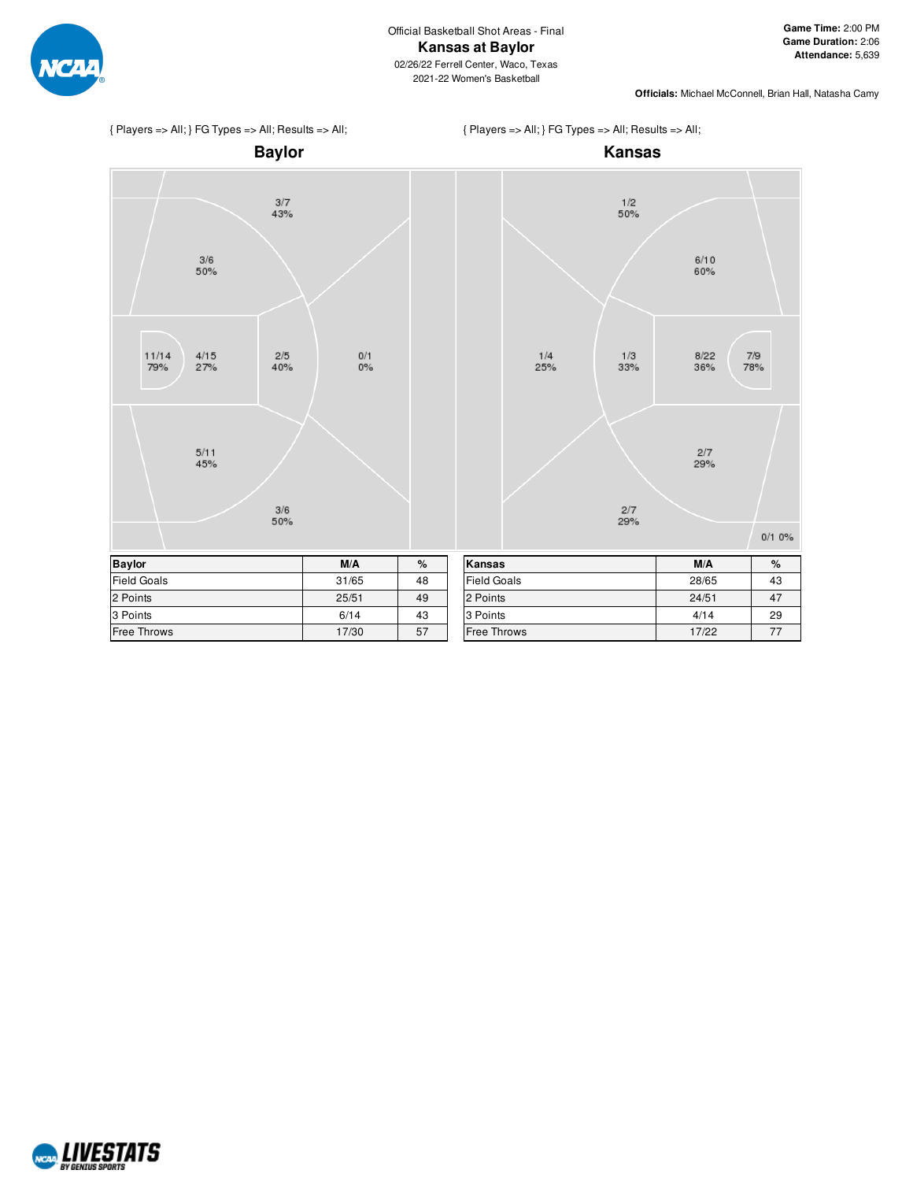

 $6/10$ 60%

8/22<br>36%

 $\frac{2}{7}$ <br>29%

 $7/9$ 78%

 $0/10%$ 



NCAL LIVESTATS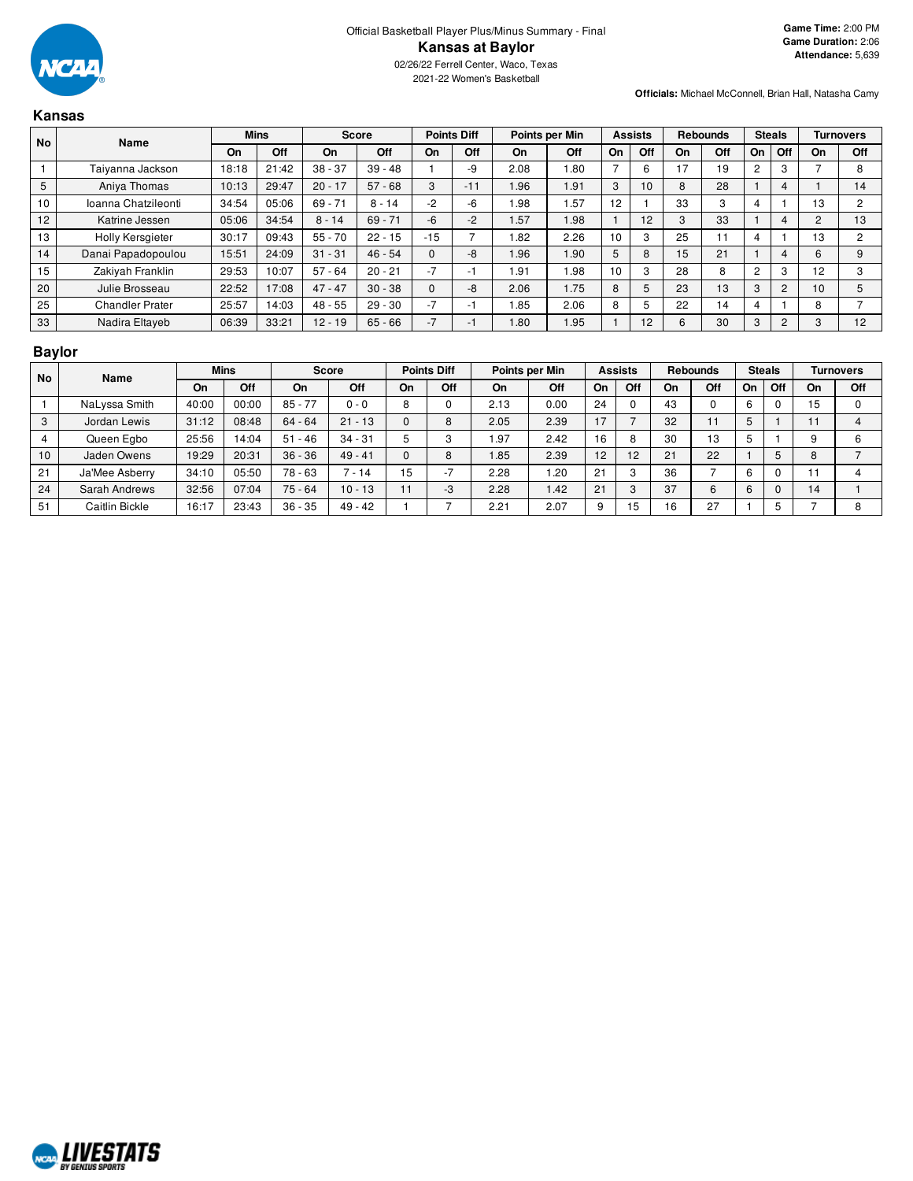

## **Kansas**

| <b>No</b><br>Name |                     |       | <b>Mins</b> | <b>Score</b> |           |          | <b>Points Diff</b> |      | Points per Min |    | <b>Assists</b> |    | <b>Rebounds</b> | <b>Steals</b> |                |    | <b>Turnovers</b> |
|-------------------|---------------------|-------|-------------|--------------|-----------|----------|--------------------|------|----------------|----|----------------|----|-----------------|---------------|----------------|----|------------------|
|                   |                     | On    | Off         | On           | Off       | On       | Off                | On   | Off            | On | Off            | On | Off             | On            | Off            | On | Off              |
|                   | Taiyanna Jackson    | 18:18 | 21:42       | $38 - 37$    | $39 - 48$ |          | -9                 | 2.08 | .80            |    | 6              | 17 | 19              |               | 3              |    | 8                |
| 5                 | Aniya Thomas        | 10:13 | 29:47       | $20 - 17$    | $57 - 68$ | 3        | $-11$              | 1.96 | 1.91           | 3  | 10             | 8  | 28              |               | 4              |    | 14               |
| 10                | Ioanna Chatzileonti | 34:54 | 05:06       | $69 - 71$    | $8 - 14$  | -2       | -6                 | 1.98 | .57            | 12 |                | 33 | 3               |               |                | 13 | 2                |
| 12                | Katrine Jessen      | 05:06 | 34:54       | $8 - 14$     | $69 - 71$ | $-6$     | $-2$               | 1.57 | 1.98           |    | 12             | 3  | 33              |               | 4              | 2  | 13               |
| 13                | Holly Kersgieter    | 30:17 | 09:43       | $55 - 70$    | $22 - 15$ | $-15$    |                    | 1.82 | 2.26           | 10 | 3              | 25 |                 |               |                | 13 | 2                |
| 14                | Danai Papadopoulou  | 15:51 | 24:09       | $31 - 31$    | $46 - 54$ | $\Omega$ | -8                 | 1.96 | 1.90           | 5  | 8              | 15 | 21              |               | 4              | 6  | 9                |
| 15                | Zakiyah Franklin    | 29:53 | 10:07       | $57 - 64$    | $20 - 21$ | $-7$     | -1                 | 1.91 | .98            | 10 | 3              | 28 | 8               | 2             | 3              | 12 | 3                |
| 20                | Julie Brosseau      | 22:52 | 17:08       | $47 - 47$    | $30 - 38$ | $\Omega$ | -8                 | 2.06 | 1.75           | 8  | 5              | 23 | 13              | 3             | $\overline{2}$ | 10 | 5                |
| 25                | Chandler Prater     | 25:57 | 14:03       | $48 - 55$    | $29 - 30$ | $-7$     | -1                 | 1.85 | 2.06           | 8  | 5              | 22 | 14              |               |                | 8  |                  |
| 33                | Nadira Eltayeb      | 06:39 | 33:21       | $12 - 19$    | $65 - 66$ | $-7$     | -1                 | 1.80 | 1.95           |    | 12             | 6  | 30              | 3             | $\overline{c}$ |    | 12               |

## **Baylor**

|    | <b>No</b><br>Name |       | <b>Mins</b> | Score     |           | <b>Points Diff</b> |                          |      | Points per Min |           | <b>Assists</b> |    | <b>Rebounds</b> |    | <b>Steals</b> |    | Turnovers |
|----|-------------------|-------|-------------|-----------|-----------|--------------------|--------------------------|------|----------------|-----------|----------------|----|-----------------|----|---------------|----|-----------|
|    |                   | On    | Off         | On        | Off       | On                 | Off                      | On   | Off            | <b>On</b> | Off            | On | Off             | On | Off           | On | Off       |
|    | NaLyssa Smith     | 40:00 | 00:00       | $85 - 77$ | $0 - 0$   | $\circ$<br>o       |                          | 2.13 | 0.00           | 24        |                | 43 | 0               | 6  |               | 15 |           |
|    | Jordan Lewis      | 31:12 | 08:48       | $64 - 64$ | $21 - 13$ |                    | 8                        | 2.05 | 2.39           | 17        |                | 32 | 11              | ÷  |               |    |           |
|    | Queen Egbo        | 25:56 | 14:04       | $51 - 46$ | $34 - 31$ |                    |                          | .97  | 2.42           | 16        | 8              | 30 | 13              | ÷  |               |    |           |
| 10 | Jaden Owens       | 19:29 | 20:31       | $36 - 36$ | $49 - 41$ | $\Omega$           | 8                        | i.85 | 2.39           | 12        | 12             | 21 | 22              |    |               | 8  |           |
| 21 | Ja'Mee Asberry    | 34:10 | 05:50       | 78 - 63   | 7 - 14    | 15                 | $\overline{\phantom{a}}$ | 2.28 | .20            | 21        | c              | 36 |                 | 6  |               |    |           |
| 24 | Sarah Andrews     | 32:56 | 07:04       | $75 - 64$ | $10 - 13$ | 11                 | -3                       | 2.28 | .42            | 21        | 3              | 37 | 6               | 6  |               | 14 |           |
| 51 | Caitlin Bickle    | 16:17 | 23:43       | $36 - 35$ | $49 - 42$ |                    |                          | 2.21 | 2.07           | 9         | 15             | 16 | 27              |    |               |    | 8         |

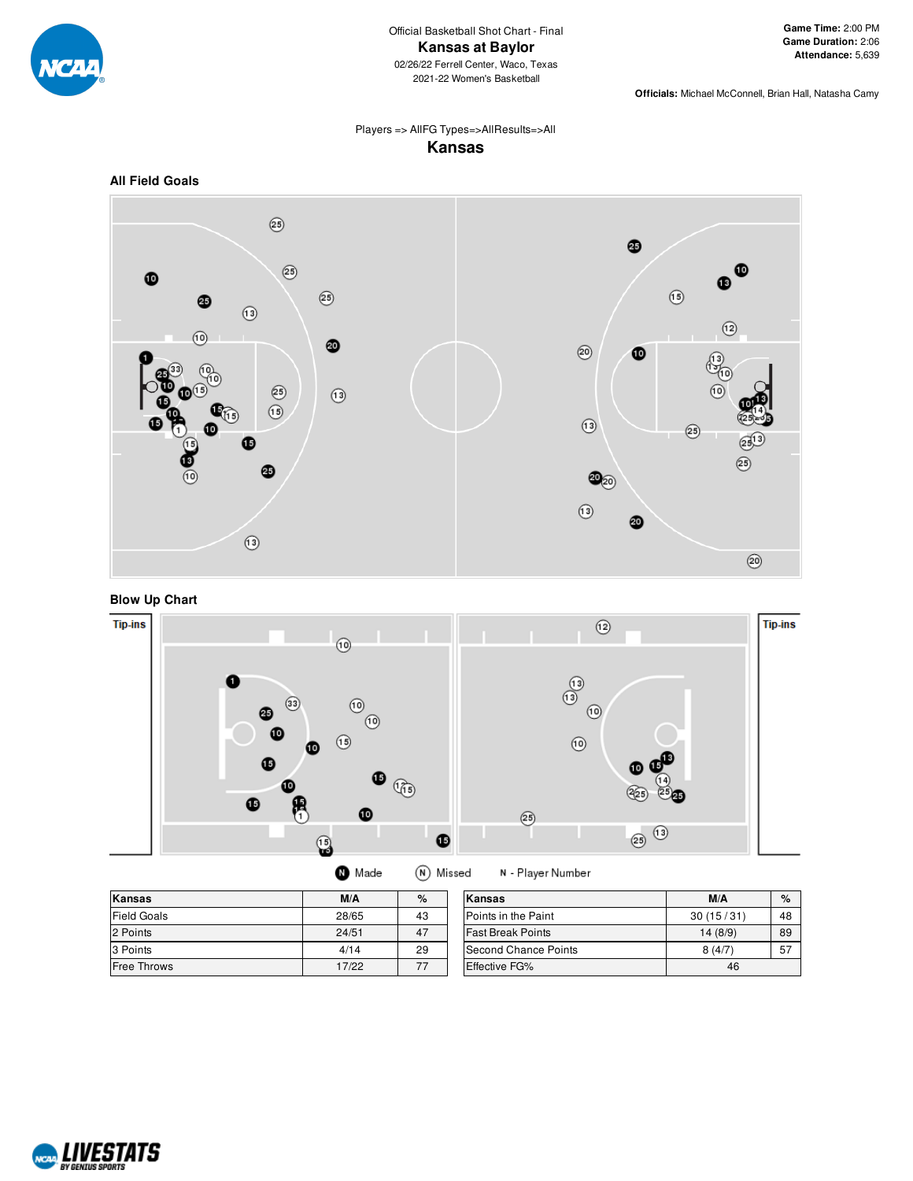

## Players => AllFG Types=>AllResults=>All **Kansas**









| Kansas      | M/A   | %  | Kansas                     |
|-------------|-------|----|----------------------------|
| Field Goals | 28/65 | 43 | <b>Points in the Paint</b> |
| 2 Points    | 24/51 | 47 | <b>Fast Break Points</b>   |
| 3 Points    | 4/14  | 29 | Second Chance Points       |
| Free Throws | 17/22 | 77 | <b>Effective FG%</b>       |

| Kansas                      | M/A       | $\%$ |
|-----------------------------|-----------|------|
| Points in the Paint         | 30(15/31) | 48   |
| <b>Fast Break Points</b>    | 14(8/9)   | 89   |
| <b>Second Chance Points</b> | 8(4/7)    | 57   |
| <b>Effective FG%</b>        | 46        |      |

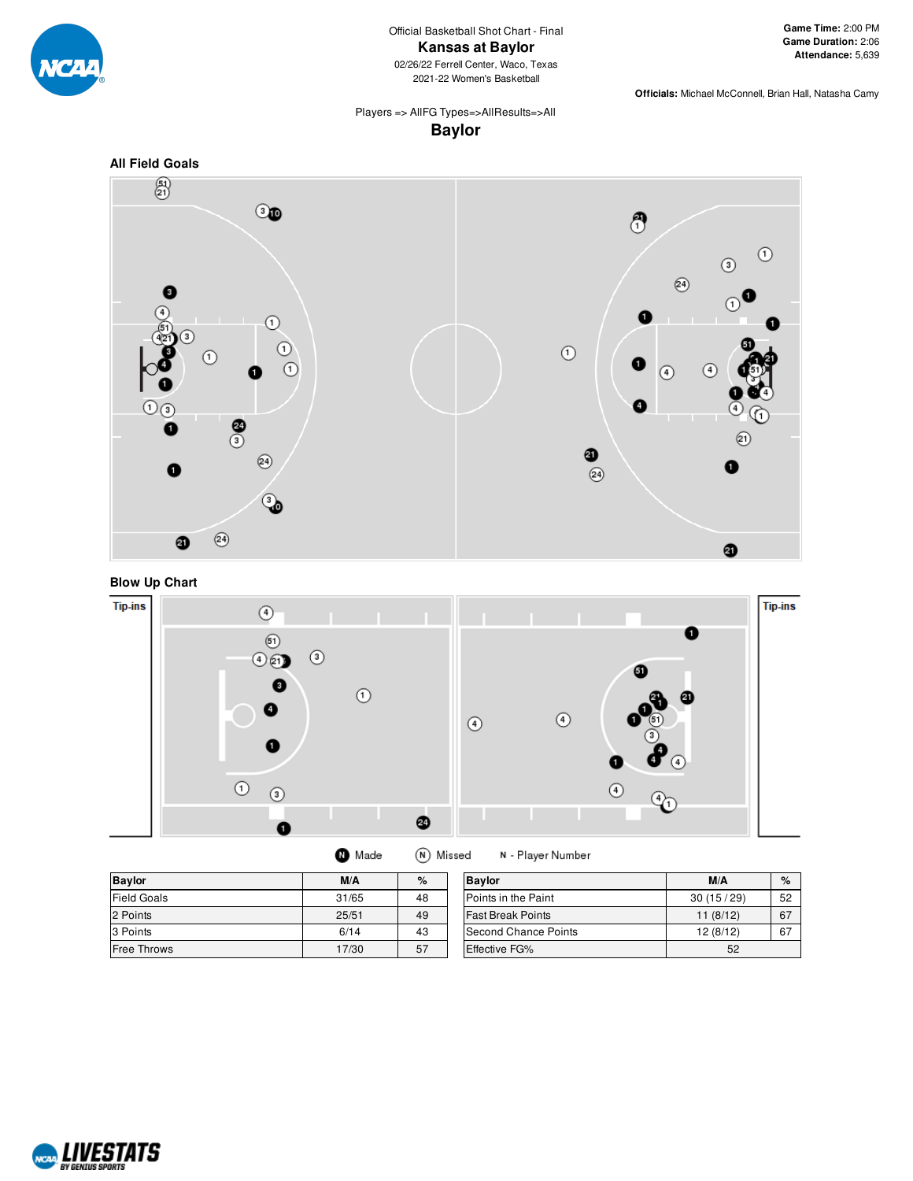

Official Basketball Shot Chart - Final **Kansas at Baylor** 02/26/22 Ferrell Center, Waco, Texas 2021-22 Women's Basketball

**Game Time:** 2:00 PM **Game Duration:** 2:06 **Attendance:** 5,639

**Officials:** Michael McConnell, Brian Hall, Natasha Camy

### Players => AllFG Types=>AllResults=>All **Baylor**







| <b>Baylor</b>      | M/A   | %  | <b>Baylor</b>               | M/A       | $\%$ |
|--------------------|-------|----|-----------------------------|-----------|------|
| <b>Field Goals</b> | 31/65 | 48 | Points in the Paint         | 30(15/29) | 52   |
| 2 Points           | 25/51 | 49 | <b>Fast Break Points</b>    | 11(8/12)  | 67   |
| 3 Points           | 6/14  | 43 | <b>Second Chance Points</b> | 12 (8/12) | 67   |
| <b>Free Throws</b> | 17/30 | 57 | <b>Effective FG%</b>        | 52        |      |

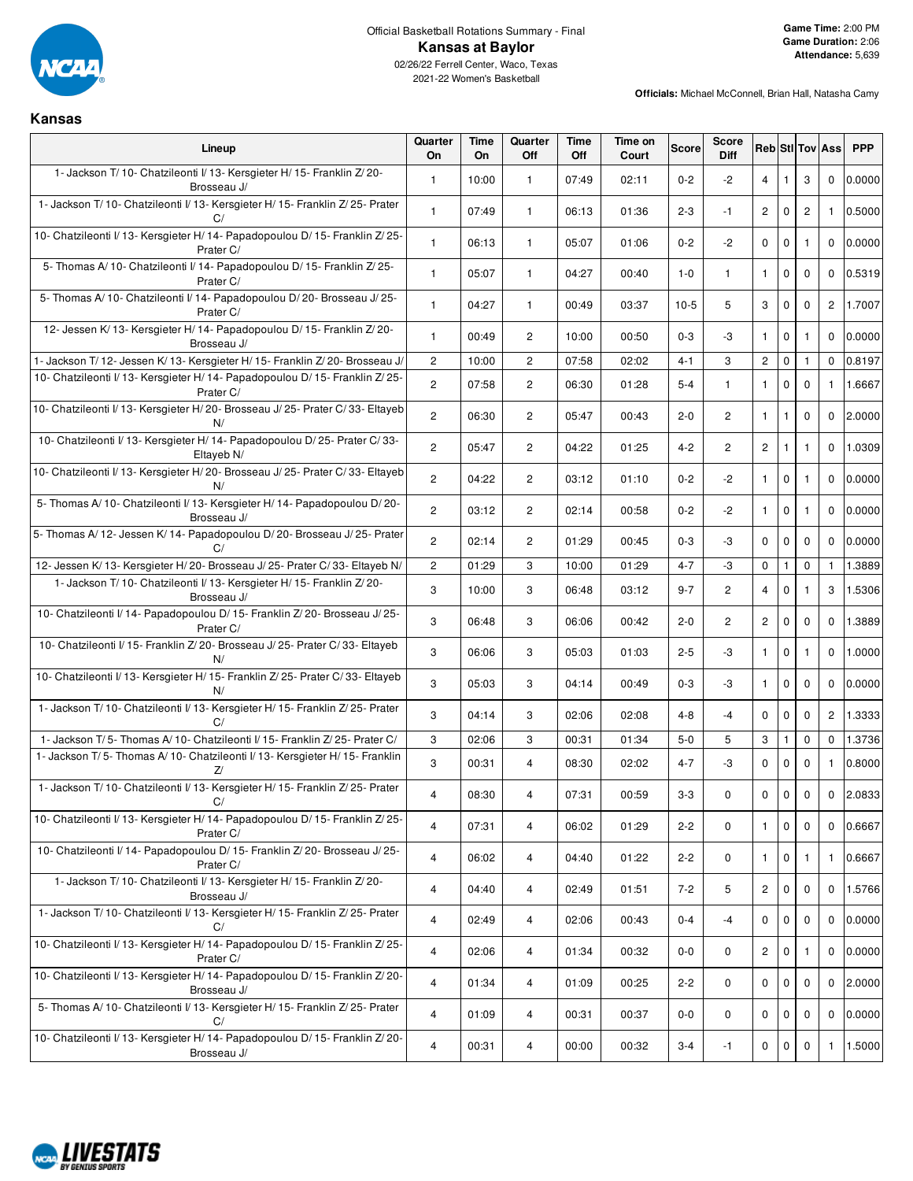

2021-22 Women's Basketball

| Kansas                                                                                       |                      |                   |                       |             |                  |              |                             |                      |              |                |                        |            |
|----------------------------------------------------------------------------------------------|----------------------|-------------------|-----------------------|-------------|------------------|--------------|-----------------------------|----------------------|--------------|----------------|------------------------|------------|
| Lineup                                                                                       | Quarter<br><b>On</b> | Time<br><b>On</b> | Quarter<br>Off        | Time<br>Off | Time on<br>Court | <b>Score</b> | <b>Score</b><br><b>Diff</b> |                      |              |                | <b>Reb StilTov Ass</b> | <b>PPP</b> |
| 1- Jackson T/10- Chatzileonti I/13- Kersgieter H/15- Franklin Z/20-<br>Brosseau J/           | $\mathbf{1}$         | 10:00             | 1                     | 07:49       | 02:11            | $0 - 2$      | $-2$                        | $\overline{4}$       | $\mathbf{1}$ | 3              | $\mathbf 0$            | 0.0000     |
| 1- Jackson T/10- Chatzileonti I/13- Kersgieter H/15- Franklin Z/25- Prater<br>C/             | $\mathbf{1}$         | 07:49             | $\mathbf{1}$          | 06:13       | 01:36            | $2 - 3$      | $-1$                        | $\overline{2}$       | $\mathbf 0$  | $\overline{c}$ | $\mathbf{1}$           | 0.5000     |
| 10- Chatzileonti I/ 13- Kersgieter H/ 14- Papadopoulou D/ 15- Franklin Z/ 25-<br>Prater C/   | $\mathbf{1}$         | 06:13             | $\mathbf{1}$          | 05:07       | 01:06            | $0 - 2$      | -2                          | $\mathbf 0$          | $\mathbf 0$  | $\mathbf{1}$   | $\mathbf 0$            | 0.0000     |
| 5- Thomas A/10- Chatzileonti I/14- Papadopoulou D/15- Franklin Z/25-<br>Prater C/            | $\mathbf{1}$         | 05:07             | $\mathbf{1}$          | 04:27       | 00:40            | $1 - 0$      | $\mathbf{1}$                | $\mathbf{1}$         | $\mathbf 0$  | $\mathbf 0$    | $\mathbf 0$            | 0.5319     |
| 5- Thomas A/10- Chatzileonti I/14- Papadopoulou D/20- Brosseau J/25-<br>Prater C/            | $\mathbf{1}$         | 04:27             | $\mathbf{1}$          | 00:49       | 03:37            | $10-5$       | 5                           | 3                    | $\mathbf 0$  | $\mathbf 0$    | $\overline{c}$         | 1.7007     |
| 12- Jessen K/13- Kersgieter H/14- Papadopoulou D/15- Franklin Z/20-<br>Brosseau J/           | $\mathbf{1}$         | 00:49             | $\overline{c}$        | 10:00       | 00:50            | $0-3$        | -3                          | $\mathbf{1}$         | $\mathbf 0$  | $\mathbf{1}$   | $\mathbf 0$            | 0.0000     |
| 1- Jackson T/ 12- Jessen K/ 13- Kersgieter H/ 15- Franklin Z/ 20- Brosseau J/                | $\mathbf{2}$         | 10:00             | $\mathbf{2}^{\prime}$ | 07:58       | 02:02            | 4-1          | 3                           | $\mathbf{2}$         | $\mathbf 0$  | $\mathbf{1}$   | $\mathbf 0$            | 0.8197     |
| 10- Chatzileonti I/ 13- Kersgieter H/ 14- Papadopoulou D/ 15- Franklin Z/ 25-<br>Prater C/   | $\overline{2}$       | 07:58             | $\overline{2}$        | 06:30       | 01:28            | $5 - 4$      | $\mathbf{1}$                | $\mathbf{1}$         | $\mathbf 0$  | $\mathbf 0$    | $\mathbf{1}$           | 1.6667     |
| 10- Chatzileonti I/ 13- Kersgieter H/ 20- Brosseau J/ 25- Prater C/ 33- Eltayeb<br>N/        | $\overline{2}$       | 06:30             | $\overline{2}$        | 05:47       | 00:43            | $2 - 0$      | $\overline{2}$              | $\mathbf{1}$         | $\mathbf{1}$ | $\mathbf 0$    | $\mathbf 0$            | 2.0000     |
| 10- Chatzileonti I/13- Kersgieter H/14- Papadopoulou D/25- Prater C/33-<br>Eltayeb N/        | $\mathbf{2}$         | 05:47             | $\mathbf{2}^{\prime}$ | 04:22       | 01:25            | $4 - 2$      | $\overline{2}$              | $\mathbf{2}^{\circ}$ | $\mathbf{1}$ | $\mathbf{1}$   | $\mathbf 0$            | 1.0309     |
| 10- Chatzileonti I/ 13- Kersgieter H/ 20- Brosseau J/ 25- Prater C/ 33- Eltayeb<br>N/        | $\overline{2}$       | 04:22             | $\overline{c}$        | 03:12       | 01:10            | $0 - 2$      | -2                          | $\mathbf{1}$         | $\mathbf 0$  | $\mathbf{1}$   | $\mathbf 0$            | 0.0000     |
| 5- Thomas A/ 10- Chatzileonti I/ 13- Kersgieter H/ 14- Papadopoulou D/ 20-<br>Brosseau J/    | $\overline{2}$       | 03:12             | $\overline{2}$        | 02:14       | 00:58            | $0 - 2$      | -2                          | $\mathbf{1}$         | $\mathbf 0$  | $\mathbf{1}$   | $\mathbf 0$            | 0.0000     |
| 5- Thomas A/ 12- Jessen K/ 14- Papadopoulou D/ 20- Brosseau J/ 25- Prater<br>C/              | $\overline{c}$       | 02:14             | $\overline{c}$        | 01:29       | 00:45            | $0-3$        | -3                          | $\mathbf 0$          | $\mathbf 0$  | $\mathbf 0$    | $\Omega$               | 0.0000     |
| 12- Jessen K/ 13- Kersgieter H/ 20- Brosseau J/ 25- Prater C/ 33- Eltayeb N/                 | $\overline{c}$       | 01:29             | 3                     | 10:00       | 01:29            | $4 - 7$      | -3                          | $\mathbf 0$          | $\mathbf{1}$ | 0              | $\mathbf{1}$           | 1.3889     |
| 1- Jackson T/10- Chatzileonti I/13- Kersgieter H/15- Franklin Z/20-<br>Brosseau J/           | 3                    | 10:00             | 3                     | 06:48       | 03:12            | $9 - 7$      | $\mathbf{2}$                | $\overline{4}$       | $\mathbf 0$  | $\mathbf{1}$   | 3                      | 1.5306     |
| 10- Chatzileonti I/ 14- Papadopoulou D/ 15- Franklin Z/ 20- Brosseau J/ 25-<br>Prater C/     | 3                    | 06:48             | 3                     | 06:06       | 00:42            | $2 - 0$      | $\overline{2}$              | $\mathbf{2}$         | $\mathbf 0$  | $\mathbf 0$    | $\mathbf 0$            | 1.3889     |
| 10- Chatzileonti I/ 15- Franklin Z/ 20- Brosseau J/ 25- Prater C/ 33- Eltayeb<br>N/          | 3                    | 06:06             | 3                     | 05:03       | 01:03            | $2 - 5$      | -3                          | $\mathbf{1}$         | $\mathbf 0$  | $\mathbf{1}$   | $\mathbf 0$            | 1.0000     |
| 10- Chatzileonti I/ 13- Kersgieter H/ 15- Franklin Z/ 25- Prater C/ 33- Eltayeb              | 3                    | 05:03             | 3                     | 04:14       | 00:49            | $0 - 3$      | -3                          | $\mathbf{1}$         | $\mathbf 0$  | $\mathbf 0$    | $\mathbf 0$            | 0.0000     |
| 1- Jackson T/10- Chatzileonti I/13- Kersgieter H/15- Franklin Z/25- Prater<br>C/             | 3                    | 04:14             | 3                     | 02:06       | 02:08            | $4 - 8$      | -4                          | $\mathbf 0$          | $\mathbf 0$  | $\mathbf 0$    | $\overline{2}$         | 1.3333     |
| 1- Jackson T/5- Thomas A/10- Chatzileonti I/15- Franklin Z/25- Prater C/                     | 3                    | 02:06             | 3                     | 00:31       | 01:34            | $5-0$        | 5                           | 3                    | $\mathbf{1}$ | 0              | $\mathbf 0$            | 1.3736     |
| 1- Jackson T/5- Thomas A/10- Chatzileonti I/13- Kersgieter H/15- Franklin<br>Z/              | 3                    | 00:31             | $\overline{4}$        | 08:30       | 02:02            | 4-7          | -3                          | $\mathbf 0$          | $\mathbf 0$  | $\mathbf 0$    | $\mathbf{1}$           | 0.8000     |
| 1- Jackson T/ 10- Chatzileonti I/ 13- Kersgieter H/ 15- Franklin Z/ 25- Prater<br>C/         | $\overline{4}$       | 08:30             | 4                     | 07:31       | 00:59            | $3-3$        | $\mathbf 0$                 | 0                    | 0            | 0              | 0                      | 2.0833     |
| 10- Chatzileonti I/ 13- Kersgieter H/ 14- Papadopoulou D/ 15- Franklin Z/ 25-<br>Prater C/   | $\overline{4}$       | 07:31             | 4                     | 06:02       | 01:29            | $2 - 2$      | 0                           | $\mathbf{1}$         | $\mathbf 0$  | $\mathbf 0$    | $\mathbf 0$            | 0.6667     |
| 10- Chatzileonti I/ 14- Papadopoulou D/ 15- Franklin Z/ 20- Brosseau J/ 25-<br>Prater C/     | $\overline{4}$       | 06:02             | 4                     | 04:40       | 01:22            | $2 - 2$      | $\mathbf 0$                 | $\mathbf{1}$         | $\mathbf 0$  | $\mathbf{1}$   | $\mathbf{1}$           | 0.6667     |
| 1- Jackson T/10- Chatzileonti I/13- Kersgieter H/15- Franklin Z/20-<br>Brosseau J/           | $\overline{4}$       | 04:40             | 4                     | 02:49       | 01:51            | $7 - 2$      | 5                           | $2^{\circ}$          | $\mathbf 0$  | $\mathbf 0$    | $\mathbf 0$            | 1.5766     |
| 1- Jackson T/10- Chatzileonti I/13- Kersgieter H/15- Franklin Z/25- Prater<br>C/             | $\overline{4}$       | 02:49             | 4                     | 02:06       | 00:43            | $0 - 4$      | -4                          | $\mathbf 0$          | $\mathbf 0$  | 0              | $\mathbf 0$            | 0.0000     |
| 10- Chatzileonti I/ 13- Kersgieter H/ 14- Papadopoulou D/ 15- Franklin Z/ 25-<br>Prater C/   | $\overline{4}$       | 02:06             | 4                     | 01:34       | 00:32            | 0-0          | 0                           | $2^{\circ}$          | $\mathbf 0$  | 1              | $\mathbf 0$            | 0.0000     |
| 10- Chatzileonti I/ 13- Kersgieter H/ 14- Papadopoulou D/ 15- Franklin Z/ 20-<br>Brosseau J/ | $\overline{4}$       | 01:34             | 4                     | 01:09       | 00:25            | $2 - 2$      | $\mathbf 0$                 | $\mathbf 0$          | $\mathbf 0$  | $\mathbf 0$    | $\mathbf 0$            | 2.0000     |
| 5- Thomas A/ 10- Chatzileonti I/ 13- Kersgieter H/ 15- Franklin Z/ 25- Prater<br>C/          | $\overline{4}$       | 01:09             | 4                     | 00:31       | 00:37            | 0-0          | $\mathbf 0$                 | $\mathbf{0}$         | $\mathbf 0$  | $\mathbf 0$    | $\mathbf 0$            | 0.0000     |
| 10- Chatzileonti I/ 13- Kersgieter H/ 14- Papadopoulou D/ 15- Franklin Z/ 20-<br>Brosseau J/ | $\overline{4}$       | 00:31             | 4                     | 00:00       | 00:32            | $3 - 4$      | $-1$                        | $\mathbf 0$          | $\mathbf 0$  | 0              | 1                      | 1.5000     |

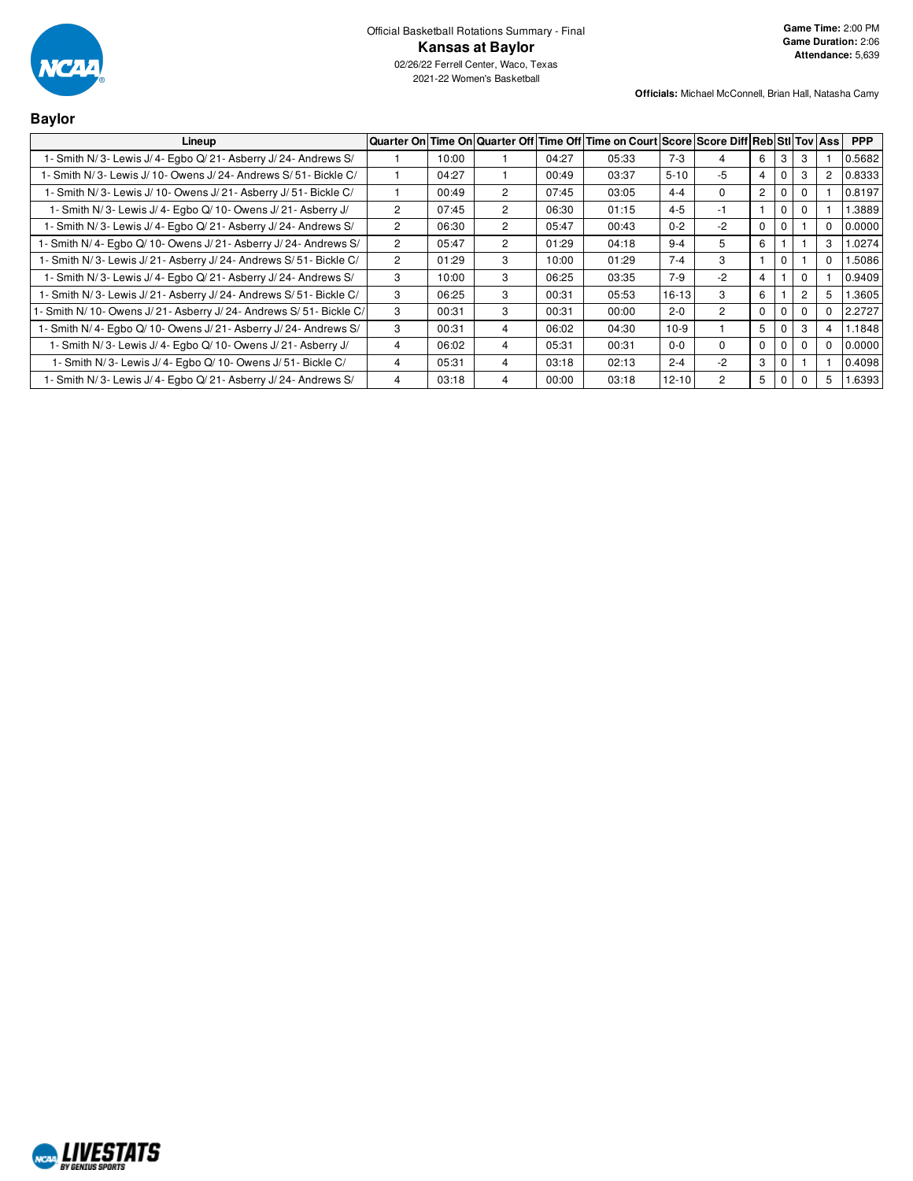

| <b>Baylor</b>                                                       |                |       |                |       |                                                                                        |           |                |                |                |                |              |            |
|---------------------------------------------------------------------|----------------|-------|----------------|-------|----------------------------------------------------------------------------------------|-----------|----------------|----------------|----------------|----------------|--------------|------------|
| Lineup                                                              |                |       |                |       | Quarter On Time On Quarter Off Time Off Time on Court Score Score Diff Reb Sti Tov Ass |           |                |                |                |                |              | <b>PPP</b> |
| 1- Smith N/3- Lewis J/4- Egbo Q/21- Asberry J/24- Andrews S/        |                | 10:00 |                | 04:27 | 05:33                                                                                  | $7-3$     | 4              | 6              | 3              | 3              |              | 0.5682     |
| 1- Smith N/3- Lewis J/10- Owens J/24- Andrews S/51- Bickle C/       |                | 04:27 |                | 00:49 | 03:37                                                                                  | $5 - 10$  | -5             | 4              | $\Omega$       | 3              | $\mathbf{2}$ | 0.8333     |
| 1- Smith N/3- Lewis J/10- Owens J/21- Asberry J/51- Bickle C/       |                | 00:49 | $\overline{2}$ | 07:45 | 03:05                                                                                  | $4 - 4$   | $\Omega$       | $\overline{2}$ | $\Omega$       | $\Omega$       |              | 0.8197     |
| 1- Smith N/3- Lewis J/4- Egbo Q/10- Owens J/21- Asberry J/          | $\overline{c}$ | 07:45 | $\overline{2}$ | 06:30 | 01:15                                                                                  | $4 - 5$   | $-1$           |                | $\Omega$       | $\mathbf{0}$   |              | 1.3889     |
| 1- Smith N/3- Lewis J/4- Egbo Q/21- Asberry J/24- Andrews S/        | $\overline{c}$ | 06:30 | $\overline{2}$ | 05:47 | 00:43                                                                                  | $0 - 2$   | $-2$           | $\Omega$       | $\Omega$       |                | 0            | 0.0000     |
| 1- Smith N/4- Egbo Q/10- Owens J/21- Asberry J/24- Andrews S/       | $\overline{2}$ | 05:47 | $\overline{2}$ | 01:29 | 04:18                                                                                  | $9 - 4$   | 5              | 6              |                |                | 3            | 1.0274     |
| 1- Smith N/3- Lewis J/21- Asberry J/24- Andrews S/51- Bickle C/     | $\overline{c}$ | 01:29 | 3              | 10:00 | 01:29                                                                                  | $7 - 4$   | 3              |                | $\Omega$       |                |              | 1.5086     |
| 1- Smith N/3- Lewis J/4- Egbo Q/21- Asberry J/24- Andrews S/        | 3              | 10:00 | 3              | 06:25 | 03:35                                                                                  | $7-9$     | $-2$           | 4              |                | $\Omega$       |              | 0.9409     |
| 1- Smith N/3- Lewis J/21- Asberry J/24- Andrews S/51- Bickle C/     | 3              | 06:25 | 3              | 00:31 | 05:53                                                                                  | $16 - 13$ | 3              | 6              |                | $\overline{2}$ | 5            | 1.3605     |
| - Smith N/ 10- Owens J/ 21- Asberry J/ 24- Andrews S/ 51- Bickle C/ | 3              | 00:31 | 3              | 00:31 | 00:00                                                                                  | $2 - 0$   | $\overline{2}$ | $\Omega$       | $\Omega$       | $\Omega$       |              | 2.2727     |
| 1- Smith N/4- Egbo Q/10- Owens J/21- Asberry J/24- Andrews S/       | 3              | 00:31 | 4              | 06:02 | 04:30                                                                                  | $10-9$    |                | 5              | $\overline{0}$ | 3              | 4            | 1.1848     |
| 1- Smith N/3- Lewis J/4- Egbo Q/10- Owens J/21- Asberry J/          | $\overline{4}$ | 06:02 | 4              | 05:31 | 00:31                                                                                  | $0 - 0$   | $\Omega$       | $\Omega$       | $\Omega$       | $\Omega$       | 0            | 0.0000     |
| 1- Smith N/3- Lewis J/4- Egbo Q/10- Owens J/51- Bickle C/           | 4              | 05:31 | 4              | 03:18 | 02:13                                                                                  | $2 - 4$   | $-2$           | 3              | $\mathbf{0}$   |                |              | 0.4098     |
| 1- Smith N/3- Lewis J/4- Egbo Q/21- Asberry J/24- Andrews S/        | 4              | 03:18 | 4              | 00:00 | 03:18                                                                                  | $12 - 10$ | $\overline{c}$ | 5              | $\overline{0}$ |                | 5            | 1.6393     |

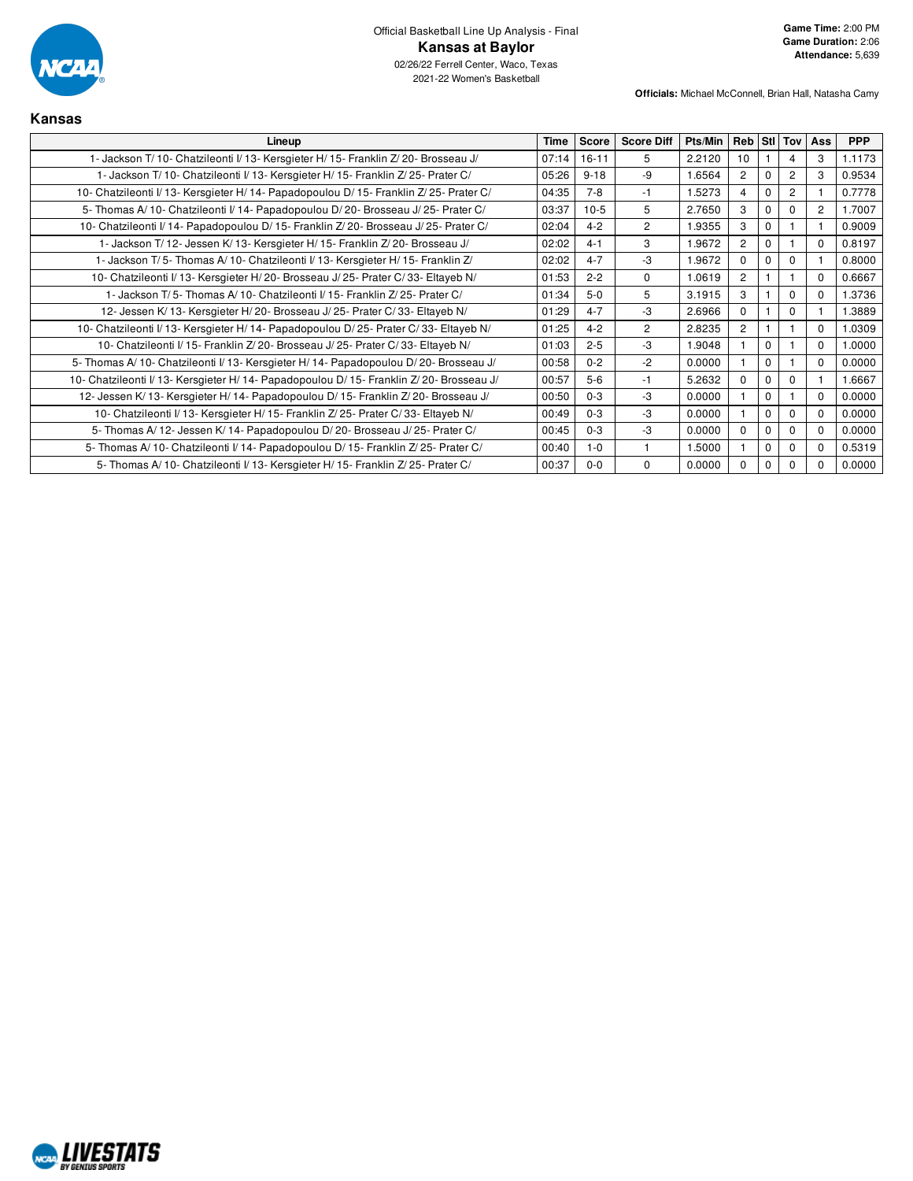

| Kansas                                                                                    |       |              |                   |         |                |             |                |                |            |
|-------------------------------------------------------------------------------------------|-------|--------------|-------------------|---------|----------------|-------------|----------------|----------------|------------|
| Lineup                                                                                    |       | <b>Score</b> | <b>Score Diff</b> | Pts/Min |                |             | Reb Stl Tov    | Ass            | <b>PPP</b> |
| 1- Jackson T/ 10- Chatzileonti I/ 13- Kersgieter H/ 15- Franklin Z/ 20- Brosseau J/       | 07:14 | $16 - 11$    | 5                 | 2.2120  | 10             |             | 4              | 3              | 1.1173     |
| 1- Jackson T/10- Chatzileonti I/13- Kersgieter H/15- Franklin Z/25- Prater C/             | 05:26 | $9 - 18$     | $-9$              | 1.6564  | $\overline{2}$ | $\Omega$    | 2              | 3              | 0.9534     |
| 10- Chatzileonti I/13- Kersgieter H/14- Papadopoulou D/15- Franklin Z/25- Prater C/       | 04:35 | $7 - 8$      | $-1$              | 1.5273  | $\overline{4}$ | $\mathbf 0$ | $\overline{c}$ |                | 0.7778     |
| 5- Thomas A/ 10- Chatzileonti I/ 14- Papadopoulou D/ 20- Brosseau J/ 25- Prater C/        | 03:37 | $10-5$       | 5                 | 2.7650  | 3              | $\Omega$    | $\Omega$       | $\overline{2}$ | 1.7007     |
| 10- Chatzileonti I/ 14- Papadopoulou D/ 15- Franklin Z/ 20- Brosseau J/ 25- Prater C/     | 02:04 | $4 - 2$      | $\overline{c}$    | 1.9355  | 3              | $\mathbf 0$ |                |                | 0.9009     |
| 1- Jackson T/12- Jessen K/13- Kersgieter H/15- Franklin Z/20- Brosseau J/                 | 02:02 | $4 - 1$      | 3                 | 1.9672  | $\overline{2}$ | $\Omega$    |                | $\Omega$       | 0.8197     |
| 1- Jackson T/5- Thomas A/10- Chatzileonti I/13- Kersgieter H/15- Franklin Z/              | 02:02 | $4 - 7$      | -3                | 1.9672  | $\Omega$       | $\mathbf 0$ | $\Omega$       |                | 0.8000     |
| 10- Chatzileonti I/ 13- Kersgieter H/ 20- Brosseau J/ 25- Prater C/ 33- Eltayeb N/        | 01:53 | $2 - 2$      | $\Omega$          | 1.0619  | $\overline{2}$ |             |                | $\Omega$       | 0.6667     |
| 1- Jackson T/5- Thomas A/10- Chatzileonti I/15- Franklin Z/25- Prater C/                  | 01:34 | $5-0$        | 5                 | 3.1915  | 3              |             | $\Omega$       | $\Omega$       | 1.3736     |
| 12- Jessen K/13- Kersgieter H/20- Brosseau J/25- Prater C/33- Eltayeb N/                  | 01:29 | $4 - 7$      | $-3$              | 2.6966  | $\Omega$       |             | $\Omega$       |                | 1.3889     |
| 10- Chatzileonti I/ 13- Kersgieter H/ 14- Papadopoulou D/ 25- Prater C/ 33- Eltayeb N/    | 01:25 | $4 - 2$      | 2                 | 2.8235  | $\overline{2}$ |             |                | $\Omega$       | 1.0309     |
| 10- Chatzileonti I/15- Franklin Z/20- Brosseau J/25- Prater C/33- Eltayeb N/              | 01:03 | $2 - 5$      | $-3$              | 1.9048  |                | $\mathbf 0$ |                | $\Omega$       | 1.0000     |
| 5- Thomas A/ 10- Chatzileonti I/ 13- Kersgieter H/ 14- Papadopoulou D/ 20- Brosseau J/    | 00:58 | $0 - 2$      | $-2$              | 0.0000  |                | $\mathbf 0$ |                | $\Omega$       | 0.0000     |
| 10- Chatzileonti I/ 13- Kersgieter H/ 14- Papadopoulou D/ 15- Franklin Z/ 20- Brosseau J/ | 00:57 | $5-6$        | $-1$              | 5.2632  | $\Omega$       | $\Omega$    | $\Omega$       |                | 1.6667     |
| 12- Jessen K/ 13- Kersgieter H/ 14- Papadopoulou D/ 15- Franklin Z/ 20- Brosseau J/       | 00:50 | $0 - 3$      | $-3$              | 0.0000  |                | $\Omega$    |                | $\Omega$       | 0.0000     |
| 10- Chatzileonti I/ 13- Kersgieter H/ 15- Franklin Z/ 25- Prater C/ 33- Eltayeb N/        | 00:49 | $0 - 3$      | $-3$              | 0.0000  |                | $\Omega$    | $\Omega$       | $\Omega$       | 0.0000     |
| 5- Thomas A/12- Jessen K/14- Papadopoulou D/20- Brosseau J/25- Prater C/                  | 00:45 | $0 - 3$      | $-3$              | 0.0000  | $\Omega$       | $\Omega$    | $\Omega$       | $\Omega$       | 0.0000     |
| 5- Thomas A/10- Chatzileonti I/14- Papadopoulou D/15- Franklin Z/25- Prater C/            | 00:40 | $1 - 0$      |                   | 1.5000  |                | $\Omega$    | $\Omega$       | $\Omega$       | 0.5319     |
| 5- Thomas A/10- Chatzileonti I/13- Kersgieter H/15- Franklin Z/25- Prater C/              | 00:37 | $0 - 0$      | $\mathbf 0$       | 0.0000  | $\Omega$       | 0           | $\Omega$       | $\Omega$       | 0.0000     |